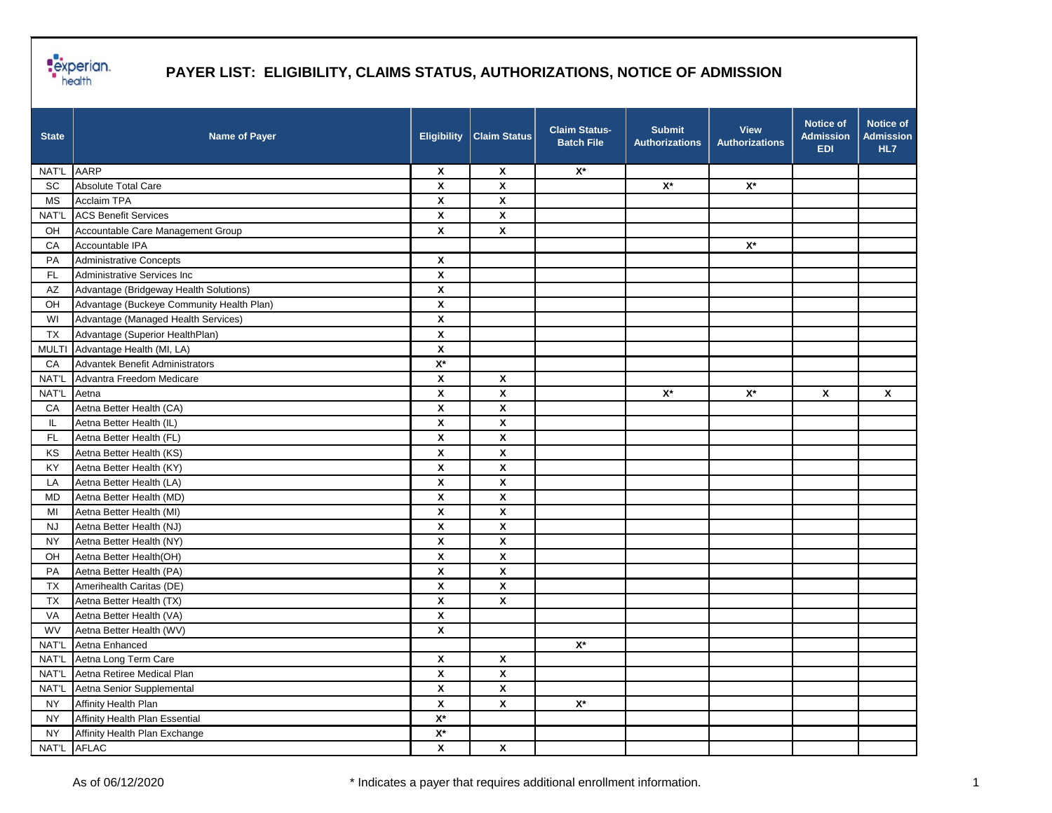

| <b>State</b>  | <b>Name of Payer</b>                      | <b>Eligibility</b> | <b>Claim Status</b> | <b>Claim Status-</b><br><b>Batch File</b> | <b>Submit</b><br><b>Authorizations</b> | <b>View</b><br><b>Authorizations</b> | <b>Notice of</b><br><b>Admission</b><br><b>EDI</b> | Notice of<br><b>Admission</b><br>HL7 |
|---------------|-------------------------------------------|--------------------|---------------------|-------------------------------------------|----------------------------------------|--------------------------------------|----------------------------------------------------|--------------------------------------|
| NAT'L         | <b>AARP</b>                               | X                  | X                   | $\mathsf{X}^\star$                        |                                        |                                      |                                                    |                                      |
| <b>SC</b>     | Absolute Total Care                       | $\pmb{\mathsf{x}}$ | $\pmb{\mathsf{X}}$  |                                           | $\mathsf{X}^\star$                     | $\mathsf{X}^\star$                   |                                                    |                                      |
| MS            | <b>Acclaim TPA</b>                        | X                  | $\pmb{\mathsf{X}}$  |                                           |                                        |                                      |                                                    |                                      |
| NAT'L         | <b>ACS Benefit Services</b>               | $\pmb{\mathsf{X}}$ | $\pmb{\mathsf{X}}$  |                                           |                                        |                                      |                                                    |                                      |
| OH            | Accountable Care Management Group         | X                  | X                   |                                           |                                        |                                      |                                                    |                                      |
| CA            | Accountable IPA                           |                    |                     |                                           |                                        | $\mathsf{X}^\star$                   |                                                    |                                      |
| PA            | Administrative Concepts                   | $\pmb{\mathsf{X}}$ |                     |                                           |                                        |                                      |                                                    |                                      |
| $\mathsf{FL}$ | Administrative Services Inc               | $\pmb{\mathsf{X}}$ |                     |                                           |                                        |                                      |                                                    |                                      |
| AZ            | Advantage (Bridgeway Health Solutions)    | $\pmb{\mathsf{X}}$ |                     |                                           |                                        |                                      |                                                    |                                      |
| OH            | Advantage (Buckeye Community Health Plan) | $\pmb{\mathsf{X}}$ |                     |                                           |                                        |                                      |                                                    |                                      |
| WI            | Advantage (Managed Health Services)       | X                  |                     |                                           |                                        |                                      |                                                    |                                      |
| TX            | Advantage (Superior HealthPlan)           | $\pmb{\mathsf{X}}$ |                     |                                           |                                        |                                      |                                                    |                                      |
| <b>MULTI</b>  | Advantage Health (MI, LA)                 | $\pmb{\mathsf{X}}$ |                     |                                           |                                        |                                      |                                                    |                                      |
| CA            | Advantek Benefit Administrators           | $X^*$              |                     |                                           |                                        |                                      |                                                    |                                      |
| NAT'L         | Advantra Freedom Medicare                 | X                  | X                   |                                           |                                        |                                      |                                                    |                                      |
| NAT'L         | Aetna                                     | X                  | X                   |                                           | $\mathbf{X}^{\star}$                   | $\mathsf{X}^\star$                   | X                                                  | X                                    |
| CA            | Aetna Better Health (CA)                  | X                  | X                   |                                           |                                        |                                      |                                                    |                                      |
| IL.           | Aetna Better Health (IL)                  | $\pmb{\mathsf{X}}$ | X                   |                                           |                                        |                                      |                                                    |                                      |
| $\mathsf{FL}$ | Aetna Better Health (FL)                  | $\pmb{\mathsf{X}}$ | X                   |                                           |                                        |                                      |                                                    |                                      |
| KS            | Aetna Better Health (KS)                  | X                  | X                   |                                           |                                        |                                      |                                                    |                                      |
| KY            | Aetna Better Health (KY)                  | X                  | X                   |                                           |                                        |                                      |                                                    |                                      |
| LA            | Aetna Better Health (LA)                  | X                  | X                   |                                           |                                        |                                      |                                                    |                                      |
| MD            | Aetna Better Health (MD)                  | X                  | X                   |                                           |                                        |                                      |                                                    |                                      |
| MI            | Aetna Better Health (MI)                  | $\pmb{\mathsf{X}}$ | X                   |                                           |                                        |                                      |                                                    |                                      |
| <b>NJ</b>     | Aetna Better Health (NJ)                  | $\pmb{\mathsf{X}}$ | X                   |                                           |                                        |                                      |                                                    |                                      |
| <b>NY</b>     | Aetna Better Health (NY)                  | X                  | X                   |                                           |                                        |                                      |                                                    |                                      |
| OH            | Aetna Better Health(OH)                   | X                  | X                   |                                           |                                        |                                      |                                                    |                                      |
| PA            | Aetna Better Health (PA)                  | X                  | X                   |                                           |                                        |                                      |                                                    |                                      |
| <b>TX</b>     | Amerihealth Caritas (DE)                  | $\pmb{\mathsf{x}}$ | $\pmb{\mathsf{X}}$  |                                           |                                        |                                      |                                                    |                                      |
| TX            | Aetna Better Health (TX)                  | $\pmb{\mathsf{X}}$ | $\pmb{\mathsf{X}}$  |                                           |                                        |                                      |                                                    |                                      |
| VA            | Aetna Better Health (VA)                  | X                  |                     |                                           |                                        |                                      |                                                    |                                      |
| <b>WV</b>     | Aetna Better Health (WV)                  | $\pmb{\mathsf{X}}$ |                     |                                           |                                        |                                      |                                                    |                                      |
| NAT'L         | Aetna Enhanced                            |                    |                     | $X^*$                                     |                                        |                                      |                                                    |                                      |
| NAT'L         | Aetna Long Term Care                      | $\pmb{\mathsf{x}}$ | $\pmb{\mathsf{x}}$  |                                           |                                        |                                      |                                                    |                                      |
| NAT'L         | Aetna Retiree Medical Plan                | $\pmb{\mathsf{X}}$ | X                   |                                           |                                        |                                      |                                                    |                                      |
| NAT'L         | Aetna Senior Supplemental                 | $\pmb{\mathsf{X}}$ | $\pmb{\mathsf{X}}$  |                                           |                                        |                                      |                                                    |                                      |
| <b>NY</b>     | Affinity Health Plan                      | $\pmb{\mathsf{X}}$ | $\pmb{\mathsf{X}}$  | $\mathsf{X}^\star$                        |                                        |                                      |                                                    |                                      |
| <b>NY</b>     | Affinity Health Plan Essential            | $\mathsf{X}^\star$ |                     |                                           |                                        |                                      |                                                    |                                      |
| <b>NY</b>     | Affinity Health Plan Exchange             | $\mathsf{X}^\star$ |                     |                                           |                                        |                                      |                                                    |                                      |
| NAT'L AFLAC   |                                           | $\pmb{\mathsf{x}}$ | $\pmb{\mathsf{X}}$  |                                           |                                        |                                      |                                                    |                                      |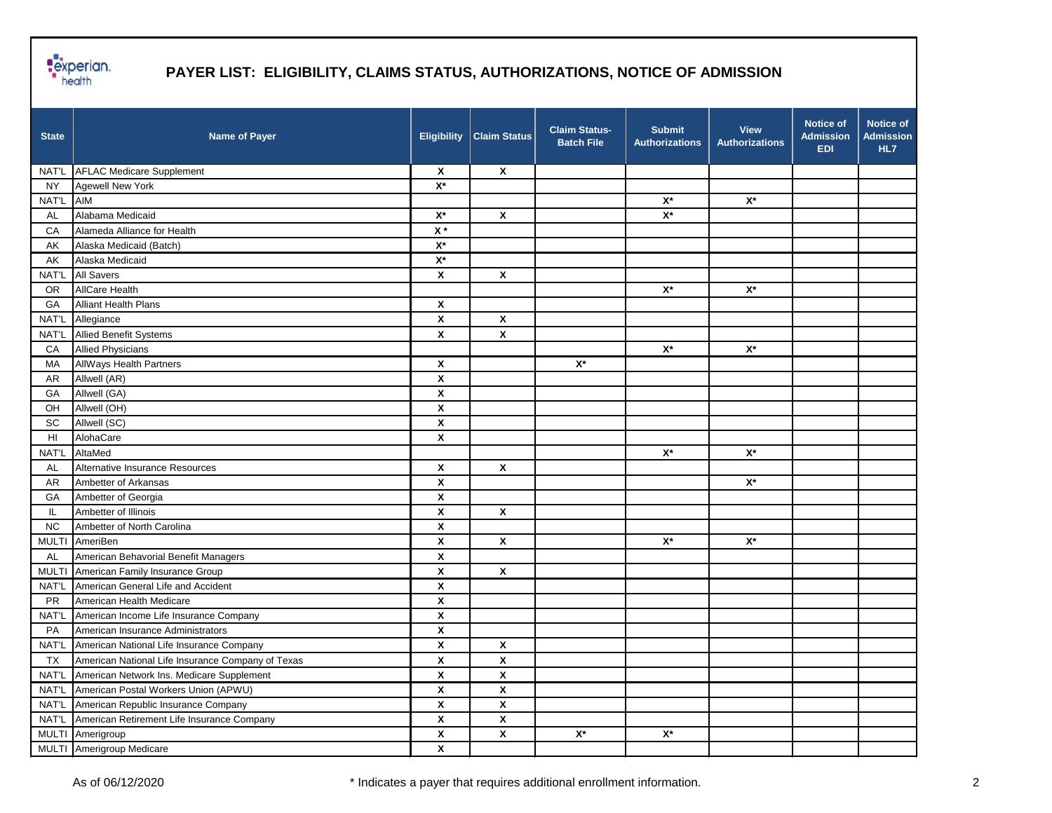

| <b>State</b> | <b>Name of Payer</b>                              | <b>Eligibility</b>        | <b>Claim Status</b>       | Claim Status-<br><b>Batch File</b> | <b>Submit</b><br><b>Authorizations</b> | <b>View</b><br><b>Authorizations</b> | <b>Notice of</b><br><b>Admission</b><br><b>EDI</b> | <b>Notice of</b><br><b>Admission</b><br>HL7 |
|--------------|---------------------------------------------------|---------------------------|---------------------------|------------------------------------|----------------------------------------|--------------------------------------|----------------------------------------------------|---------------------------------------------|
|              | NAT'L AFLAC Medicare Supplement                   | $\boldsymbol{\mathsf{x}}$ | $\boldsymbol{\mathsf{x}}$ |                                    |                                        |                                      |                                                    |                                             |
| <b>NY</b>    | <b>Agewell New York</b>                           | $\mathsf{X}^\star$        |                           |                                    |                                        |                                      |                                                    |                                             |
| NAT'L        | AIM                                               |                           |                           |                                    | $\mathsf{X}^\star$                     | $\mathsf{X}^\star$                   |                                                    |                                             |
| AL           | Alabama Medicaid                                  | $X^*$                     | $\mathbf{x}$              |                                    | $\mathsf{X}^\star$                     |                                      |                                                    |                                             |
| CA           | Alameda Alliance for Health                       | $\mathsf{X}$ *            |                           |                                    |                                        |                                      |                                                    |                                             |
| AK           | Alaska Medicaid (Batch)                           | $\mathsf{X}^\star$        |                           |                                    |                                        |                                      |                                                    |                                             |
| AK           | Alaska Medicaid                                   | $X^*$                     |                           |                                    |                                        |                                      |                                                    |                                             |
| NAT'L        | <b>All Savers</b>                                 | X                         | X                         |                                    |                                        |                                      |                                                    |                                             |
| <b>OR</b>    | <b>AllCare Health</b>                             |                           |                           |                                    | $\mathsf{X}^\star$                     | $\mathsf{X}^\star$                   |                                                    |                                             |
| GA           | <b>Alliant Health Plans</b>                       | X                         |                           |                                    |                                        |                                      |                                                    |                                             |
| NAT'L        | Allegiance                                        | X                         | X                         |                                    |                                        |                                      |                                                    |                                             |
| NAT'L        | <b>Allied Benefit Systems</b>                     | $\pmb{\mathsf{x}}$        | $\pmb{\mathsf{x}}$        |                                    |                                        |                                      |                                                    |                                             |
| CA           | <b>Allied Physicians</b>                          |                           |                           |                                    | $\mathsf{X}^\star$                     | $\mathsf{X}^\star$                   |                                                    |                                             |
| MA           | <b>AllWays Health Partners</b>                    | X                         |                           | $X^*$                              |                                        |                                      |                                                    |                                             |
| AR           | Allwell (AR)                                      | X                         |                           |                                    |                                        |                                      |                                                    |                                             |
| GA           | Allwell (GA)                                      | X                         |                           |                                    |                                        |                                      |                                                    |                                             |
| OH           | Allwell (OH)                                      | $\pmb{\mathsf{X}}$        |                           |                                    |                                        |                                      |                                                    |                                             |
| SC           | Allwell (SC)                                      | $\pmb{\mathsf{X}}$        |                           |                                    |                                        |                                      |                                                    |                                             |
| HI           | AlohaCare                                         | X                         |                           |                                    |                                        |                                      |                                                    |                                             |
| NAT'L        | AltaMed                                           |                           |                           |                                    | $\mathsf{X}^\star$                     | $\mathsf{X}^\star$                   |                                                    |                                             |
| AL           | Alternative Insurance Resources                   | X                         | X                         |                                    |                                        |                                      |                                                    |                                             |
| <b>AR</b>    | Ambetter of Arkansas                              | $\boldsymbol{x}$          |                           |                                    |                                        | $\mathsf{X}^\star$                   |                                                    |                                             |
| GA           | Ambetter of Georgia                               | $\pmb{\mathsf{X}}$        |                           |                                    |                                        |                                      |                                                    |                                             |
| IL.          | Ambetter of Illinois                              | X                         | $\pmb{\mathsf{X}}$        |                                    |                                        |                                      |                                                    |                                             |
| <b>NC</b>    | Ambetter of North Carolina                        | X                         |                           |                                    |                                        |                                      |                                                    |                                             |
|              | MULTI AmeriBen                                    | X                         | X                         |                                    | $\mathsf{X}^\star$                     | $\mathsf{X}^\star$                   |                                                    |                                             |
| AL           | American Behavorial Benefit Managers              | X                         |                           |                                    |                                        |                                      |                                                    |                                             |
|              | MULTI American Family Insurance Group             | $\pmb{\mathsf{X}}$        | X                         |                                    |                                        |                                      |                                                    |                                             |
| NAT'L        | American General Life and Accident                | $\pmb{\mathsf{x}}$        |                           |                                    |                                        |                                      |                                                    |                                             |
| <b>PR</b>    | American Health Medicare                          | $\pmb{\mathsf{x}}$        |                           |                                    |                                        |                                      |                                                    |                                             |
| NAT'L        | American Income Life Insurance Company            | X                         |                           |                                    |                                        |                                      |                                                    |                                             |
| PA           | American Insurance Administrators                 | X                         |                           |                                    |                                        |                                      |                                                    |                                             |
| NAT'L        | American National Life Insurance Company          | X                         | Χ                         |                                    |                                        |                                      |                                                    |                                             |
| <b>TX</b>    | American National Life Insurance Company of Texas | $\pmb{\mathsf{x}}$        | $\pmb{\mathsf{X}}$        |                                    |                                        |                                      |                                                    |                                             |
| NAT'L        | American Network Ins. Medicare Supplement         | $\pmb{\mathsf{x}}$        | X                         |                                    |                                        |                                      |                                                    |                                             |
| NAT'L        | American Postal Workers Union (APWU)              | $\pmb{\mathsf{x}}$        | X                         |                                    |                                        |                                      |                                                    |                                             |
| NAT'L        | American Republic Insurance Company               | $\pmb{\mathsf{x}}$        | X                         |                                    |                                        |                                      |                                                    |                                             |
| NAT'L        | American Retirement Life Insurance Company        | $\pmb{\mathsf{x}}$        | X                         |                                    |                                        |                                      |                                                    |                                             |
|              | MULTI Amerigroup                                  | $\pmb{\mathsf{x}}$        | $\pmb{\mathsf{X}}$        | $\mathsf{X}^\star$                 | $\mathbf{X}^{\star}$                   |                                      |                                                    |                                             |
|              | MULTI Amerigroup Medicare                         | $\pmb{\mathsf{x}}$        |                           |                                    |                                        |                                      |                                                    |                                             |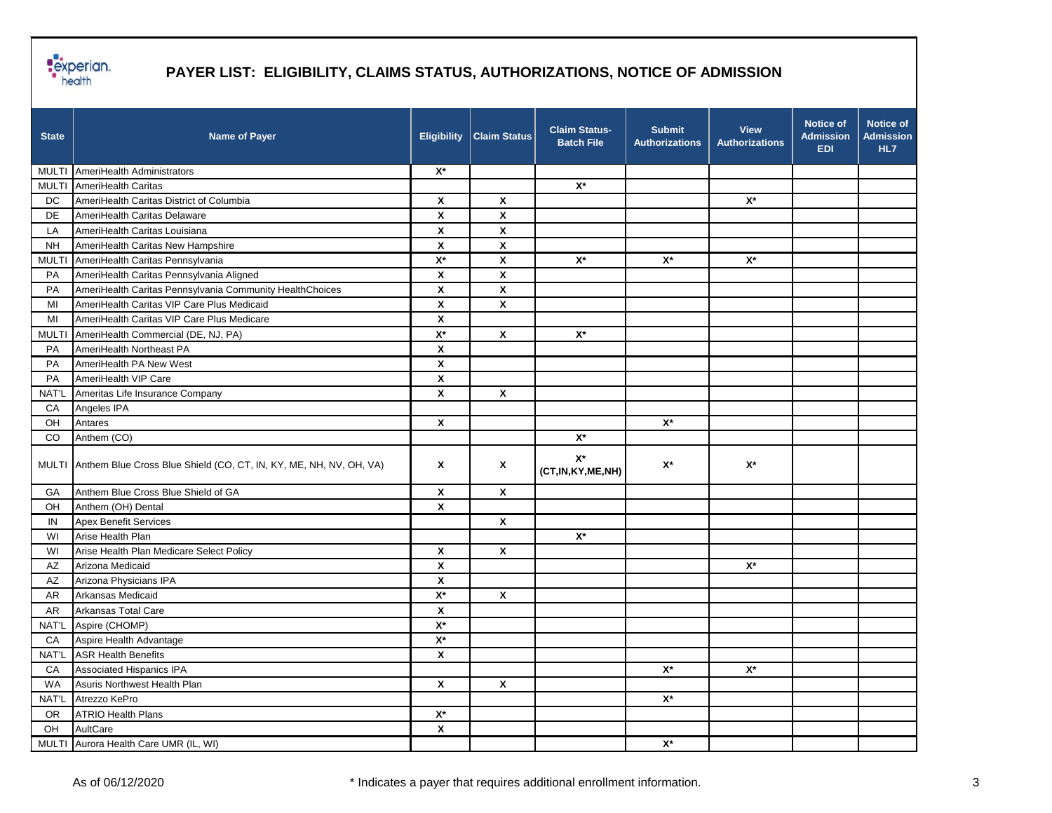

| <b>State</b> | <b>Name of Payer</b>                                                     | <b>Eligibility</b> | <b>Claim Status</b> | <b>Claim Status-</b><br><b>Batch File</b> | <b>Submit</b><br><b>Authorizations</b> | <b>View</b><br><b>Authorizations</b> | <b>Notice of</b><br><b>Admission</b><br><b>EDI</b> | Notice of<br><b>Admission</b><br>HL7 |
|--------------|--------------------------------------------------------------------------|--------------------|---------------------|-------------------------------------------|----------------------------------------|--------------------------------------|----------------------------------------------------|--------------------------------------|
|              | MULTI AmeriHealth Administrators                                         | $\mathsf{X}^\star$ |                     |                                           |                                        |                                      |                                                    |                                      |
|              | MULTI AmeriHealth Caritas                                                |                    |                     | $\mathsf{X}^\star$                        |                                        |                                      |                                                    |                                      |
| DC           | AmeriHealth Caritas District of Columbia                                 | X                  | $\pmb{\mathsf{x}}$  |                                           |                                        | $X^*$                                |                                                    |                                      |
| DE           | AmeriHealth Caritas Delaware                                             | X                  | $\pmb{\mathsf{X}}$  |                                           |                                        |                                      |                                                    |                                      |
| LA           | AmeriHealth Caritas Louisiana                                            | X                  | X                   |                                           |                                        |                                      |                                                    |                                      |
| <b>NH</b>    | AmeriHealth Caritas New Hampshire                                        | X                  | χ                   |                                           |                                        |                                      |                                                    |                                      |
| <b>MULTI</b> | AmeriHealth Caritas Pennsylvania                                         | $\mathsf{X}^\star$ | $\pmb{\mathsf{X}}$  | $\mathsf{X}^\star$                        | $\mathsf{X}^\star$                     | $\mathsf{X}^\star$                   |                                                    |                                      |
| PA           | AmeriHealth Caritas Pennsylvania Aligned                                 | $\pmb{\mathsf{X}}$ | $\pmb{\mathsf{X}}$  |                                           |                                        |                                      |                                                    |                                      |
| PA           | AmeriHealth Caritas Pennsylvania Community HealthChoices                 | $\pmb{\mathsf{X}}$ | $\pmb{\mathsf{X}}$  |                                           |                                        |                                      |                                                    |                                      |
| MI           | AmeriHealth Caritas VIP Care Plus Medicaid                               | X                  | $\pmb{\mathsf{X}}$  |                                           |                                        |                                      |                                                    |                                      |
| MI           | AmeriHealth Caritas VIP Care Plus Medicare                               | X                  |                     |                                           |                                        |                                      |                                                    |                                      |
| <b>MULTI</b> | AmeriHealth Commercial (DE, NJ, PA)                                      | $\mathsf{X}^\star$ | X                   | $\mathsf{X}^\star$                        |                                        |                                      |                                                    |                                      |
| PA           | AmeriHealth Northeast PA                                                 | $\pmb{\mathsf{x}}$ |                     |                                           |                                        |                                      |                                                    |                                      |
| PA           | AmeriHealth PA New West                                                  | X                  |                     |                                           |                                        |                                      |                                                    |                                      |
| PA           | AmeriHealth VIP Care                                                     | X                  |                     |                                           |                                        |                                      |                                                    |                                      |
| NAT'L        | Ameritas Life Insurance Company                                          | X                  | X                   |                                           |                                        |                                      |                                                    |                                      |
| CA           | Angeles IPA                                                              |                    |                     |                                           |                                        |                                      |                                                    |                                      |
| OH           | Antares                                                                  | $\pmb{\mathsf{x}}$ |                     |                                           | $\mathsf{X}^\star$                     |                                      |                                                    |                                      |
| CO           | Anthem (CO)                                                              |                    |                     | $\mathsf{X}^\star$                        |                                        |                                      |                                                    |                                      |
|              | MULTI Anthem Blue Cross Blue Shield (CO, CT, IN, KY, ME, NH, NV, OH, VA) | X                  | X                   | $X^*$<br>(CT, IN, KY, ME, NH)             | $X^*$                                  | $X^*$                                |                                                    |                                      |
| GA           | Anthem Blue Cross Blue Shield of GA                                      | X                  | X                   |                                           |                                        |                                      |                                                    |                                      |
| OH           | Anthem (OH) Dental                                                       | $\pmb{\mathsf{X}}$ |                     |                                           |                                        |                                      |                                                    |                                      |
| IN           | <b>Apex Benefit Services</b>                                             |                    | X                   |                                           |                                        |                                      |                                                    |                                      |
| WI           | Arise Health Plan                                                        |                    |                     | $X^*$                                     |                                        |                                      |                                                    |                                      |
| WI           | Arise Health Plan Medicare Select Policy                                 | X                  | X                   |                                           |                                        |                                      |                                                    |                                      |
| AZ           | Arizona Medicaid                                                         | X                  |                     |                                           |                                        | $\mathsf{X}^\star$                   |                                                    |                                      |
| AZ           | Arizona Physicians IPA                                                   | $\pmb{\mathsf{x}}$ |                     |                                           |                                        |                                      |                                                    |                                      |
| <b>AR</b>    | Arkansas Medicaid                                                        | $\mathsf{X}^\star$ | $\pmb{\mathsf{X}}$  |                                           |                                        |                                      |                                                    |                                      |
| <b>AR</b>    | Arkansas Total Care                                                      | X                  |                     |                                           |                                        |                                      |                                                    |                                      |
| NAT'L        | Aspire (CHOMP)                                                           | $\mathsf{X}^\star$ |                     |                                           |                                        |                                      |                                                    |                                      |
| CA           | Aspire Health Advantage                                                  | $X^*$              |                     |                                           |                                        |                                      |                                                    |                                      |
|              | NAT'L ASR Health Benefits                                                | $\pmb{\mathsf{x}}$ |                     |                                           |                                        |                                      |                                                    |                                      |
| CA           | Associated Hispanics IPA                                                 |                    |                     |                                           | $\mathsf{X}^\star$                     | $\mathsf{X}^\star$                   |                                                    |                                      |
| WA           | Asuris Northwest Health Plan                                             | X                  | $\pmb{\mathsf{X}}$  |                                           |                                        |                                      |                                                    |                                      |
| NAT'L        | Atrezzo KePro                                                            |                    |                     |                                           | $\mathsf{X}^\star$                     |                                      |                                                    |                                      |
| <b>OR</b>    | <b>ATRIO Health Plans</b>                                                | $\mathsf{X}^\star$ |                     |                                           |                                        |                                      |                                                    |                                      |
| OH           | AultCare                                                                 | $\pmb{\mathsf{x}}$ |                     |                                           |                                        |                                      |                                                    |                                      |
|              | MULTI Aurora Health Care UMR (IL, WI)                                    |                    |                     |                                           | $\mathbf{X}^{\star}$                   |                                      |                                                    |                                      |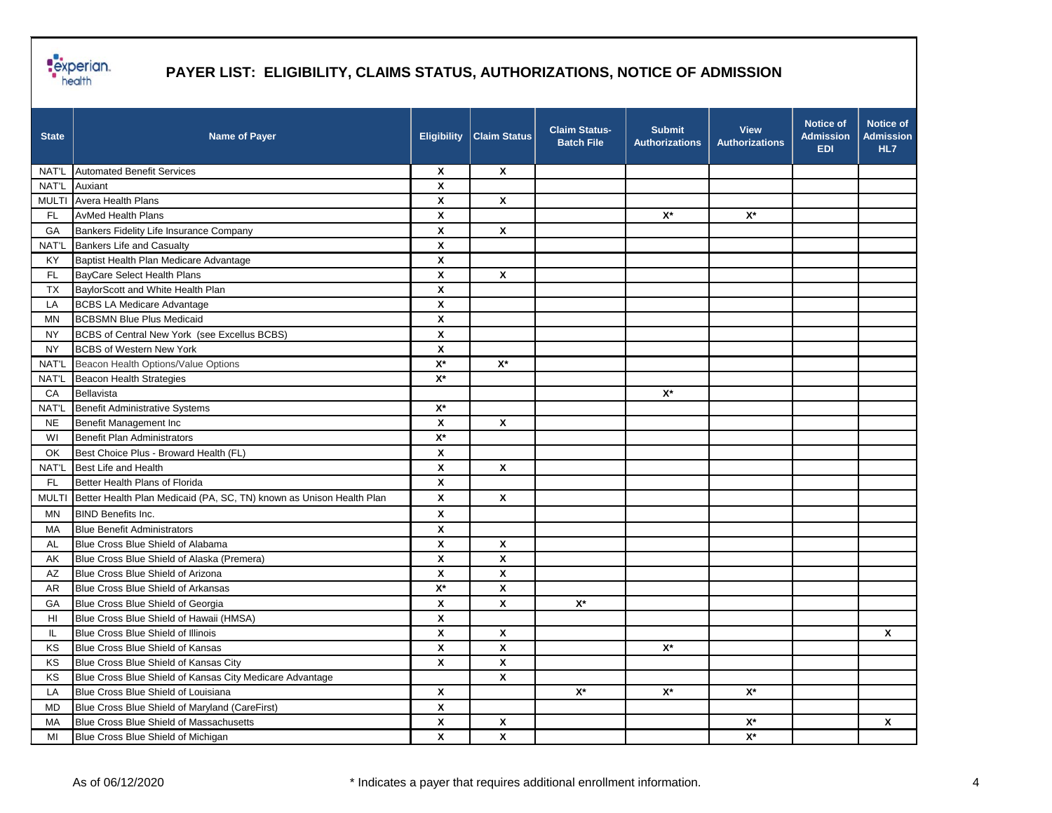

| <b>State</b> | <b>Name of Payer</b>                                                 | <b>Eligibility</b> | <b>Claim Status</b>       | <b>Claim Status-</b><br><b>Batch File</b> | <b>Submit</b><br><b>Authorizations</b> | <b>View</b><br><b>Authorizations</b> | <b>Notice of</b><br><b>Admission</b><br><b>EDI</b> | <b>Notice of</b><br><b>Admission</b><br>HL7 |
|--------------|----------------------------------------------------------------------|--------------------|---------------------------|-------------------------------------------|----------------------------------------|--------------------------------------|----------------------------------------------------|---------------------------------------------|
|              | NAT'L Automated Benefit Services                                     | X                  | X                         |                                           |                                        |                                      |                                                    |                                             |
| NAT'L        | Auxiant                                                              | X                  |                           |                                           |                                        |                                      |                                                    |                                             |
|              | MULTI Avera Health Plans                                             | X                  | X                         |                                           |                                        |                                      |                                                    |                                             |
| FL.          | <b>AvMed Health Plans</b>                                            | X                  |                           |                                           | $X^*$                                  | $\mathsf{X}^\star$                   |                                                    |                                             |
| GA           | Bankers Fidelity Life Insurance Company                              | $\pmb{\mathsf{X}}$ | $\boldsymbol{\mathsf{x}}$ |                                           |                                        |                                      |                                                    |                                             |
| NAT'L        | <b>Bankers Life and Casualty</b>                                     | $\pmb{\mathsf{X}}$ |                           |                                           |                                        |                                      |                                                    |                                             |
| KY           | Baptist Health Plan Medicare Advantage                               | X                  |                           |                                           |                                        |                                      |                                                    |                                             |
| <b>FL</b>    | BayCare Select Health Plans                                          | X                  | X                         |                                           |                                        |                                      |                                                    |                                             |
| TX           | BaylorScott and White Health Plan                                    | $\pmb{\mathsf{x}}$ |                           |                                           |                                        |                                      |                                                    |                                             |
| LA           | <b>BCBS LA Medicare Advantage</b>                                    | $\pmb{\mathsf{x}}$ |                           |                                           |                                        |                                      |                                                    |                                             |
| ΜN           | <b>BCBSMN Blue Plus Medicaid</b>                                     | $\pmb{\chi}$       |                           |                                           |                                        |                                      |                                                    |                                             |
| NY           | BCBS of Central New York (see Excellus BCBS)                         | X                  |                           |                                           |                                        |                                      |                                                    |                                             |
| <b>NY</b>    | <b>BCBS of Western New York</b>                                      | X                  |                           |                                           |                                        |                                      |                                                    |                                             |
| NAT'L        | Beacon Health Options/Value Options                                  | $\mathsf{X}^\star$ | $\mathsf{X}^\star$        |                                           |                                        |                                      |                                                    |                                             |
| <b>NAT'L</b> | Beacon Health Strategies                                             | $\overline{X^*}$   |                           |                                           |                                        |                                      |                                                    |                                             |
| CA           | Bellavista                                                           |                    |                           |                                           | $X^*$                                  |                                      |                                                    |                                             |
| <b>NAT'L</b> | Benefit Administrative Systems                                       | $\mathsf{X}^\star$ |                           |                                           |                                        |                                      |                                                    |                                             |
| <b>NE</b>    | Benefit Management Inc                                               | X                  | X                         |                                           |                                        |                                      |                                                    |                                             |
| WI           | Benefit Plan Administrators                                          | $X^*$              |                           |                                           |                                        |                                      |                                                    |                                             |
| OK           | Best Choice Plus - Broward Health (FL)                               | X                  |                           |                                           |                                        |                                      |                                                    |                                             |
| NAT'L        | Best Life and Health                                                 | $\pmb{\mathsf{x}}$ | $\mathbf{x}$              |                                           |                                        |                                      |                                                    |                                             |
| FL.          | Better Health Plans of Florida                                       | $\pmb{\mathsf{X}}$ |                           |                                           |                                        |                                      |                                                    |                                             |
| <b>MULTI</b> | Better Health Plan Medicaid (PA, SC, TN) known as Unison Health Plan | X                  | X                         |                                           |                                        |                                      |                                                    |                                             |
| ΜN           | <b>BIND Benefits Inc.</b>                                            | X                  |                           |                                           |                                        |                                      |                                                    |                                             |
| MA           | <b>Blue Benefit Administrators</b>                                   | $\pmb{\mathsf{x}}$ |                           |                                           |                                        |                                      |                                                    |                                             |
| AL           | Blue Cross Blue Shield of Alabama                                    | X                  | X                         |                                           |                                        |                                      |                                                    |                                             |
| AK           | Blue Cross Blue Shield of Alaska (Premera)                           | X                  | X                         |                                           |                                        |                                      |                                                    |                                             |
| AZ           | Blue Cross Blue Shield of Arizona                                    | X                  | X                         |                                           |                                        |                                      |                                                    |                                             |
| AR           | Blue Cross Blue Shield of Arkansas                                   | $X^*$              | X                         |                                           |                                        |                                      |                                                    |                                             |
| GA           | Blue Cross Blue Shield of Georgia                                    | $\pmb{\mathsf{x}}$ | X                         | $\mathsf{X}^\star$                        |                                        |                                      |                                                    |                                             |
| HI           | Blue Cross Blue Shield of Hawaii (HMSA)                              | $\pmb{\mathsf{x}}$ |                           |                                           |                                        |                                      |                                                    |                                             |
| IL           | Blue Cross Blue Shield of Illinois                                   | X                  | X                         |                                           |                                        |                                      |                                                    | Χ                                           |
| KS           | Blue Cross Blue Shield of Kansas                                     | $\pmb{\mathsf{X}}$ | X                         |                                           | $\mathsf{X}^\star$                     |                                      |                                                    |                                             |
| ΚS           | Blue Cross Blue Shield of Kansas City                                | X                  | X                         |                                           |                                        |                                      |                                                    |                                             |
| KS           | Blue Cross Blue Shield of Kansas City Medicare Advantage             |                    | $\pmb{\mathsf{X}}$        |                                           |                                        |                                      |                                                    |                                             |
| LA           | Blue Cross Blue Shield of Louisiana                                  | $\pmb{\mathsf{X}}$ |                           | $\mathsf{X}^\star$                        | $\mathsf{X}^\star$                     | $\mathsf{X}^\star$                   |                                                    |                                             |
| MD           | Blue Cross Blue Shield of Maryland (CareFirst)                       | $\pmb{\mathsf{X}}$ |                           |                                           |                                        |                                      |                                                    |                                             |
| MA           | Blue Cross Blue Shield of Massachusetts                              | $\pmb{\mathsf{X}}$ | $\pmb{\mathsf{X}}$        |                                           |                                        | $\mathbf{X}^{\star}$                 |                                                    | X                                           |
| MI           | Blue Cross Blue Shield of Michigan                                   | X                  | X                         |                                           |                                        | $\mathsf{X}^\star$                   |                                                    |                                             |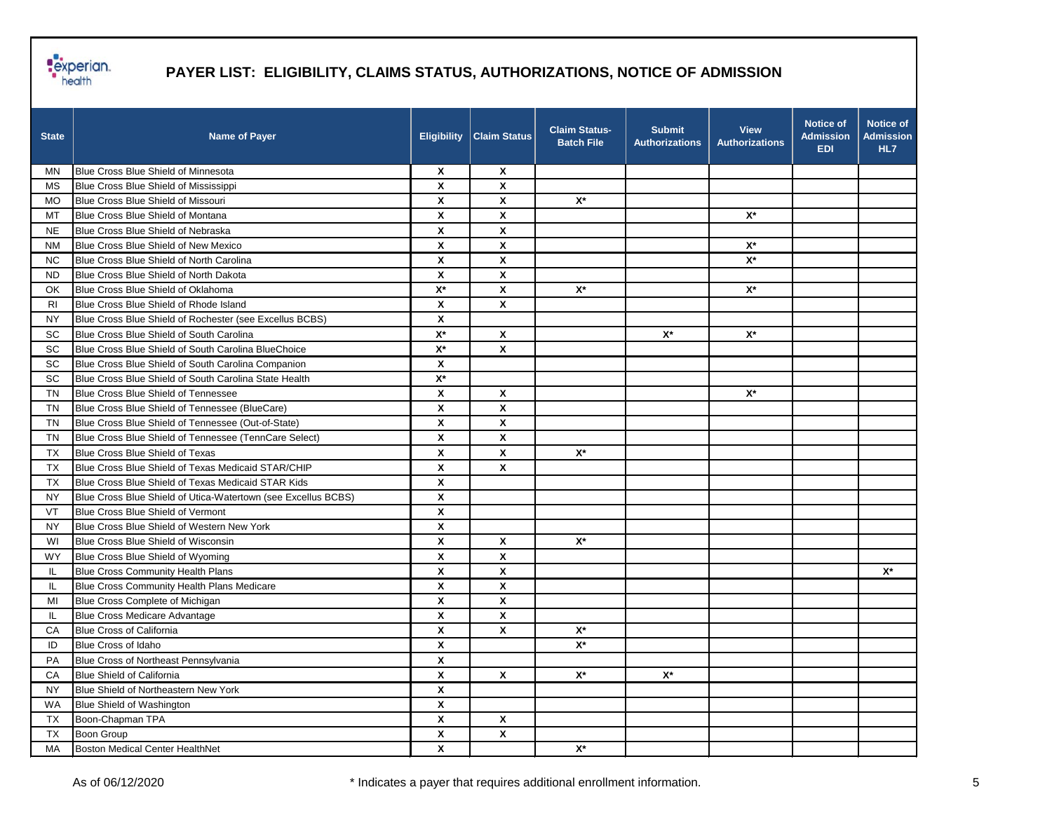

| <b>State</b>   | <b>Name of Payer</b>                                          | <b>Eligibility</b> | <b>Claim Status</b> | <b>Claim Status-</b><br><b>Batch File</b> | <b>Submit</b><br><b>Authorizations</b> | <b>View</b><br><b>Authorizations</b> | <b>Notice of</b><br><b>Admission</b><br><b>EDI</b> | <b>Notice of</b><br><b>Admission</b><br>HL7 |
|----------------|---------------------------------------------------------------|--------------------|---------------------|-------------------------------------------|----------------------------------------|--------------------------------------|----------------------------------------------------|---------------------------------------------|
| MN.            | Blue Cross Blue Shield of Minnesota                           | X                  | $\pmb{\chi}$        |                                           |                                        |                                      |                                                    |                                             |
| МS             | Blue Cross Blue Shield of Mississippi                         | $\mathbf{x}$       | $\mathsf{x}$        |                                           |                                        |                                      |                                                    |                                             |
| MO.            | Blue Cross Blue Shield of Missouri                            | X                  | X                   | $X^*$                                     |                                        |                                      |                                                    |                                             |
| MT             | Blue Cross Blue Shield of Montana                             | X                  | X                   |                                           |                                        | $\mathsf{X}^\star$                   |                                                    |                                             |
| <b>NE</b>      | Blue Cross Blue Shield of Nebraska                            | X                  | X                   |                                           |                                        |                                      |                                                    |                                             |
| <b>NM</b>      | Blue Cross Blue Shield of New Mexico                          | X                  | X                   |                                           |                                        | $\mathsf{X}^\star$                   |                                                    |                                             |
| NC.            | Blue Cross Blue Shield of North Carolina                      | X                  | $\mathsf{x}$        |                                           |                                        | $\mathsf{X}^\star$                   |                                                    |                                             |
| ND.            | Blue Cross Blue Shield of North Dakota                        | X                  | X                   |                                           |                                        |                                      |                                                    |                                             |
| OK             | Blue Cross Blue Shield of Oklahoma                            | $\mathsf{X}^\star$ | X                   | $X^*$                                     |                                        | $\mathsf{X}^\star$                   |                                                    |                                             |
| R <sub>l</sub> | Blue Cross Blue Shield of Rhode Island                        | X                  | X                   |                                           |                                        |                                      |                                                    |                                             |
| <b>NY</b>      | Blue Cross Blue Shield of Rochester (see Excellus BCBS)       | X                  |                     |                                           |                                        |                                      |                                                    |                                             |
| <b>SC</b>      | Blue Cross Blue Shield of South Carolina                      | $\mathsf{X}^\star$ | X                   |                                           | $\mathsf{X}^\star$                     | $\mathbf{X}^{\star}$                 |                                                    |                                             |
| <b>SC</b>      | Blue Cross Blue Shield of South Carolina BlueChoice           | $\mathsf{X}^\star$ | X                   |                                           |                                        |                                      |                                                    |                                             |
| SC             | Blue Cross Blue Shield of South Carolina Companion            | X                  |                     |                                           |                                        |                                      |                                                    |                                             |
| SC             | Blue Cross Blue Shield of South Carolina State Health         | $\mathsf{X}^\star$ |                     |                                           |                                        |                                      |                                                    |                                             |
| TN             | Blue Cross Blue Shield of Tennessee                           | X                  | X                   |                                           |                                        | $\mathsf{X}^\star$                   |                                                    |                                             |
| <b>TN</b>      | Blue Cross Blue Shield of Tennessee (BlueCare)                | X                  | X                   |                                           |                                        |                                      |                                                    |                                             |
| TN             | Blue Cross Blue Shield of Tennessee (Out-of-State)            | X                  | X                   |                                           |                                        |                                      |                                                    |                                             |
| <b>TN</b>      | Blue Cross Blue Shield of Tennessee (TennCare Select)         | $\pmb{\mathsf{x}}$ | X                   |                                           |                                        |                                      |                                                    |                                             |
| <b>TX</b>      | Blue Cross Blue Shield of Texas                               | X                  | X                   | $X^*$                                     |                                        |                                      |                                                    |                                             |
| <b>TX</b>      | Blue Cross Blue Shield of Texas Medicaid STAR/CHIP            | X                  | X                   |                                           |                                        |                                      |                                                    |                                             |
| <b>TX</b>      | Blue Cross Blue Shield of Texas Medicaid STAR Kids            | X                  |                     |                                           |                                        |                                      |                                                    |                                             |
| ΝY             | Blue Cross Blue Shield of Utica-Watertown (see Excellus BCBS) | X                  |                     |                                           |                                        |                                      |                                                    |                                             |
| VT             | Blue Cross Blue Shield of Vermont                             | $\pmb{\mathsf{x}}$ |                     |                                           |                                        |                                      |                                                    |                                             |
| NY.            | Blue Cross Blue Shield of Western New York                    | X                  |                     |                                           |                                        |                                      |                                                    |                                             |
| WI             | Blue Cross Blue Shield of Wisconsin                           | X                  | X                   | $X^*$                                     |                                        |                                      |                                                    |                                             |
| <b>WY</b>      | Blue Cross Blue Shield of Wyoming                             | X                  | X                   |                                           |                                        |                                      |                                                    |                                             |
| IL.            | <b>Blue Cross Community Health Plans</b>                      | X                  | X                   |                                           |                                        |                                      |                                                    | $X^*$                                       |
| IL.            | Blue Cross Community Health Plans Medicare                    | X                  | $\mathsf{x}$        |                                           |                                        |                                      |                                                    |                                             |
| MI             | Blue Cross Complete of Michigan                               | $\pmb{\mathsf{x}}$ | X                   |                                           |                                        |                                      |                                                    |                                             |
| IL.            | <b>Blue Cross Medicare Advantage</b>                          | X                  | X                   |                                           |                                        |                                      |                                                    |                                             |
| СA             | <b>Blue Cross of California</b>                               | X                  | X                   | $X^*$                                     |                                        |                                      |                                                    |                                             |
| ID             | Blue Cross of Idaho                                           | X                  |                     | $\mathsf{X}^\star$                        |                                        |                                      |                                                    |                                             |
| PA             | Blue Cross of Northeast Pennsylvania                          | $\pmb{\mathsf{x}}$ |                     |                                           |                                        |                                      |                                                    |                                             |
| CA             | Blue Shield of California                                     | $\pmb{\mathsf{X}}$ | $\pmb{\mathsf{X}}$  | $\mathsf{X}^\star$                        | $\mathsf{X}^\star$                     |                                      |                                                    |                                             |
| <b>NY</b>      | Blue Shield of Northeastern New York                          | $\pmb{\mathsf{x}}$ |                     |                                           |                                        |                                      |                                                    |                                             |
| WA             | Blue Shield of Washington                                     | X                  |                     |                                           |                                        |                                      |                                                    |                                             |
| TX             | Boon-Chapman TPA                                              | X                  | X                   |                                           |                                        |                                      |                                                    |                                             |
| <b>TX</b>      | Boon Group                                                    | X                  | X                   |                                           |                                        |                                      |                                                    |                                             |
| MA             | Boston Medical Center HealthNet                               | X                  |                     | $\mathsf{X}^\star$                        |                                        |                                      |                                                    |                                             |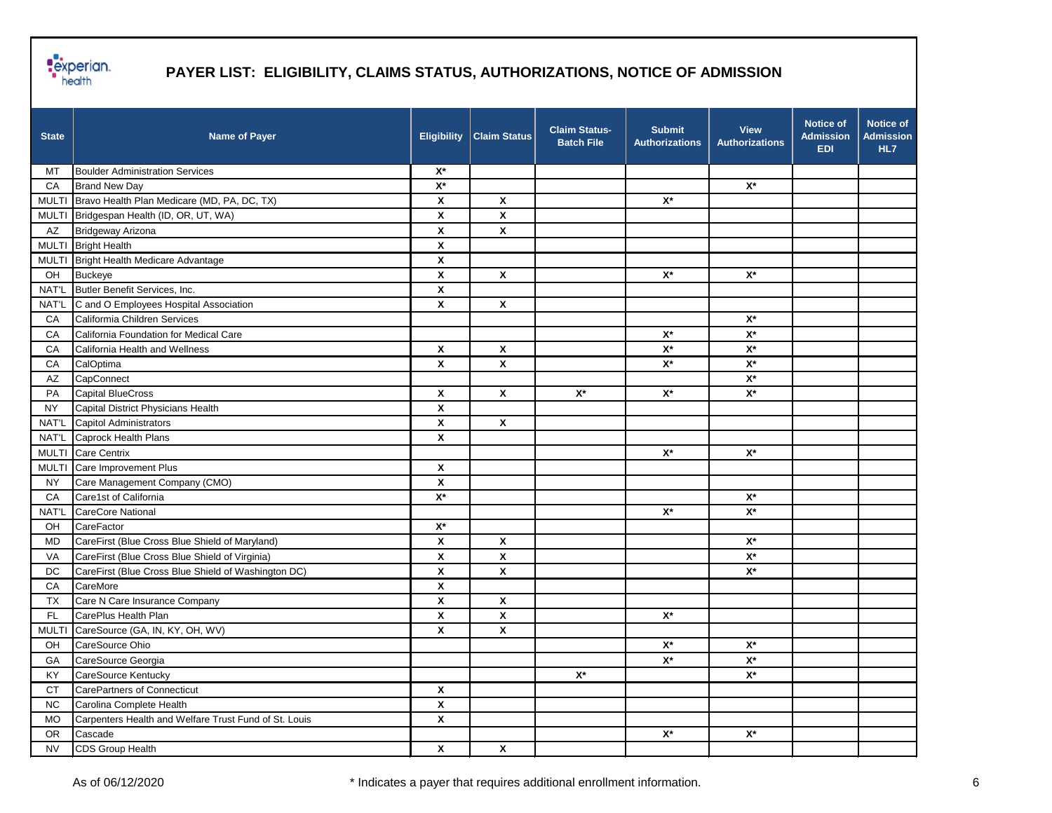

| <b>State</b> | <b>Name of Payer</b>                                  | <b>Eligibility</b> | <b>Claim Status</b> | <b>Claim Status-</b><br><b>Batch File</b> | <b>Submit</b><br><b>Authorizations</b> | <b>View</b><br><b>Authorizations</b> | <b>Notice of</b><br><b>Admission</b><br><b>EDI</b> | Notice of<br><b>Admission</b><br>HL7 |
|--------------|-------------------------------------------------------|--------------------|---------------------|-------------------------------------------|----------------------------------------|--------------------------------------|----------------------------------------------------|--------------------------------------|
| МT           | <b>Boulder Administration Services</b>                | $X^*$              |                     |                                           |                                        |                                      |                                                    |                                      |
| CA           | <b>Brand New Day</b>                                  | $\mathsf{X}^\star$ |                     |                                           |                                        | $\mathsf{X}^\star$                   |                                                    |                                      |
|              | MULTI Bravo Health Plan Medicare (MD, PA, DC, TX)     | X                  | $\pmb{\mathsf{X}}$  |                                           | $\mathsf{X}^\star$                     |                                      |                                                    |                                      |
|              | MULTI Bridgespan Health (ID, OR, UT, WA)              | $\pmb{\mathsf{X}}$ | X                   |                                           |                                        |                                      |                                                    |                                      |
| AZ           | Bridgeway Arizona                                     | X                  | X                   |                                           |                                        |                                      |                                                    |                                      |
|              | MULTI Bright Health                                   | X                  |                     |                                           |                                        |                                      |                                                    |                                      |
|              | MULTI Bright Health Medicare Advantage                | $\pmb{\mathsf{x}}$ |                     |                                           |                                        |                                      |                                                    |                                      |
| OH           | <b>Buckeye</b>                                        | X                  | X                   |                                           | $\mathsf{X}^\star$                     | $X^*$                                |                                                    |                                      |
| NAT'L        | Butler Benefit Services, Inc.                         | $\pmb{\mathsf{X}}$ |                     |                                           |                                        |                                      |                                                    |                                      |
| NAT'L        | C and O Employees Hospital Association                | X                  | X                   |                                           |                                        |                                      |                                                    |                                      |
| CA           | Califormia Children Services                          |                    |                     |                                           |                                        | $X^*$                                |                                                    |                                      |
| CA           | California Foundation for Medical Care                |                    |                     |                                           | $\mathsf{X}^\star$                     | $\mathsf{X}^\star$                   |                                                    |                                      |
| СA           | California Health and Wellness                        | $\pmb{\chi}$       | $\pmb{\mathsf{X}}$  |                                           | $\mathsf{X}^\star$                     | $\mathsf{X}^\star$                   |                                                    |                                      |
| CA           | CalOptima                                             | X                  | X                   |                                           | $\mathbf{X}^{\star}$                   | $\mathsf{X}^\star$                   |                                                    |                                      |
| AZ           | CapConnect                                            |                    |                     |                                           |                                        | $\mathsf{X}^\star$                   |                                                    |                                      |
| PA           | <b>Capital BlueCross</b>                              | X                  | $\pmb{\mathsf{X}}$  | $X^*$                                     | $\mathsf{X}^\star$                     | $\mathsf{X}^\star$                   |                                                    |                                      |
| <b>NY</b>    | Capital District Physicians Health                    | X                  |                     |                                           |                                        |                                      |                                                    |                                      |
| <b>NAT'L</b> | <b>Capitol Administrators</b>                         | X                  | X                   |                                           |                                        |                                      |                                                    |                                      |
| NAT'L        | Caprock Health Plans                                  | $\pmb{\mathsf{X}}$ |                     |                                           |                                        |                                      |                                                    |                                      |
| <b>MULTI</b> | <b>Care Centrix</b>                                   |                    |                     |                                           | $\mathsf{X}^\star$                     | $\mathsf{X}^\star$                   |                                                    |                                      |
| <b>MULTI</b> | Care Improvement Plus                                 | X                  |                     |                                           |                                        |                                      |                                                    |                                      |
| <b>NY</b>    | Care Management Company (CMO)                         | X                  |                     |                                           |                                        |                                      |                                                    |                                      |
| CA           | Care1st of California                                 | $X^*$              |                     |                                           |                                        | $\mathsf{X}^\star$                   |                                                    |                                      |
| NAT'L        | <b>CareCore National</b>                              |                    |                     |                                           | $\mathsf{X}^\star$                     | $\mathsf{X}^\star$                   |                                                    |                                      |
| OH           | CareFactor                                            | $\mathsf{X}^\star$ |                     |                                           |                                        |                                      |                                                    |                                      |
| MD           | CareFirst (Blue Cross Blue Shield of Maryland)        | X                  | X                   |                                           |                                        | $\mathsf{X}^\star$                   |                                                    |                                      |
| VA           | CareFirst (Blue Cross Blue Shield of Virginia)        | X                  | X                   |                                           |                                        | $\mathsf{X}^\star$                   |                                                    |                                      |
| DC           | CareFirst (Blue Cross Blue Shield of Washington DC)   | X                  | X                   |                                           |                                        | $X^*$                                |                                                    |                                      |
| CA           | CareMore                                              | $\pmb{\mathsf{x}}$ |                     |                                           |                                        |                                      |                                                    |                                      |
| TX           | Care N Care Insurance Company                         | $\pmb{\mathsf{x}}$ | X                   |                                           |                                        |                                      |                                                    |                                      |
| FL.          | CarePlus Health Plan                                  | X                  | X                   |                                           | $X^*$                                  |                                      |                                                    |                                      |
|              | MULTI CareSource (GA, IN, KY, OH, WV)                 | X                  | X                   |                                           |                                        |                                      |                                                    |                                      |
| OH           | CareSource Ohio                                       |                    |                     |                                           | $\mathsf{X}^\star$                     | $X^*$                                |                                                    |                                      |
| GA           | CareSource Georgia                                    |                    |                     |                                           | $\mathsf{X}^\star$                     | $\mathsf{X}^\star$                   |                                                    |                                      |
| KY           | CareSource Kentucky                                   |                    |                     | $\mathsf{X}^\star$                        |                                        | $\mathsf{X}^\star$                   |                                                    |                                      |
| <b>CT</b>    | <b>CarePartners of Connecticut</b>                    | $\pmb{\chi}$       |                     |                                           |                                        |                                      |                                                    |                                      |
| NC           | Carolina Complete Health                              | $\pmb{\mathsf{x}}$ |                     |                                           |                                        |                                      |                                                    |                                      |
| MO           | Carpenters Health and Welfare Trust Fund of St. Louis | $\pmb{\mathsf{x}}$ |                     |                                           |                                        |                                      |                                                    |                                      |
| <b>OR</b>    | Cascade                                               |                    |                     |                                           | $\mathsf{X}^\star$                     | $\mathsf{X}^\star$                   |                                                    |                                      |
| <b>NV</b>    | CDS Group Health                                      | $\pmb{\mathsf{x}}$ | $\pmb{\mathsf{X}}$  |                                           |                                        |                                      |                                                    |                                      |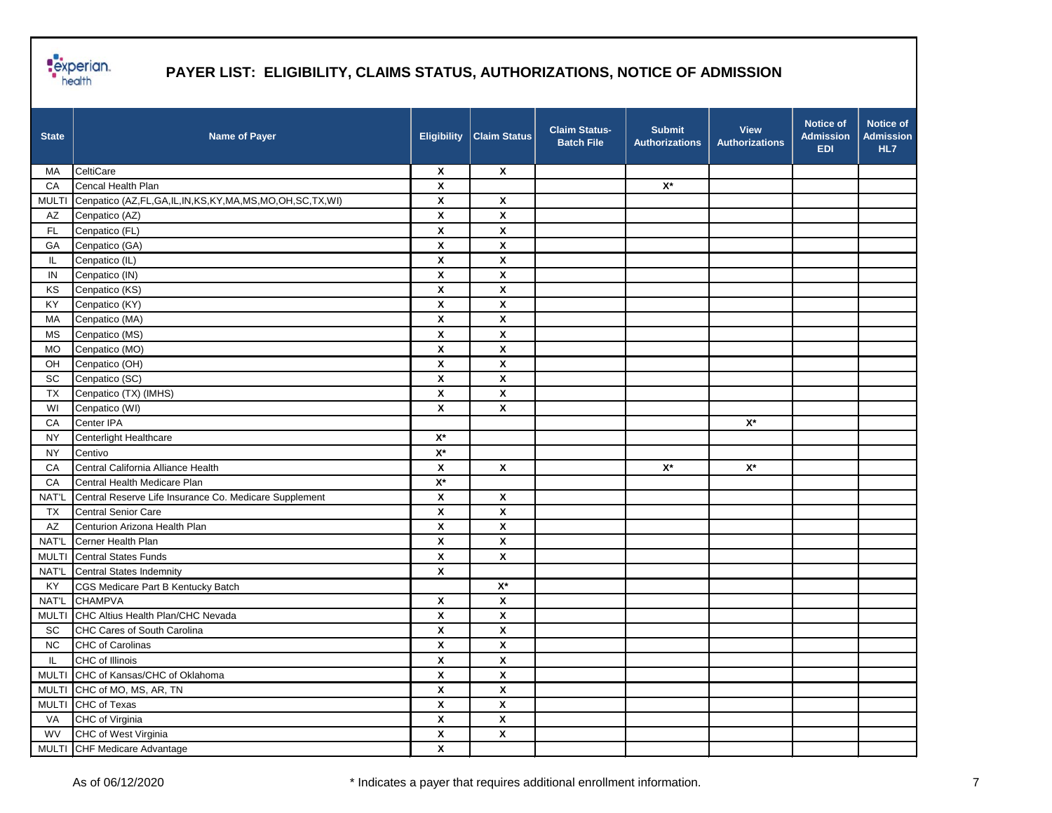

| <b>State</b>                 | <b>Name of Payer</b>                                   | <b>Eligibility</b>        | <b>Claim Status</b>       | <b>Claim Status-</b><br><b>Batch File</b> | <b>Submit</b><br><b>Authorizations</b> | <b>View</b><br><b>Authorizations</b> | <b>Notice of</b><br><b>Admission</b><br><b>EDI</b> | <b>Notice of</b><br><b>Admission</b><br>HL7 |
|------------------------------|--------------------------------------------------------|---------------------------|---------------------------|-------------------------------------------|----------------------------------------|--------------------------------------|----------------------------------------------------|---------------------------------------------|
| MA                           | CeltiCare                                              | $\boldsymbol{\mathsf{X}}$ | $\boldsymbol{\mathsf{x}}$ |                                           |                                        |                                      |                                                    |                                             |
| CA                           | Cencal Health Plan                                     | X                         |                           |                                           | $\mathsf{X}^\star$                     |                                      |                                                    |                                             |
| <b>MULTI</b>                 | Cenpatico (AZ,FL,GA,IL,IN,KS,KY,MA,MS,MO,OH,SC,TX,WI)  | $\pmb{\mathsf{X}}$        | $\pmb{\mathsf{X}}$        |                                           |                                        |                                      |                                                    |                                             |
| AZ                           | Cenpatico (AZ)                                         | $\boldsymbol{\mathsf{x}}$ | X                         |                                           |                                        |                                      |                                                    |                                             |
| FL.                          | Cenpatico (FL)                                         | $\pmb{\mathsf{x}}$        | $\pmb{\mathsf{X}}$        |                                           |                                        |                                      |                                                    |                                             |
| GA                           | Cenpatico (GA)                                         | X                         | X                         |                                           |                                        |                                      |                                                    |                                             |
| IL.                          | Cenpatico (IL)                                         | $\boldsymbol{\mathsf{x}}$ | X                         |                                           |                                        |                                      |                                                    |                                             |
| IN                           | Cenpatico (IN)                                         | $\pmb{\chi}$              | $\pmb{\mathsf{X}}$        |                                           |                                        |                                      |                                                    |                                             |
| KS                           | Cenpatico (KS)                                         | $\pmb{\mathsf{x}}$        | $\pmb{\mathsf{X}}$        |                                           |                                        |                                      |                                                    |                                             |
| KY                           | Cenpatico (KY)                                         | $\boldsymbol{\mathsf{x}}$ | X                         |                                           |                                        |                                      |                                                    |                                             |
| MA                           | Cenpatico (MA)                                         | $\boldsymbol{\mathsf{x}}$ | X                         |                                           |                                        |                                      |                                                    |                                             |
| <b>MS</b>                    | Cenpatico (MS)                                         | X                         | X                         |                                           |                                        |                                      |                                                    |                                             |
| <b>MO</b>                    | Cenpatico (MO)                                         | X                         | X                         |                                           |                                        |                                      |                                                    |                                             |
| OH                           | Cenpatico (OH)                                         | $\pmb{\mathsf{X}}$        | $\pmb{\mathsf{X}}$        |                                           |                                        |                                      |                                                    |                                             |
| $\operatorname{\textsf{SC}}$ | Cenpatico (SC)                                         | $\pmb{\mathsf{x}}$        | $\pmb{\mathsf{X}}$        |                                           |                                        |                                      |                                                    |                                             |
| TX                           | Cenpatico (TX) (IMHS)                                  | X                         | $\pmb{\mathsf{X}}$        |                                           |                                        |                                      |                                                    |                                             |
| WI                           | Cenpatico (WI)                                         | $\boldsymbol{\mathsf{x}}$ | X                         |                                           |                                        |                                      |                                                    |                                             |
| CA                           | Center IPA                                             |                           |                           |                                           |                                        | $\mathsf{X}^\star$                   |                                                    |                                             |
| <b>NY</b>                    | Centerlight Healthcare                                 | $\mathsf{X}^\star$        |                           |                                           |                                        |                                      |                                                    |                                             |
| <b>NY</b>                    | Centivo                                                | $\mathsf{X}^\star$        |                           |                                           |                                        |                                      |                                                    |                                             |
| CA                           | Central California Alliance Health                     | X                         | X                         |                                           | $\mathsf{X}^\star$                     | $X^*$                                |                                                    |                                             |
| CA                           | Central Health Medicare Plan                           | $\mathsf{X}^\star$        |                           |                                           |                                        |                                      |                                                    |                                             |
| NAT'L                        | Central Reserve Life Insurance Co. Medicare Supplement | X                         | X                         |                                           |                                        |                                      |                                                    |                                             |
| TX                           | Central Senior Care                                    | X                         | X                         |                                           |                                        |                                      |                                                    |                                             |
| AZ                           | Centurion Arizona Health Plan                          | $\boldsymbol{\mathsf{x}}$ | X                         |                                           |                                        |                                      |                                                    |                                             |
| NAT'L                        | Cerner Health Plan                                     | $\pmb{\chi}$              | $\pmb{\mathsf{X}}$        |                                           |                                        |                                      |                                                    |                                             |
| <b>MULTI</b>                 | <b>Central States Funds</b>                            | $\pmb{\mathsf{x}}$        | X                         |                                           |                                        |                                      |                                                    |                                             |
| NAT'L                        | <b>Central States Indemnity</b>                        | X                         |                           |                                           |                                        |                                      |                                                    |                                             |
| KY                           | CGS Medicare Part B Kentucky Batch                     |                           | $X^*$                     |                                           |                                        |                                      |                                                    |                                             |
| NAT'L                        | <b>CHAMPVA</b>                                         | $\pmb{\chi}$              | X                         |                                           |                                        |                                      |                                                    |                                             |
| <b>MULTI</b>                 | CHC Altius Health Plan/CHC Nevada                      | $\pmb{\mathsf{x}}$        | $\pmb{\mathsf{X}}$        |                                           |                                        |                                      |                                                    |                                             |
| <b>SC</b>                    | CHC Cares of South Carolina                            | $\pmb{\mathsf{x}}$        | X                         |                                           |                                        |                                      |                                                    |                                             |
| ${\sf NC}$                   | <b>CHC</b> of Carolinas                                | X                         | X                         |                                           |                                        |                                      |                                                    |                                             |
| IL.                          | CHC of Illinois                                        | X                         | X                         |                                           |                                        |                                      |                                                    |                                             |
| <b>MULTI</b>                 | CHC of Kansas/CHC of Oklahoma                          | X                         | $\pmb{\mathsf{x}}$        |                                           |                                        |                                      |                                                    |                                             |
| <b>MULTI</b>                 | CHC of MO, MS, AR, TN                                  | $\pmb{\mathsf{x}}$        | $\pmb{\mathsf{X}}$        |                                           |                                        |                                      |                                                    |                                             |
| <b>MULTI</b>                 | CHC of Texas                                           | $\pmb{\mathsf{x}}$        | $\pmb{\mathsf{x}}$        |                                           |                                        |                                      |                                                    |                                             |
| VA                           | CHC of Virginia                                        | $\pmb{\mathsf{X}}$        | $\pmb{\mathsf{x}}$        |                                           |                                        |                                      |                                                    |                                             |
| <b>WV</b>                    | CHC of West Virginia                                   | $\pmb{\mathsf{X}}$        | $\pmb{\mathsf{x}}$        |                                           |                                        |                                      |                                                    |                                             |
|                              | MULTI CHF Medicare Advantage                           | $\pmb{\mathsf{X}}$        |                           |                                           |                                        |                                      |                                                    |                                             |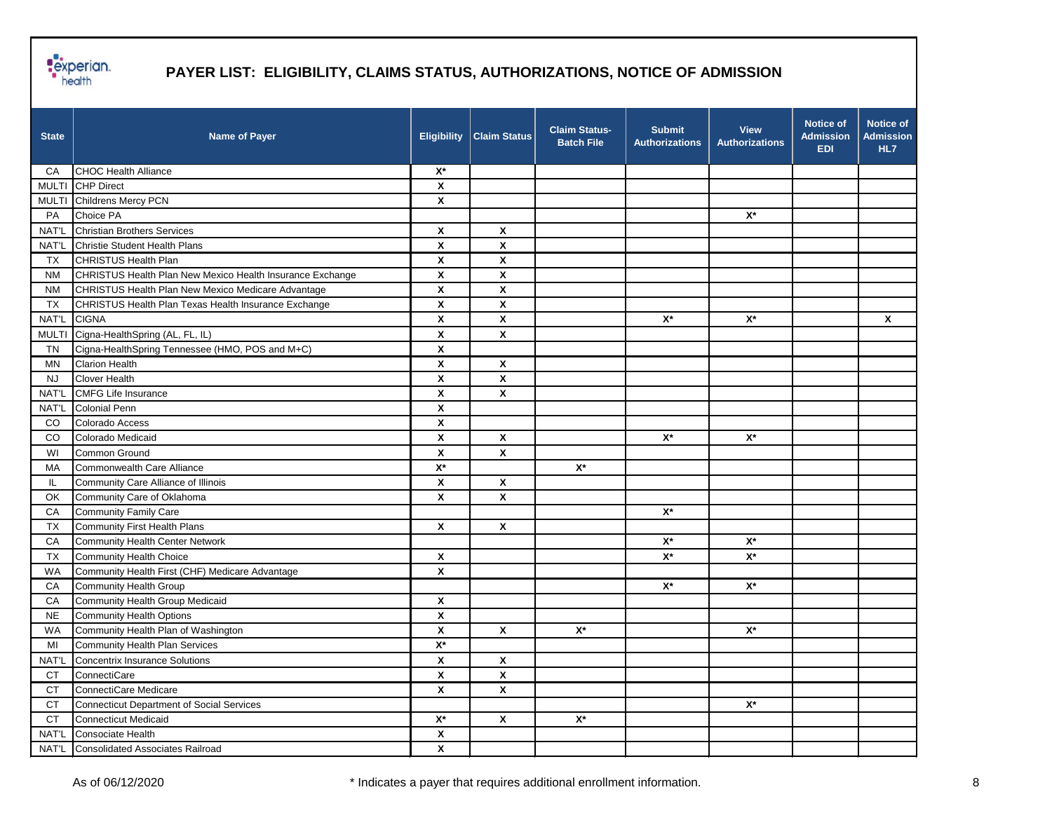

| <b>State</b> | <b>Name of Payer</b>                                      | <b>Eligibility</b>        | <b>Claim Status</b> | Claim Status-<br><b>Batch File</b> | <b>Submit</b><br><b>Authorizations</b> | <b>View</b><br><b>Authorizations</b> | <b>Notice of</b><br><b>Admission</b><br><b>EDI</b> | <b>Notice of</b><br><b>Admission</b><br>HL7 |
|--------------|-----------------------------------------------------------|---------------------------|---------------------|------------------------------------|----------------------------------------|--------------------------------------|----------------------------------------------------|---------------------------------------------|
| СA           | <b>CHOC Health Alliance</b>                               | $X^*$                     |                     |                                    |                                        |                                      |                                                    |                                             |
|              | MULTI CHP Direct                                          | X                         |                     |                                    |                                        |                                      |                                                    |                                             |
|              | MULTI Childrens Mercy PCN                                 | $\boldsymbol{\mathsf{x}}$ |                     |                                    |                                        |                                      |                                                    |                                             |
| PA           | Choice PA                                                 |                           |                     |                                    |                                        | $X^*$                                |                                                    |                                             |
| NAT'L        | <b>Christian Brothers Services</b>                        | $\boldsymbol{\mathsf{x}}$ | X                   |                                    |                                        |                                      |                                                    |                                             |
| NAT'L        | Christie Student Health Plans                             | $\pmb{\mathsf{x}}$        | X                   |                                    |                                        |                                      |                                                    |                                             |
| TX           | CHRISTUS Health Plan                                      | $\boldsymbol{\mathsf{x}}$ | X                   |                                    |                                        |                                      |                                                    |                                             |
| <b>NM</b>    | CHRISTUS Health Plan New Mexico Health Insurance Exchange | $\boldsymbol{\mathsf{x}}$ | X                   |                                    |                                        |                                      |                                                    |                                             |
| <b>NM</b>    | CHRISTUS Health Plan New Mexico Medicare Advantage        | $\boldsymbol{\mathsf{x}}$ | X                   |                                    |                                        |                                      |                                                    |                                             |
| TX           | CHRISTUS Health Plan Texas Health Insurance Exchange      | $\pmb{\chi}$              | X                   |                                    |                                        |                                      |                                                    |                                             |
| NAT'L        | <b>CIGNA</b>                                              | $\pmb{\chi}$              | X                   |                                    | $\mathsf{X}^\star$                     | $\mathsf{X}^\star$                   |                                                    | X                                           |
| <b>MULTI</b> | Cigna-HealthSpring (AL, FL, IL)                           | $\pmb{\chi}$              | X                   |                                    |                                        |                                      |                                                    |                                             |
| TN           | Cigna-HealthSpring Tennessee (HMO, POS and M+C)           | $\boldsymbol{\mathsf{x}}$ |                     |                                    |                                        |                                      |                                                    |                                             |
| <b>MN</b>    | <b>Clarion Health</b>                                     | $\boldsymbol{\mathsf{x}}$ | X                   |                                    |                                        |                                      |                                                    |                                             |
| <b>NJ</b>    | <b>Clover Health</b>                                      | $\boldsymbol{\mathsf{x}}$ | X                   |                                    |                                        |                                      |                                                    |                                             |
| NAT'L        | <b>CMFG Life Insurance</b>                                | $\boldsymbol{\mathsf{x}}$ | X                   |                                    |                                        |                                      |                                                    |                                             |
| NAT'L        | <b>Colonial Penn</b>                                      | $\pmb{\chi}$              |                     |                                    |                                        |                                      |                                                    |                                             |
| CO           | Colorado Access                                           | $\pmb{\chi}$              |                     |                                    |                                        |                                      |                                                    |                                             |
| CO           | Colorado Medicaid                                         | $\boldsymbol{\mathsf{x}}$ | X                   |                                    | $X^*$                                  | $X^*$                                |                                                    |                                             |
| WI           | Common Ground                                             | $\boldsymbol{\mathsf{x}}$ | X                   |                                    |                                        |                                      |                                                    |                                             |
| МA           | Commonwealth Care Alliance                                | $\mathsf{X}^\star$        |                     | $X^*$                              |                                        |                                      |                                                    |                                             |
| IL.          | Community Care Alliance of Illinois                       | $\pmb{\chi}$              | X                   |                                    |                                        |                                      |                                                    |                                             |
| OK           | Community Care of Oklahoma                                | X                         | X                   |                                    |                                        |                                      |                                                    |                                             |
| CA           | Community Family Care                                     |                           |                     |                                    | $\mathsf{X}^\star$                     |                                      |                                                    |                                             |
| TX           | Community First Health Plans                              | $\boldsymbol{\mathsf{x}}$ | X                   |                                    |                                        |                                      |                                                    |                                             |
| CA           | <b>Community Health Center Network</b>                    |                           |                     |                                    | $\mathsf{X}^\star$                     | $\mathsf{X}^\star$                   |                                                    |                                             |
| <b>TX</b>    | Community Health Choice                                   | X                         |                     |                                    | $\mathsf{X}^\star$                     | $\mathsf{X}^\star$                   |                                                    |                                             |
| <b>WA</b>    | Community Health First (CHF) Medicare Advantage           | $\pmb{\mathsf{x}}$        |                     |                                    |                                        |                                      |                                                    |                                             |
| CA           | Community Health Group                                    |                           |                     |                                    | $\mathsf{X}^\star$                     | $X^*$                                |                                                    |                                             |
| CA           | Community Health Group Medicaid                           | X                         |                     |                                    |                                        |                                      |                                                    |                                             |
| <b>NE</b>    | <b>Community Health Options</b>                           | $\boldsymbol{\mathsf{x}}$ |                     |                                    |                                        |                                      |                                                    |                                             |
| <b>WA</b>    | Community Health Plan of Washington                       | $\boldsymbol{\mathsf{x}}$ | X                   | $X^*$                              |                                        | $X^*$                                |                                                    |                                             |
| MI           | Community Health Plan Services                            | $X^*$                     |                     |                                    |                                        |                                      |                                                    |                                             |
| NAT'L        | <b>Concentrix Insurance Solutions</b>                     | $\pmb{\mathsf{x}}$        | $\pmb{\chi}$        |                                    |                                        |                                      |                                                    |                                             |
| <b>CT</b>    | ConnectiCare                                              | $\boldsymbol{\mathsf{x}}$ | X                   |                                    |                                        |                                      |                                                    |                                             |
| <b>CT</b>    | ConnectiCare Medicare                                     | $\boldsymbol{\mathsf{x}}$ | X                   |                                    |                                        |                                      |                                                    |                                             |
| <b>CT</b>    | Connecticut Department of Social Services                 |                           |                     |                                    |                                        | $\mathsf{X}^\star$                   |                                                    |                                             |
| <b>CT</b>    | <b>Connecticut Medicaid</b>                               | $\mathsf{X}^\star$        | $\boldsymbol{x}$    | $\mathsf{X}^\star$                 |                                        |                                      |                                                    |                                             |
| NAT'L        | Consociate Health                                         | $\pmb{\chi}$              |                     |                                    |                                        |                                      |                                                    |                                             |
| NAT'L        | <b>Consolidated Associates Railroad</b>                   | $\pmb{\chi}$              |                     |                                    |                                        |                                      |                                                    |                                             |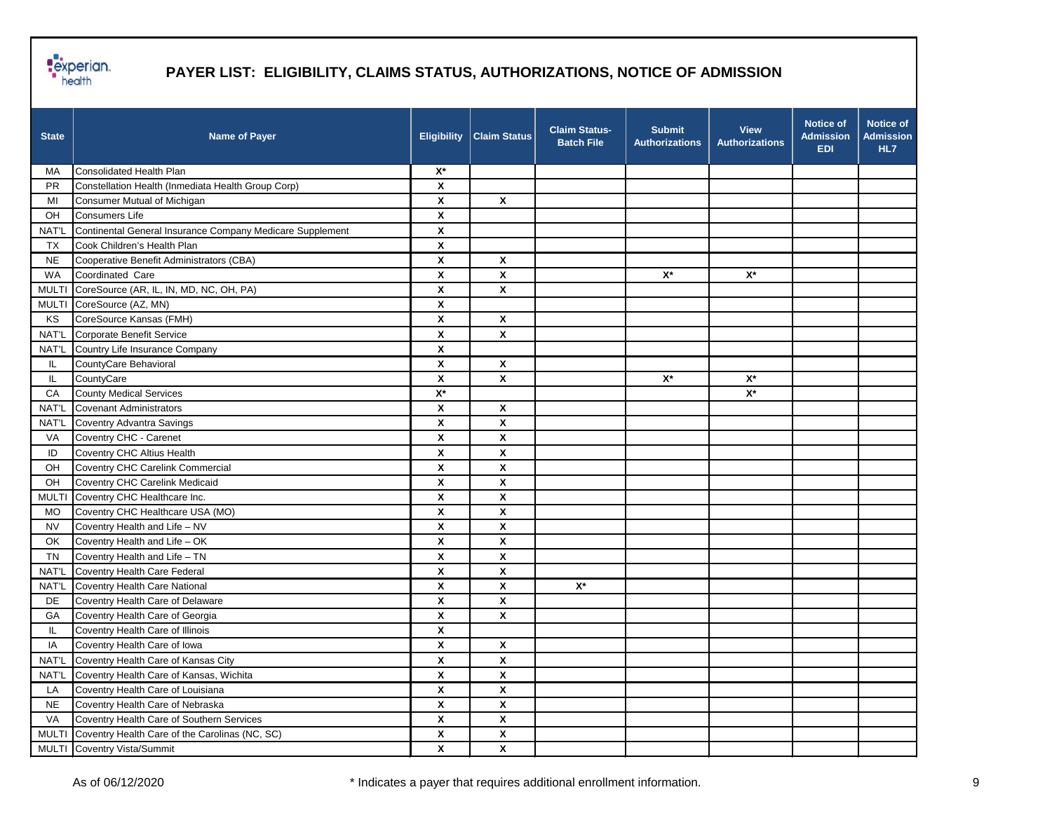

| <b>State</b> | <b>Name of Payer</b>                                      | <b>Eligibility</b>        | <b>Claim Status</b> | <b>Claim Status-</b><br><b>Batch File</b> | <b>Submit</b><br><b>Authorizations</b> | <b>View</b><br><b>Authorizations</b> | <b>Notice of</b><br><b>Admission</b><br><b>EDI</b> | <b>Notice of</b><br><b>Admission</b><br>HL7 |
|--------------|-----------------------------------------------------------|---------------------------|---------------------|-------------------------------------------|----------------------------------------|--------------------------------------|----------------------------------------------------|---------------------------------------------|
| МA           | Consolidated Health Plan                                  | $X^*$                     |                     |                                           |                                        |                                      |                                                    |                                             |
| <b>PR</b>    | Constellation Health (Inmediata Health Group Corp)        | X                         |                     |                                           |                                        |                                      |                                                    |                                             |
| MI           | Consumer Mutual of Michigan                               | $\pmb{\mathsf{X}}$        | X                   |                                           |                                        |                                      |                                                    |                                             |
| OH           | Consumers Life                                            | X                         |                     |                                           |                                        |                                      |                                                    |                                             |
| NAT'L        | Continental General Insurance Company Medicare Supplement | X                         |                     |                                           |                                        |                                      |                                                    |                                             |
| TX           | Cook Children's Health Plan                               | X                         |                     |                                           |                                        |                                      |                                                    |                                             |
| <b>NE</b>    | Cooperative Benefit Administrators (CBA)                  | X                         | X                   |                                           |                                        |                                      |                                                    |                                             |
| WA           | Coordinated Care                                          | $\pmb{\mathsf{x}}$        | X                   |                                           | $\mathbf{X}^{\star}$                   | $\mathsf{X}^\star$                   |                                                    |                                             |
| <b>MULTI</b> | CoreSource (AR, IL, IN, MD, NC, OH, PA)                   | $\pmb{\mathsf{x}}$        | X                   |                                           |                                        |                                      |                                                    |                                             |
| <b>MULTI</b> | CoreSource (AZ, MN)                                       | X                         |                     |                                           |                                        |                                      |                                                    |                                             |
| KS           | CoreSource Kansas (FMH)                                   | X                         | X                   |                                           |                                        |                                      |                                                    |                                             |
| NAT'L        | Corporate Benefit Service                                 | X                         | X                   |                                           |                                        |                                      |                                                    |                                             |
| NAT'L        | Country Life Insurance Company                            | X                         |                     |                                           |                                        |                                      |                                                    |                                             |
| IL.          | CountyCare Behavioral                                     | $\pmb{\mathsf{x}}$        | $\pmb{\mathsf{x}}$  |                                           |                                        |                                      |                                                    |                                             |
| IL.          | CountyCare                                                | X                         | X                   |                                           | $\mathsf{X}^\star$                     | $\mathsf{X}^\star$                   |                                                    |                                             |
| CA           | <b>County Medical Services</b>                            | $X^*$                     |                     |                                           |                                        | $X^*$                                |                                                    |                                             |
| NAT'L        | <b>Covenant Administrators</b>                            | X                         | X                   |                                           |                                        |                                      |                                                    |                                             |
| NAT'L        | Coventry Advantra Savings                                 | X                         | X                   |                                           |                                        |                                      |                                                    |                                             |
| VA           | Coventry CHC - Carenet                                    | X                         | X                   |                                           |                                        |                                      |                                                    |                                             |
| ID           | Coventry CHC Altius Health                                | $\pmb{\mathsf{X}}$        | X                   |                                           |                                        |                                      |                                                    |                                             |
| OH           | Coventry CHC Carelink Commercial                          | X                         | X                   |                                           |                                        |                                      |                                                    |                                             |
| OH           | Coventry CHC Carelink Medicaid                            | X                         | X                   |                                           |                                        |                                      |                                                    |                                             |
| <b>MULTI</b> | Coventry CHC Healthcare Inc.                              | X                         | X                   |                                           |                                        |                                      |                                                    |                                             |
| MO.          | Coventry CHC Healthcare USA (MO)                          | X                         | X                   |                                           |                                        |                                      |                                                    |                                             |
| <b>NV</b>    | Coventry Health and Life - NV                             | X                         | X                   |                                           |                                        |                                      |                                                    |                                             |
| OK           | Coventry Health and Life - OK                             | $\pmb{\mathsf{X}}$        | $\pmb{\mathsf{X}}$  |                                           |                                        |                                      |                                                    |                                             |
| <b>TN</b>    | Coventry Health and Life - TN                             | X                         | X                   |                                           |                                        |                                      |                                                    |                                             |
| NAT'L        | Coventry Health Care Federal                              | X                         | X                   |                                           |                                        |                                      |                                                    |                                             |
| NAT'L        | <b>Coventry Health Care National</b>                      | $\boldsymbol{\mathsf{x}}$ | X                   | $X^*$                                     |                                        |                                      |                                                    |                                             |
| DE           | Coventry Health Care of Delaware                          | X                         | X                   |                                           |                                        |                                      |                                                    |                                             |
| GА           | Coventry Health Care of Georgia                           | $\pmb{\chi}$              | X                   |                                           |                                        |                                      |                                                    |                                             |
| IL.          | Coventry Health Care of Illinois                          | $\pmb{\mathsf{X}}$        |                     |                                           |                                        |                                      |                                                    |                                             |
| IA           | Coventry Health Care of Iowa                              | X                         | X                   |                                           |                                        |                                      |                                                    |                                             |
| <b>NAT'L</b> | Coventry Health Care of Kansas City                       | X                         | X                   |                                           |                                        |                                      |                                                    |                                             |
| NAT'L        | Coventry Health Care of Kansas, Wichita                   | X                         | X                   |                                           |                                        |                                      |                                                    |                                             |
| LA           | Coventry Health Care of Louisiana                         | $\pmb{\mathsf{X}}$        | X                   |                                           |                                        |                                      |                                                    |                                             |
| <b>NE</b>    | Coventry Health Care of Nebraska                          | $\pmb{\mathsf{X}}$        | X                   |                                           |                                        |                                      |                                                    |                                             |
| VA           | Coventry Health Care of Southern Services                 | $\pmb{\mathsf{x}}$        | X                   |                                           |                                        |                                      |                                                    |                                             |
| <b>MULTI</b> | Coventry Health Care of the Carolinas (NC, SC)            | $\pmb{\mathsf{x}}$        | X                   |                                           |                                        |                                      |                                                    |                                             |
|              | MULTI Coventry Vista/Summit                               | $\pmb{\mathsf{x}}$        | X                   |                                           |                                        |                                      |                                                    |                                             |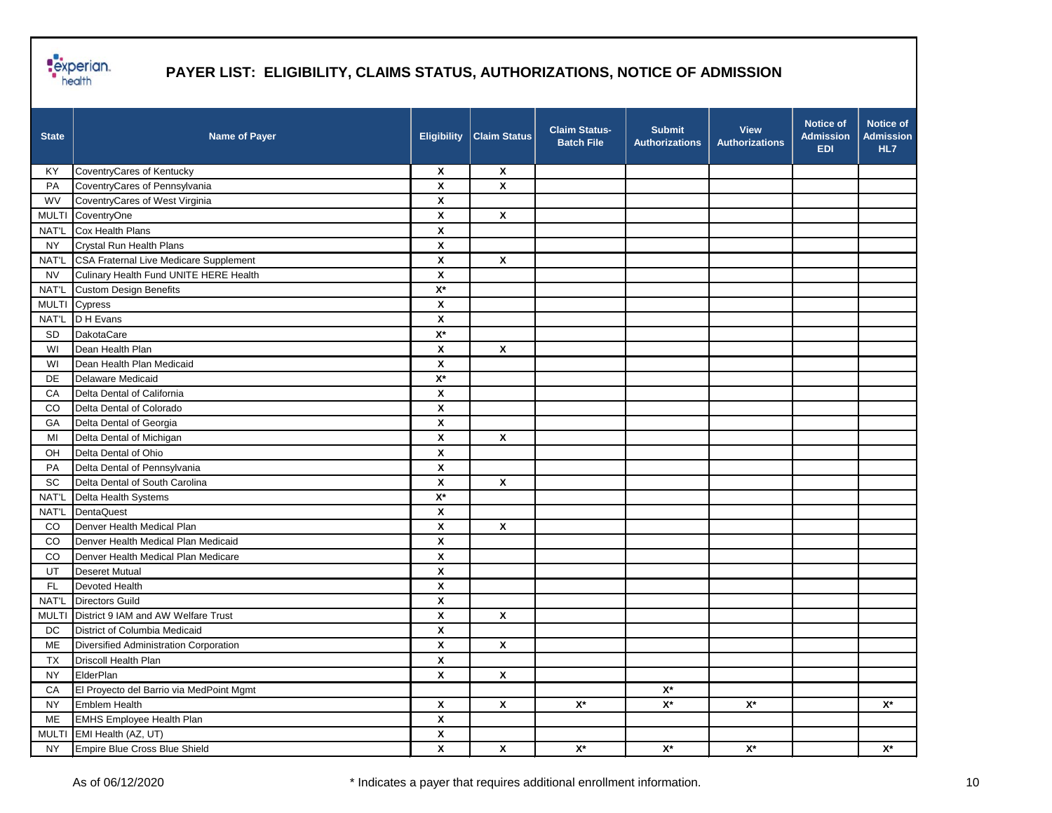

| <b>State</b> | <b>Name of Payer</b>                     | <b>Eligibility</b>        | <b>Claim Status</b>       | <b>Claim Status-</b><br><b>Batch File</b> | <b>Submit</b><br><b>Authorizations</b> | <b>View</b><br><b>Authorizations</b> | <b>Notice of</b><br><b>Admission</b><br><b>EDI</b> | <b>Notice of</b><br><b>Admission</b><br>HL7 |
|--------------|------------------------------------------|---------------------------|---------------------------|-------------------------------------------|----------------------------------------|--------------------------------------|----------------------------------------------------|---------------------------------------------|
| ΚY           | CoventryCares of Kentucky                | $\boldsymbol{\mathsf{x}}$ | $\boldsymbol{\mathsf{x}}$ |                                           |                                        |                                      |                                                    |                                             |
| PA           | CoventryCares of Pennsylvania            | X                         | $\pmb{\mathsf{x}}$        |                                           |                                        |                                      |                                                    |                                             |
| WV           | CoventryCares of West Virginia           | $\pmb{\mathsf{x}}$        |                           |                                           |                                        |                                      |                                                    |                                             |
| <b>MULTI</b> | CoventryOne                              | $\pmb{\mathsf{X}}$        | $\pmb{\mathsf{X}}$        |                                           |                                        |                                      |                                                    |                                             |
| NAT'L        | Cox Health Plans                         | X                         |                           |                                           |                                        |                                      |                                                    |                                             |
| <b>NY</b>    | Crystal Run Health Plans                 | X                         |                           |                                           |                                        |                                      |                                                    |                                             |
| NAT'L        | CSA Fraternal Live Medicare Supplement   | X                         | X                         |                                           |                                        |                                      |                                                    |                                             |
| <b>NV</b>    | Culinary Health Fund UNITE HERE Health   | X                         |                           |                                           |                                        |                                      |                                                    |                                             |
| NAT'L        | <b>Custom Design Benefits</b>            | $\mathsf{X}^\star$        |                           |                                           |                                        |                                      |                                                    |                                             |
| <b>MULTI</b> | Cypress                                  | X                         |                           |                                           |                                        |                                      |                                                    |                                             |
| NAT'L        | D H Evans                                | X                         |                           |                                           |                                        |                                      |                                                    |                                             |
| <b>SD</b>    | <b>DakotaCare</b>                        | $\mathsf{X}^\star$        |                           |                                           |                                        |                                      |                                                    |                                             |
| WI           | Dean Health Plan                         | X                         | X                         |                                           |                                        |                                      |                                                    |                                             |
| WI           | Dean Health Plan Medicaid                | $\pmb{\mathsf{X}}$        |                           |                                           |                                        |                                      |                                                    |                                             |
| DE           | Delaware Medicaid                        | $\mathsf{X}^\star$        |                           |                                           |                                        |                                      |                                                    |                                             |
| CA           | Delta Dental of California               | X                         |                           |                                           |                                        |                                      |                                                    |                                             |
| CO           | Delta Dental of Colorado                 | X                         |                           |                                           |                                        |                                      |                                                    |                                             |
| GA           | Delta Dental of Georgia                  | X                         |                           |                                           |                                        |                                      |                                                    |                                             |
| MI           | Delta Dental of Michigan                 | X                         | $\pmb{\mathsf{x}}$        |                                           |                                        |                                      |                                                    |                                             |
| OH           | Delta Dental of Ohio                     | $\pmb{\mathsf{x}}$        |                           |                                           |                                        |                                      |                                                    |                                             |
| PA           | Delta Dental of Pennsylvania             | X                         |                           |                                           |                                        |                                      |                                                    |                                             |
| <b>SC</b>    | Delta Dental of South Carolina           | X                         | $\pmb{\mathsf{X}}$        |                                           |                                        |                                      |                                                    |                                             |
| NAT'L        | Delta Health Systems                     | $\mathsf{X}^\star$        |                           |                                           |                                        |                                      |                                                    |                                             |
| NAT'L        | DentaQuest                               | X                         |                           |                                           |                                        |                                      |                                                    |                                             |
| CO           | Denver Health Medical Plan               | $\pmb{\mathsf{X}}$        | $\pmb{\mathsf{X}}$        |                                           |                                        |                                      |                                                    |                                             |
| CO.          | Denver Health Medical Plan Medicaid      | $\pmb{\mathsf{x}}$        |                           |                                           |                                        |                                      |                                                    |                                             |
| CO           | Denver Health Medical Plan Medicare      | X                         |                           |                                           |                                        |                                      |                                                    |                                             |
| UT           | <b>Deseret Mutual</b>                    | $\pmb{\mathsf{x}}$        |                           |                                           |                                        |                                      |                                                    |                                             |
| <b>FL</b>    | <b>Devoted Health</b>                    | X                         |                           |                                           |                                        |                                      |                                                    |                                             |
| NAT'L        | <b>Directors Guild</b>                   | $\pmb{\mathsf{X}}$        |                           |                                           |                                        |                                      |                                                    |                                             |
| MULTI        | District 9 IAM and AW Welfare Trust      | $\pmb{\chi}$              | $\pmb{\mathsf{X}}$        |                                           |                                        |                                      |                                                    |                                             |
| <b>DC</b>    | District of Columbia Medicaid            | X                         |                           |                                           |                                        |                                      |                                                    |                                             |
| ME           | Diversified Administration Corporation   | Χ                         | X                         |                                           |                                        |                                      |                                                    |                                             |
| <b>TX</b>    | Driscoll Health Plan                     | $\pmb{\mathsf{X}}$        |                           |                                           |                                        |                                      |                                                    |                                             |
| <b>NY</b>    | ElderPlan                                | X                         | $\pmb{\mathsf{X}}$        |                                           |                                        |                                      |                                                    |                                             |
| CA           | El Proyecto del Barrio via MedPoint Mgmt |                           |                           |                                           | $\mathbf{X}^{\star}$                   |                                      |                                                    |                                             |
| <b>NY</b>    | Emblem Health                            | $\pmb{\chi}$              | $\pmb{\mathsf{X}}$        | $\mathsf{X}^\star$                        | $\mathbf{X}^{\star}$                   | $\mathbf{X}^{\star}$                 |                                                    | $\mathsf{X}^\star$                          |
| ME           | EMHS Employee Health Plan                | $\pmb{\mathsf{X}}$        |                           |                                           |                                        |                                      |                                                    |                                             |
| <b>MULTI</b> | EMI Health (AZ, UT)                      | $\pmb{\mathsf{X}}$        |                           |                                           |                                        |                                      |                                                    |                                             |
| <b>NY</b>    | Empire Blue Cross Blue Shield            | $\mathsf{X}$              | $\pmb{\mathsf{X}}$        | $\mathsf{X}^\star$                        | $\mathbf{X}^{\star}$                   | $\mathsf{X}^\star$                   |                                                    | $\mathsf{X}^\star$                          |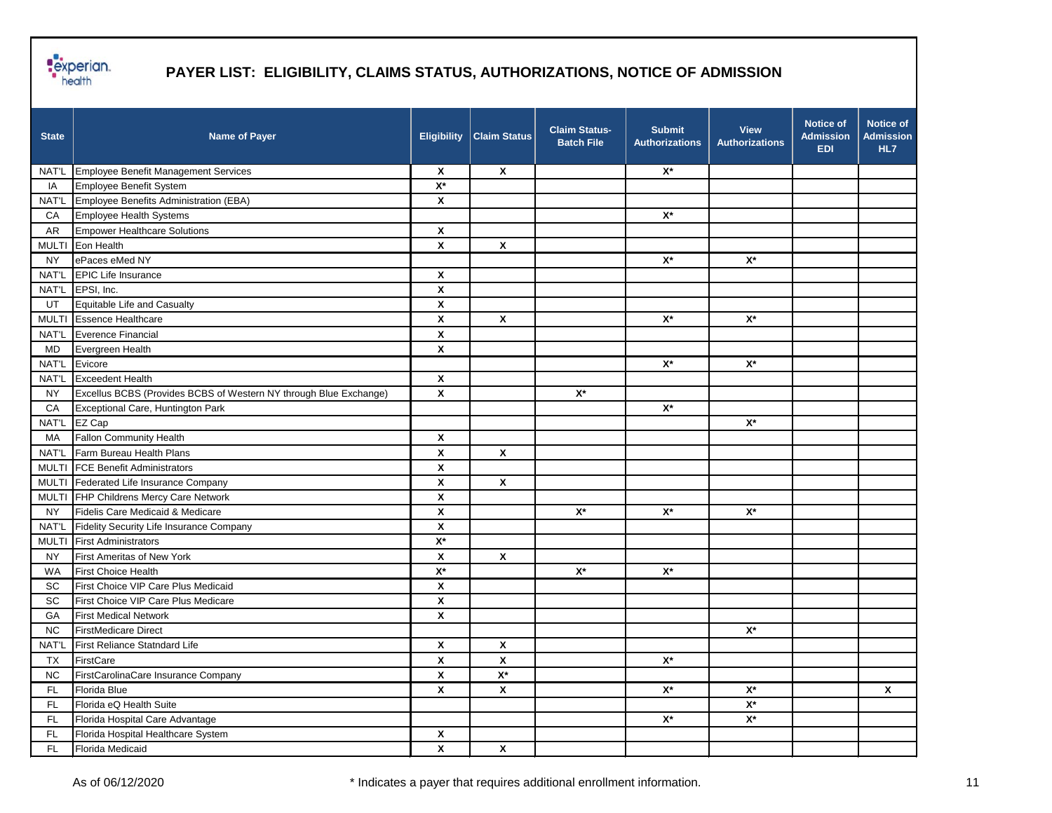

| <b>State</b> | <b>Name of Payer</b>                                              | <b>Eligibility</b>        | <b>Claim Status</b>  | <b>Claim Status-</b><br><b>Batch File</b> | <b>Submit</b><br><b>Authorizations</b> | <b>View</b><br><b>Authorizations</b> | <b>Notice of</b><br><b>Admission</b><br><b>EDI</b> | Notice of<br><b>Admission</b><br>HL7 |
|--------------|-------------------------------------------------------------------|---------------------------|----------------------|-------------------------------------------|----------------------------------------|--------------------------------------|----------------------------------------------------|--------------------------------------|
| NAT'L        | Employee Benefit Management Services                              | $\boldsymbol{\mathsf{x}}$ | X                    |                                           | $X^*$                                  |                                      |                                                    |                                      |
| IA           | Employee Benefit System                                           | $\mathsf{X}^\star$        |                      |                                           |                                        |                                      |                                                    |                                      |
| NAT'L        | Employee Benefits Administration (EBA)                            | X                         |                      |                                           |                                        |                                      |                                                    |                                      |
| CA           | Employee Health Systems                                           |                           |                      |                                           | $\mathsf{X}^\star$                     |                                      |                                                    |                                      |
| AR           | <b>Empower Healthcare Solutions</b>                               | X                         |                      |                                           |                                        |                                      |                                                    |                                      |
|              | MULTI Eon Health                                                  | $\mathsf{x}$              | X                    |                                           |                                        |                                      |                                                    |                                      |
| <b>NY</b>    | ePaces eMed NY                                                    |                           |                      |                                           | $X^*$                                  | $X^*$                                |                                                    |                                      |
| NAT'L        | <b>EPIC Life Insurance</b>                                        | X                         |                      |                                           |                                        |                                      |                                                    |                                      |
| NAT'L        | EPSI, Inc.                                                        | X                         |                      |                                           |                                        |                                      |                                                    |                                      |
| UT           | Equitable Life and Casualty                                       | X                         |                      |                                           |                                        |                                      |                                                    |                                      |
| <b>MULTI</b> | <b>Essence Healthcare</b>                                         | $\pmb{\mathsf{x}}$        | $\pmb{\mathsf{x}}$   |                                           | $\mathsf{X}^\star$                     | $\mathsf{X}^\star$                   |                                                    |                                      |
| NAT'L        | Everence Financial                                                | $\pmb{\mathsf{x}}$        |                      |                                           |                                        |                                      |                                                    |                                      |
| MD           | Evergreen Health                                                  | X                         |                      |                                           |                                        |                                      |                                                    |                                      |
| NAT'L        | Evicore                                                           |                           |                      |                                           | $\mathsf{X}^\star$                     | $\mathsf{X}^\star$                   |                                                    |                                      |
| NAT'L        | <b>Exceedent Health</b>                                           | X                         |                      |                                           |                                        |                                      |                                                    |                                      |
| <b>NY</b>    | Excellus BCBS (Provides BCBS of Western NY through Blue Exchange) | X                         |                      | $\mathsf{X}^\star$                        |                                        |                                      |                                                    |                                      |
| CA           | Exceptional Care, Huntington Park                                 |                           |                      |                                           | $\mathsf{X}^\star$                     |                                      |                                                    |                                      |
| NAT'L        | EZ Cap                                                            |                           |                      |                                           |                                        | $\mathsf{X}^\star$                   |                                                    |                                      |
| MA           | <b>Fallon Community Health</b>                                    | X                         |                      |                                           |                                        |                                      |                                                    |                                      |
| NAT'L        | Farm Bureau Health Plans                                          | X                         | X                    |                                           |                                        |                                      |                                                    |                                      |
| <b>MULTI</b> | <b>FCE Benefit Administrators</b>                                 | X                         |                      |                                           |                                        |                                      |                                                    |                                      |
|              | MULTI Federated Life Insurance Company                            | $\pmb{\mathsf{X}}$        | $\pmb{\chi}$         |                                           |                                        |                                      |                                                    |                                      |
|              | MULTI FHP Childrens Mercy Care Network                            | $\pmb{\mathsf{X}}$        |                      |                                           |                                        |                                      |                                                    |                                      |
| <b>NY</b>    | Fidelis Care Medicaid & Medicare                                  | X                         |                      | $X^*$                                     | $X^*$                                  | $\mathsf{X}^\star$                   |                                                    |                                      |
| NAT'L        | Fidelity Security Life Insurance Company                          | $\pmb{\mathsf{x}}$        |                      |                                           |                                        |                                      |                                                    |                                      |
| <b>MULTI</b> | <b>First Administrators</b>                                       | $X^*$                     |                      |                                           |                                        |                                      |                                                    |                                      |
| <b>NY</b>    | First Ameritas of New York                                        | $\pmb{\mathsf{x}}$        | X                    |                                           |                                        |                                      |                                                    |                                      |
| <b>WA</b>    | <b>First Choice Health</b>                                        | $\overline{X^*}$          |                      | $\mathsf{X}^\star$                        | $\mathsf{X}^\star$                     |                                      |                                                    |                                      |
| <b>SC</b>    | First Choice VIP Care Plus Medicaid                               | $\pmb{\mathsf{X}}$        |                      |                                           |                                        |                                      |                                                    |                                      |
| <b>SC</b>    | First Choice VIP Care Plus Medicare                               | $\pmb{\mathsf{X}}$        |                      |                                           |                                        |                                      |                                                    |                                      |
| GA           | <b>First Medical Network</b>                                      | $\pmb{\mathsf{x}}$        |                      |                                           |                                        |                                      |                                                    |                                      |
| <b>NC</b>    | <b>FirstMedicare Direct</b>                                       |                           |                      |                                           |                                        | $X^*$                                |                                                    |                                      |
|              | NAT'L First Reliance Statndard Life                               | X                         | X                    |                                           |                                        |                                      |                                                    |                                      |
| <b>TX</b>    | FirstCare                                                         | $\pmb{\mathsf{x}}$        | $\pmb{\mathsf{x}}$   |                                           | $\mathsf{X}^\star$                     |                                      |                                                    |                                      |
| NC           | FirstCarolinaCare Insurance Company                               | $\pmb{\mathsf{x}}$        | $\mathbf{X}^{\star}$ |                                           |                                        |                                      |                                                    |                                      |
| FL           | Florida Blue                                                      | X                         | $\pmb{\mathsf{X}}$   |                                           | $\mathsf{X}^\star$                     | $\mathsf{X}^\star$                   |                                                    | X                                    |
| FL           | Florida eQ Health Suite                                           |                           |                      |                                           |                                        | $\mathbf{X}^{\star}$                 |                                                    |                                      |
| FL           | Florida Hospital Care Advantage                                   |                           |                      |                                           | $\mathsf{X}^\star$                     | $\mathsf{X}^\star$                   |                                                    |                                      |
| FL           | Florida Hospital Healthcare System                                | $\pmb{\mathsf{x}}$        |                      |                                           |                                        |                                      |                                                    |                                      |
| FL           | Florida Medicaid                                                  | $\pmb{\mathsf{X}}$        | $\pmb{\mathsf{x}}$   |                                           |                                        |                                      |                                                    |                                      |
|              |                                                                   |                           |                      |                                           |                                        |                                      |                                                    |                                      |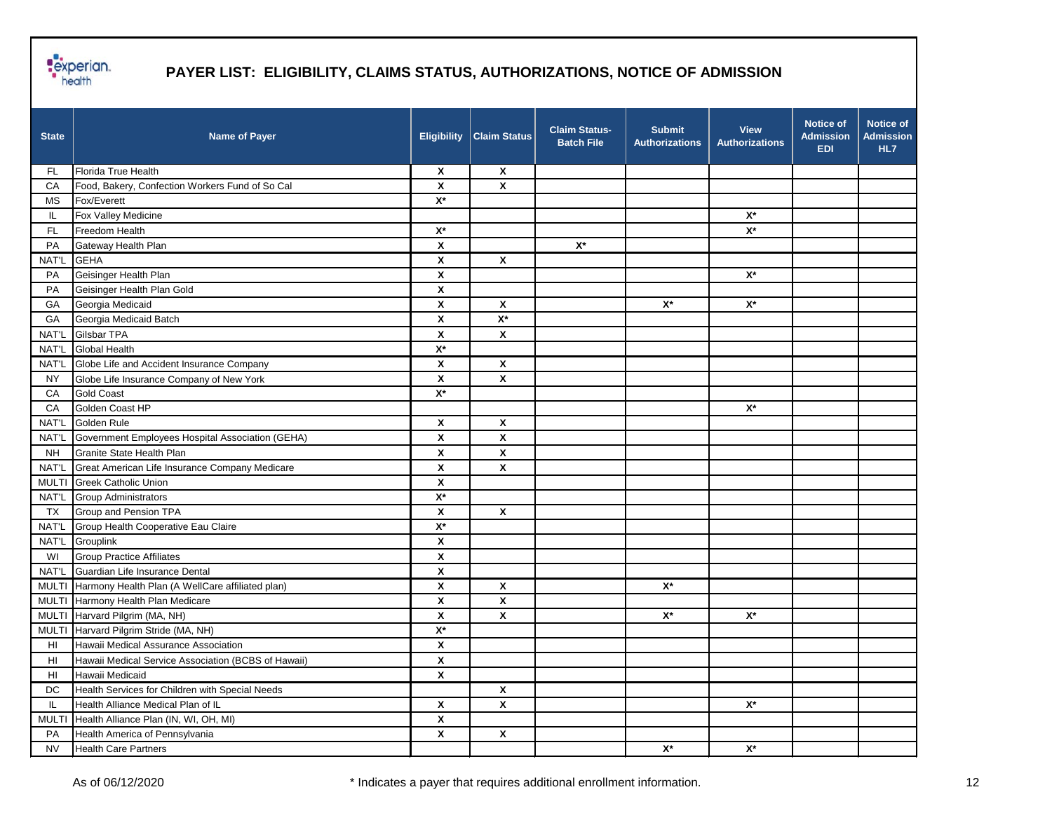

| X<br>Florida True Health<br>X<br>FL<br>$\pmb{\mathsf{x}}$<br>$\boldsymbol{\mathsf{x}}$<br>Food, Bakery, Confection Workers Fund of So Cal<br>СA<br>$\mathsf{X}^\star$<br>Fox/Everett<br><b>MS</b><br>Fox Valley Medicine<br>$\mathsf{X}^\star$<br>IL.<br>$\mathsf{X}^\star$<br>$\mathsf{X}^\star$<br>Freedom Health<br>FL.<br>$\pmb{\chi}$<br>$\mathsf{X}^\star$<br>Gateway Health Plan<br>PA<br><b>GEHA</b><br>NAT'L<br>X<br>X<br>Geisinger Health Plan<br>X<br>$X^*$<br>PA<br>X<br>PA<br>Geisinger Health Plan Gold<br>Georgia Medicaid<br>X<br>X<br>$\mathsf{X}^\star$<br>$\mathsf{X}^\star$<br>GA<br>$\mathsf{X}^\star$<br>Georgia Medicaid Batch<br>X<br>GA | <b>State</b> | <b>Name of Payer</b> | <b>Eligibility</b> | <b>Claim Status</b> | <b>Claim Status-</b><br><b>Batch File</b> | <b>Submit</b><br><b>Authorizations</b> | <b>View</b><br><b>Authorizations</b> | <b>Notice of</b><br><b>Admission</b><br><b>EDI</b> | <b>Notice of</b><br><b>Admission</b><br>HL7 |
|------------------------------------------------------------------------------------------------------------------------------------------------------------------------------------------------------------------------------------------------------------------------------------------------------------------------------------------------------------------------------------------------------------------------------------------------------------------------------------------------------------------------------------------------------------------------------------------------------------------------------------------------------------------|--------------|----------------------|--------------------|---------------------|-------------------------------------------|----------------------------------------|--------------------------------------|----------------------------------------------------|---------------------------------------------|
|                                                                                                                                                                                                                                                                                                                                                                                                                                                                                                                                                                                                                                                                  |              |                      |                    |                     |                                           |                                        |                                      |                                                    |                                             |
|                                                                                                                                                                                                                                                                                                                                                                                                                                                                                                                                                                                                                                                                  |              |                      |                    |                     |                                           |                                        |                                      |                                                    |                                             |
|                                                                                                                                                                                                                                                                                                                                                                                                                                                                                                                                                                                                                                                                  |              |                      |                    |                     |                                           |                                        |                                      |                                                    |                                             |
|                                                                                                                                                                                                                                                                                                                                                                                                                                                                                                                                                                                                                                                                  |              |                      |                    |                     |                                           |                                        |                                      |                                                    |                                             |
|                                                                                                                                                                                                                                                                                                                                                                                                                                                                                                                                                                                                                                                                  |              |                      |                    |                     |                                           |                                        |                                      |                                                    |                                             |
|                                                                                                                                                                                                                                                                                                                                                                                                                                                                                                                                                                                                                                                                  |              |                      |                    |                     |                                           |                                        |                                      |                                                    |                                             |
|                                                                                                                                                                                                                                                                                                                                                                                                                                                                                                                                                                                                                                                                  |              |                      |                    |                     |                                           |                                        |                                      |                                                    |                                             |
|                                                                                                                                                                                                                                                                                                                                                                                                                                                                                                                                                                                                                                                                  |              |                      |                    |                     |                                           |                                        |                                      |                                                    |                                             |
|                                                                                                                                                                                                                                                                                                                                                                                                                                                                                                                                                                                                                                                                  |              |                      |                    |                     |                                           |                                        |                                      |                                                    |                                             |
|                                                                                                                                                                                                                                                                                                                                                                                                                                                                                                                                                                                                                                                                  |              |                      |                    |                     |                                           |                                        |                                      |                                                    |                                             |
|                                                                                                                                                                                                                                                                                                                                                                                                                                                                                                                                                                                                                                                                  |              |                      |                    |                     |                                           |                                        |                                      |                                                    |                                             |
| $\pmb{\mathsf{x}}$<br>Gilsbar TPA<br>X<br>NAT'L                                                                                                                                                                                                                                                                                                                                                                                                                                                                                                                                                                                                                  |              |                      |                    |                     |                                           |                                        |                                      |                                                    |                                             |
| <b>Global Health</b><br>$\mathsf{X}^\star$<br>NAT'L                                                                                                                                                                                                                                                                                                                                                                                                                                                                                                                                                                                                              |              |                      |                    |                     |                                           |                                        |                                      |                                                    |                                             |
| Globe Life and Accident Insurance Company<br>X<br>X<br>NAT'L                                                                                                                                                                                                                                                                                                                                                                                                                                                                                                                                                                                                     |              |                      |                    |                     |                                           |                                        |                                      |                                                    |                                             |
| X<br>$\pmb{\mathsf{X}}$<br><b>NY</b><br>Globe Life Insurance Company of New York                                                                                                                                                                                                                                                                                                                                                                                                                                                                                                                                                                                 |              |                      |                    |                     |                                           |                                        |                                      |                                                    |                                             |
| $\mathsf{X}^\star$<br><b>Gold Coast</b><br>CA                                                                                                                                                                                                                                                                                                                                                                                                                                                                                                                                                                                                                    |              |                      |                    |                     |                                           |                                        |                                      |                                                    |                                             |
| Golden Coast HP<br>$\mathsf{X}^\star$<br>CA                                                                                                                                                                                                                                                                                                                                                                                                                                                                                                                                                                                                                      |              |                      |                    |                     |                                           |                                        |                                      |                                                    |                                             |
| X<br>NAT'L<br>Golden Rule<br>X                                                                                                                                                                                                                                                                                                                                                                                                                                                                                                                                                                                                                                   |              |                      |                    |                     |                                           |                                        |                                      |                                                    |                                             |
| X<br>X<br>NAT'L<br>Government Employees Hospital Association (GEHA)                                                                                                                                                                                                                                                                                                                                                                                                                                                                                                                                                                                              |              |                      |                    |                     |                                           |                                        |                                      |                                                    |                                             |
| X<br>X<br><b>NH</b><br>Granite State Health Plan                                                                                                                                                                                                                                                                                                                                                                                                                                                                                                                                                                                                                 |              |                      |                    |                     |                                           |                                        |                                      |                                                    |                                             |
| Great American Life Insurance Company Medicare<br>X<br>X<br>NAT'L                                                                                                                                                                                                                                                                                                                                                                                                                                                                                                                                                                                                |              |                      |                    |                     |                                           |                                        |                                      |                                                    |                                             |
| $\boldsymbol{\mathsf{x}}$<br><b>MULTI</b><br><b>Greek Catholic Union</b>                                                                                                                                                                                                                                                                                                                                                                                                                                                                                                                                                                                         |              |                      |                    |                     |                                           |                                        |                                      |                                                    |                                             |
| $\mathsf{X}^\star$<br>NAT'L<br><b>Group Administrators</b>                                                                                                                                                                                                                                                                                                                                                                                                                                                                                                                                                                                                       |              |                      |                    |                     |                                           |                                        |                                      |                                                    |                                             |
| $\pmb{\mathsf{X}}$<br>Group and Pension TPA<br><b>TX</b><br>X                                                                                                                                                                                                                                                                                                                                                                                                                                                                                                                                                                                                    |              |                      |                    |                     |                                           |                                        |                                      |                                                    |                                             |
| $\mathsf{X}^\star$<br>Group Health Cooperative Eau Claire<br>NAT'L                                                                                                                                                                                                                                                                                                                                                                                                                                                                                                                                                                                               |              |                      |                    |                     |                                           |                                        |                                      |                                                    |                                             |
| NAT'L<br>Grouplink<br>X                                                                                                                                                                                                                                                                                                                                                                                                                                                                                                                                                                                                                                          |              |                      |                    |                     |                                           |                                        |                                      |                                                    |                                             |
| <b>Group Practice Affiliates</b><br>X<br>WI                                                                                                                                                                                                                                                                                                                                                                                                                                                                                                                                                                                                                      |              |                      |                    |                     |                                           |                                        |                                      |                                                    |                                             |
| $\pmb{\mathsf{X}}$<br>Guardian Life Insurance Dental<br>NAT'L                                                                                                                                                                                                                                                                                                                                                                                                                                                                                                                                                                                                    |              |                      |                    |                     |                                           |                                        |                                      |                                                    |                                             |
| $\boldsymbol{\mathsf{x}}$<br>X<br>Harmony Health Plan (A WellCare affiliated plan)<br>$X^*$<br><b>MULTI</b>                                                                                                                                                                                                                                                                                                                                                                                                                                                                                                                                                      |              |                      |                    |                     |                                           |                                        |                                      |                                                    |                                             |
| MULTI Harmony Health Plan Medicare<br>X<br>X                                                                                                                                                                                                                                                                                                                                                                                                                                                                                                                                                                                                                     |              |                      |                    |                     |                                           |                                        |                                      |                                                    |                                             |
| Harvard Pilgrim (MA, NH)<br>X<br>X<br>$\mathsf{X}^\star$<br>$X^*$<br><b>MULTI</b>                                                                                                                                                                                                                                                                                                                                                                                                                                                                                                                                                                                |              |                      |                    |                     |                                           |                                        |                                      |                                                    |                                             |
| Harvard Pilgrim Stride (MA, NH)<br>$\mathsf{X}^\star$<br><b>MULTI</b>                                                                                                                                                                                                                                                                                                                                                                                                                                                                                                                                                                                            |              |                      |                    |                     |                                           |                                        |                                      |                                                    |                                             |
| Hawaii Medical Assurance Association<br>X<br>HI                                                                                                                                                                                                                                                                                                                                                                                                                                                                                                                                                                                                                  |              |                      |                    |                     |                                           |                                        |                                      |                                                    |                                             |
| $\pmb{\mathsf{X}}$<br>HI<br>Hawaii Medical Service Association (BCBS of Hawaii)                                                                                                                                                                                                                                                                                                                                                                                                                                                                                                                                                                                  |              |                      |                    |                     |                                           |                                        |                                      |                                                    |                                             |
| Hawaii Medicaid<br>$\pmb{\mathsf{X}}$<br>HI                                                                                                                                                                                                                                                                                                                                                                                                                                                                                                                                                                                                                      |              |                      |                    |                     |                                           |                                        |                                      |                                                    |                                             |
| Health Services for Children with Special Needs<br>$\pmb{\mathsf{X}}$<br>DC                                                                                                                                                                                                                                                                                                                                                                                                                                                                                                                                                                                      |              |                      |                    |                     |                                           |                                        |                                      |                                                    |                                             |
| $\mathsf{X}^\star$<br>Health Alliance Medical Plan of IL<br>$\pmb{\mathsf{X}}$<br>$\pmb{\mathsf{X}}$<br>IL.                                                                                                                                                                                                                                                                                                                                                                                                                                                                                                                                                      |              |                      |                    |                     |                                           |                                        |                                      |                                                    |                                             |
| <b>MULTI</b><br>Health Alliance Plan (IN, WI, OH, MI)<br>$\pmb{\mathsf{X}}$                                                                                                                                                                                                                                                                                                                                                                                                                                                                                                                                                                                      |              |                      |                    |                     |                                           |                                        |                                      |                                                    |                                             |
| $\overline{\mathbf{x}}$<br>$\pmb{\mathsf{X}}$<br>Health America of Pennsylvania<br>PA                                                                                                                                                                                                                                                                                                                                                                                                                                                                                                                                                                            |              |                      |                    |                     |                                           |                                        |                                      |                                                    |                                             |
| $\mathsf{X}^\star$<br>$\mathsf{X}^\star$<br><b>NV</b><br><b>Health Care Partners</b>                                                                                                                                                                                                                                                                                                                                                                                                                                                                                                                                                                             |              |                      |                    |                     |                                           |                                        |                                      |                                                    |                                             |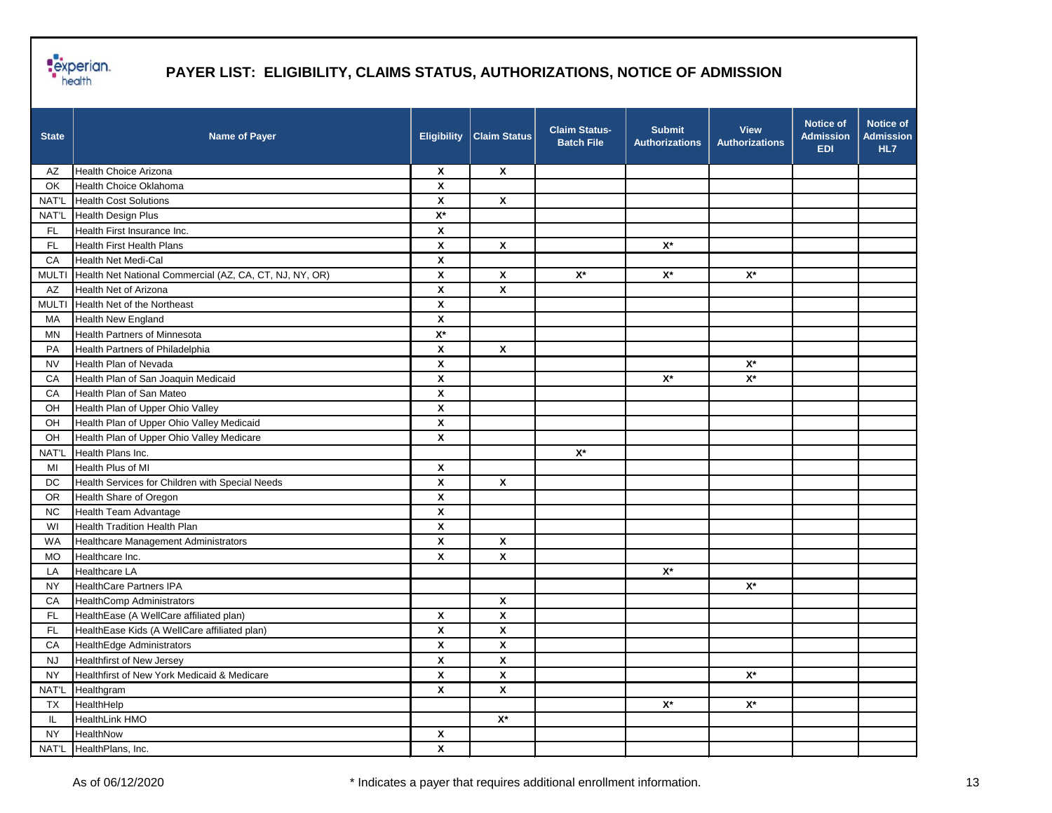

| <b>State</b> | <b>Name of Payer</b>                                    | <b>Eligibility</b>        | <b>Claim Status</b>       | <b>Claim Status-</b><br><b>Batch File</b> | <b>Submit</b><br><b>Authorizations</b> | <b>View</b><br><b>Authorizations</b> | <b>Notice of</b><br><b>Admission</b><br><b>EDI</b> | Notice of<br><b>Admission</b><br>HL7 |
|--------------|---------------------------------------------------------|---------------------------|---------------------------|-------------------------------------------|----------------------------------------|--------------------------------------|----------------------------------------------------|--------------------------------------|
| AZ           | Health Choice Arizona                                   | $\boldsymbol{\mathsf{x}}$ | $\mathbf{x}$              |                                           |                                        |                                      |                                                    |                                      |
| OK           | Health Choice Oklahoma                                  | $\boldsymbol{\mathsf{x}}$ |                           |                                           |                                        |                                      |                                                    |                                      |
| NAT'L        | <b>Health Cost Solutions</b>                            | $\boldsymbol{\mathsf{x}}$ | $\pmb{\chi}$              |                                           |                                        |                                      |                                                    |                                      |
| NAT'L        | Health Design Plus                                      | $\mathsf{X}^\star$        |                           |                                           |                                        |                                      |                                                    |                                      |
| FL.          | Health First Insurance Inc.                             | $\boldsymbol{\mathsf{x}}$ |                           |                                           |                                        |                                      |                                                    |                                      |
| <b>FL</b>    | <b>Health First Health Plans</b>                        | $\pmb{\chi}$              | $\pmb{\chi}$              |                                           | $\mathsf{X}^\star$                     |                                      |                                                    |                                      |
| CA           | Health Net Medi-Cal                                     | X                         |                           |                                           |                                        |                                      |                                                    |                                      |
| <b>MULTI</b> | Health Net National Commercial (AZ, CA, CT, NJ, NY, OR) | X                         | $\pmb{\mathsf{X}}$        | $\mathsf{X}^\star$                        | $\mathsf{X}^\star$                     | $\mathsf{X}^\star$                   |                                                    |                                      |
| AZ           | Health Net of Arizona                                   | $\boldsymbol{\mathsf{x}}$ | $\boldsymbol{\mathsf{x}}$ |                                           |                                        |                                      |                                                    |                                      |
| <b>MULTI</b> | Health Net of the Northeast                             | $\boldsymbol{\mathsf{x}}$ |                           |                                           |                                        |                                      |                                                    |                                      |
| MA           | <b>Health New England</b>                               | $\pmb{\mathsf{x}}$        |                           |                                           |                                        |                                      |                                                    |                                      |
| ΜN           | <b>Health Partners of Minnesota</b>                     | $\mathsf{X}^\star$        |                           |                                           |                                        |                                      |                                                    |                                      |
| PA           | Health Partners of Philadelphia                         | X                         | X                         |                                           |                                        |                                      |                                                    |                                      |
| <b>NV</b>    | Health Plan of Nevada                                   | X                         |                           |                                           |                                        | $\mathsf{X}^\star$                   |                                                    |                                      |
| CA           | Health Plan of San Joaquin Medicaid                     | $\boldsymbol{\mathsf{x}}$ |                           |                                           | $\mathsf{X}^\star$                     | $\mathsf{X}^\star$                   |                                                    |                                      |
| CA           | Health Plan of San Mateo                                | $\boldsymbol{\mathsf{x}}$ |                           |                                           |                                        |                                      |                                                    |                                      |
| OH           | Health Plan of Upper Ohio Valley                        | $\boldsymbol{\mathsf{x}}$ |                           |                                           |                                        |                                      |                                                    |                                      |
| OH           | Health Plan of Upper Ohio Valley Medicaid               | $\pmb{\mathsf{X}}$        |                           |                                           |                                        |                                      |                                                    |                                      |
| OH           | Health Plan of Upper Ohio Valley Medicare               | $\pmb{\mathsf{x}}$        |                           |                                           |                                        |                                      |                                                    |                                      |
| NAT'L        | Health Plans Inc.                                       |                           |                           | $\mathsf{X}^\star$                        |                                        |                                      |                                                    |                                      |
| MI           | Health Plus of MI                                       | X                         |                           |                                           |                                        |                                      |                                                    |                                      |
| DC           | Health Services for Children with Special Needs         | $\pmb{\chi}$              | $\pmb{\chi}$              |                                           |                                        |                                      |                                                    |                                      |
| <b>OR</b>    | Health Share of Oregon                                  | $\boldsymbol{\mathsf{x}}$ |                           |                                           |                                        |                                      |                                                    |                                      |
| <b>NC</b>    | Health Team Advantage                                   | X                         |                           |                                           |                                        |                                      |                                                    |                                      |
| WI           | Health Tradition Health Plan                            | $\pmb{\mathsf{X}}$        |                           |                                           |                                        |                                      |                                                    |                                      |
| <b>WA</b>    | Healthcare Management Administrators                    | X                         | $\boldsymbol{\mathsf{x}}$ |                                           |                                        |                                      |                                                    |                                      |
| <b>MO</b>    | Healthcare Inc.                                         | X                         | $\boldsymbol{\mathsf{x}}$ |                                           |                                        |                                      |                                                    |                                      |
| LA           | <b>Healthcare LA</b>                                    |                           |                           |                                           | $\mathsf{X}^\star$                     |                                      |                                                    |                                      |
| <b>NY</b>    | <b>HealthCare Partners IPA</b>                          |                           |                           |                                           |                                        | $\mathsf{X}^\star$                   |                                                    |                                      |
| CA           | <b>HealthComp Administrators</b>                        |                           | X                         |                                           |                                        |                                      |                                                    |                                      |
| <b>FL</b>    | HealthEase (A WellCare affiliated plan)                 | X                         | X                         |                                           |                                        |                                      |                                                    |                                      |
| <b>FL</b>    | HealthEase Kids (A WellCare affiliated plan)            | $\boldsymbol{\mathsf{x}}$ | X                         |                                           |                                        |                                      |                                                    |                                      |
| CA           | HealthEdge Administrators                               | $\boldsymbol{\mathsf{x}}$ | X                         |                                           |                                        |                                      |                                                    |                                      |
| <b>NJ</b>    | <b>Healthfirst of New Jersey</b>                        | $\pmb{\mathsf{X}}$        | $\pmb{\mathsf{X}}$        |                                           |                                        |                                      |                                                    |                                      |
| <b>NY</b>    | Healthfirst of New York Medicaid & Medicare             | $\pmb{\mathsf{X}}$        | $\pmb{\mathsf{X}}$        |                                           |                                        | $\mathsf{X}^\star$                   |                                                    |                                      |
| NAT'L        | Healthgram                                              | $\pmb{\chi}$              | $\pmb{\mathsf{X}}$        |                                           |                                        |                                      |                                                    |                                      |
| <b>TX</b>    | HealthHelp                                              |                           |                           |                                           | $\mathsf{X}^{\star}$                   | $\mathsf{X}^\star$                   |                                                    |                                      |
| IL.          | HealthLink HMO                                          |                           | $\mathsf{X}^\star$        |                                           |                                        |                                      |                                                    |                                      |
| <b>NY</b>    | HealthNow                                               | $\pmb{\chi}$              |                           |                                           |                                        |                                      |                                                    |                                      |
| NAT'L        | HealthPlans, Inc.                                       | $\pmb{\mathsf{X}}$        |                           |                                           |                                        |                                      |                                                    |                                      |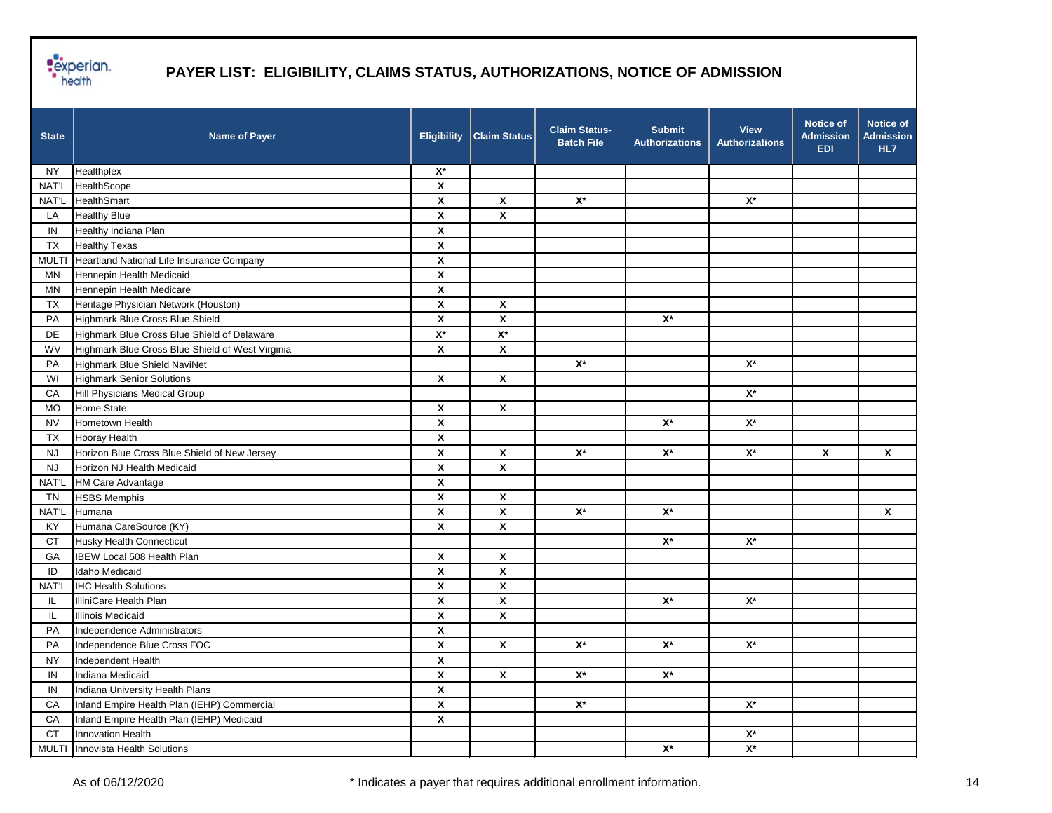

| <b>State</b> | <b>Name of Payer</b>                             | <b>Eligibility</b>        | <b>Claim Status</b> | <b>Claim Status-</b><br><b>Batch File</b> | <b>Submit</b><br><b>Authorizations</b> | <b>View</b><br><b>Authorizations</b> | <b>Notice of</b><br><b>Admission</b><br><b>EDI</b> | Notice of<br><b>Admission</b><br>HL7 |
|--------------|--------------------------------------------------|---------------------------|---------------------|-------------------------------------------|----------------------------------------|--------------------------------------|----------------------------------------------------|--------------------------------------|
| <b>NY</b>    | Healthplex                                       | $\mathsf{X}^\star$        |                     |                                           |                                        |                                      |                                                    |                                      |
| NAT'L        | HealthScope                                      | $\pmb{\mathsf{X}}$        |                     |                                           |                                        |                                      |                                                    |                                      |
| NAT'L        | HealthSmart                                      | X                         | $\pmb{\mathsf{x}}$  | $X^*$                                     |                                        | $\mathsf{X}^\star$                   |                                                    |                                      |
| LA           | <b>Healthy Blue</b>                              | $\pmb{\mathsf{X}}$        | $\pmb{\chi}$        |                                           |                                        |                                      |                                                    |                                      |
| IN           | Healthy Indiana Plan                             | X                         |                     |                                           |                                        |                                      |                                                    |                                      |
| TX           | <b>Healthy Texas</b>                             | $\pmb{\mathsf{x}}$        |                     |                                           |                                        |                                      |                                                    |                                      |
| <b>MULTI</b> | Heartland National Life Insurance Company        | $\pmb{\mathsf{X}}$        |                     |                                           |                                        |                                      |                                                    |                                      |
| MN           | Hennepin Health Medicaid                         | $\boldsymbol{\mathsf{x}}$ |                     |                                           |                                        |                                      |                                                    |                                      |
| MN           | Hennepin Health Medicare                         | $\pmb{\mathsf{X}}$        |                     |                                           |                                        |                                      |                                                    |                                      |
| TX           | Heritage Physician Network (Houston)             | $\pmb{\mathsf{X}}$        | X                   |                                           |                                        |                                      |                                                    |                                      |
| PA           | Highmark Blue Cross Blue Shield                  | X                         | X                   |                                           | $\mathsf{X}^\star$                     |                                      |                                                    |                                      |
| DE           | Highmark Blue Cross Blue Shield of Delaware      | $\mathsf{X}^\star$        | $\mathsf{X}^\star$  |                                           |                                        |                                      |                                                    |                                      |
| WV           | Highmark Blue Cross Blue Shield of West Virginia | $\pmb{\mathsf{x}}$        | $\pmb{\mathsf{x}}$  |                                           |                                        |                                      |                                                    |                                      |
| PA           | Highmark Blue Shield NaviNet                     |                           |                     | $\mathsf{X}^\star$                        |                                        | $\mathsf{X}^\star$                   |                                                    |                                      |
| WI           | <b>Highmark Senior Solutions</b>                 | $\boldsymbol{\mathsf{x}}$ | $\pmb{\mathsf{x}}$  |                                           |                                        |                                      |                                                    |                                      |
| CA           | Hill Physicians Medical Group                    |                           |                     |                                           |                                        | $\mathsf{X}^\star$                   |                                                    |                                      |
| <b>MO</b>    | <b>Home State</b>                                | X                         | X                   |                                           |                                        |                                      |                                                    |                                      |
| <b>NV</b>    | Hometown Health                                  | X                         |                     |                                           | $\mathsf{X}^\star$                     | $\mathsf{X}^\star$                   |                                                    |                                      |
| TX           | <b>Hooray Health</b>                             | $\pmb{\mathsf{X}}$        |                     |                                           |                                        |                                      |                                                    |                                      |
| <b>NJ</b>    | Horizon Blue Cross Blue Shield of New Jersey     | X                         | X                   | $X^*$                                     | $\mathsf{X}^\star$                     | $\mathsf{X}^\star$                   | X                                                  | X                                    |
| <b>NJ</b>    | Horizon NJ Health Medicaid                       | $\pmb{\mathsf{X}}$        | X                   |                                           |                                        |                                      |                                                    |                                      |
| NAT'L        | <b>HM Care Advantage</b>                         | X                         |                     |                                           |                                        |                                      |                                                    |                                      |
| TN           | <b>HSBS Memphis</b>                              | X                         | $\pmb{\mathsf{x}}$  |                                           |                                        |                                      |                                                    |                                      |
| NAT'L        | Humana                                           | $\pmb{\mathsf{X}}$        | $\pmb{\chi}$        | $\mathsf{X}^\star$                        | $\mathsf{X}^\star$                     |                                      |                                                    | X                                    |
| KY           | Humana CareSource (KY)                           | $\pmb{\mathsf{x}}$        | X                   |                                           |                                        |                                      |                                                    |                                      |
| CT           | <b>Husky Health Connecticut</b>                  |                           |                     |                                           | $\mathsf{X}^\star$                     | $\mathsf{X}^\star$                   |                                                    |                                      |
| GA           | IBEW Local 508 Health Plan                       | X                         | X                   |                                           |                                        |                                      |                                                    |                                      |
| ID           | Idaho Medicaid                                   | X                         | X                   |                                           |                                        |                                      |                                                    |                                      |
| NAT'L        | <b>IHC Health Solutions</b>                      | $\pmb{\mathsf{X}}$        | X                   |                                           |                                        |                                      |                                                    |                                      |
| IL           | IlliniCare Health Plan                           | $\pmb{\mathsf{X}}$        | $\mathsf{x}$        |                                           | $\mathsf{X}^\star$                     | $\mathsf{X}^\star$                   |                                                    |                                      |
| IL           | <b>Illinois Medicaid</b>                         | X                         | X                   |                                           |                                        |                                      |                                                    |                                      |
| PA           | Independence Administrators                      | $\pmb{\mathsf{X}}$        |                     |                                           |                                        |                                      |                                                    |                                      |
| PA           | Independence Blue Cross FOC                      | X                         | X                   | $\mathsf{X}^\star$                        | $\mathsf{X}^\star$                     | $X^*$                                |                                                    |                                      |
| <b>NY</b>    | Independent Health                               | $\pmb{\mathsf{x}}$        |                     |                                           |                                        |                                      |                                                    |                                      |
| IN           | Indiana Medicaid                                 | $\pmb{\mathsf{x}}$        | $\pmb{\mathsf{X}}$  | $\mathsf{X}^\star$                        | $\mathsf{X}^\star$                     |                                      |                                                    |                                      |
| IN           | Indiana University Health Plans                  | $\pmb{\mathsf{x}}$        |                     |                                           |                                        |                                      |                                                    |                                      |
| CA           | Inland Empire Health Plan (IEHP) Commercial      | $\pmb{\mathsf{x}}$        |                     | $\mathsf{X}^\star$                        |                                        | $\mathsf{X}^\star$                   |                                                    |                                      |
| CA           | Inland Empire Health Plan (IEHP) Medicaid        | X                         |                     |                                           |                                        |                                      |                                                    |                                      |
| <b>CT</b>    | Innovation Health                                |                           |                     |                                           |                                        | $\mathsf{X}^\star$                   |                                                    |                                      |
|              | MULTI Innovista Health Solutions                 |                           |                     |                                           | $\mathsf{X}^\star$                     | $\mathsf{X}^\star$                   |                                                    |                                      |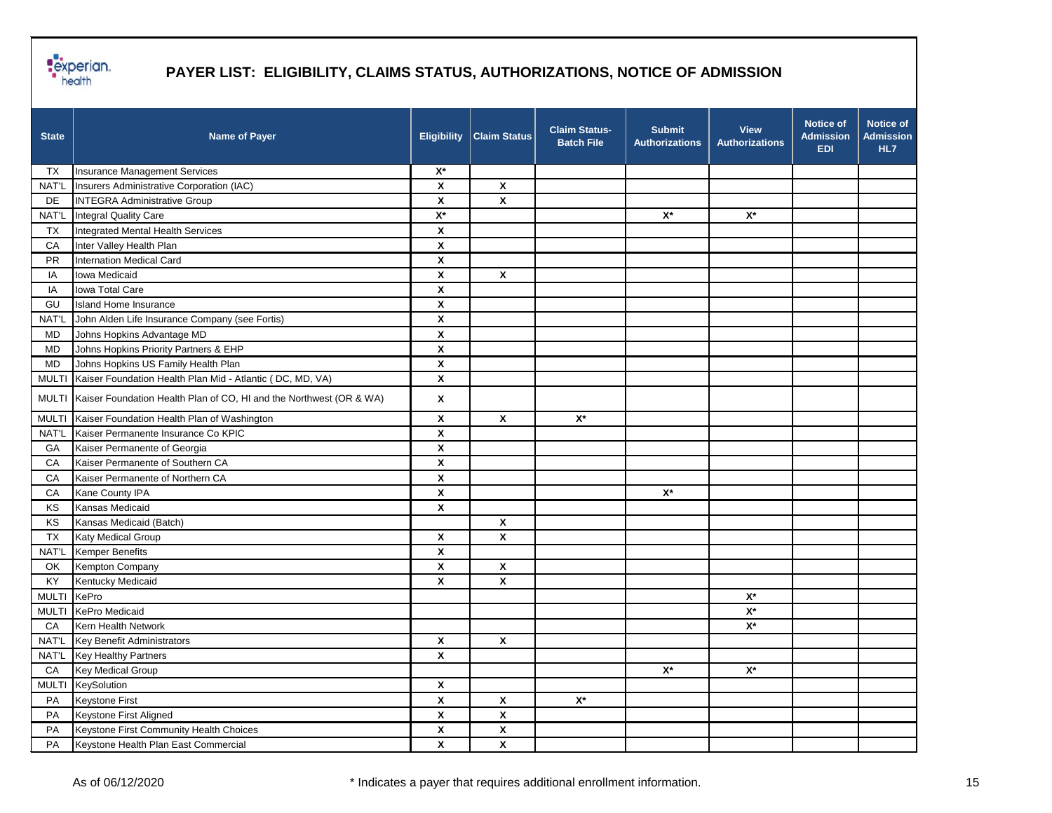

| <b>State</b> | <b>Name of Payer</b>                                                      | <b>Eligibility</b> | <b>Claim Status</b>     | <b>Claim Status-</b><br><b>Batch File</b> | <b>Submit</b><br><b>Authorizations</b> | <b>View</b><br><b>Authorizations</b> | <b>Notice of</b><br><b>Admission</b><br><b>EDI</b> | <b>Notice of</b><br><b>Admission</b><br>HL7 |
|--------------|---------------------------------------------------------------------------|--------------------|-------------------------|-------------------------------------------|----------------------------------------|--------------------------------------|----------------------------------------------------|---------------------------------------------|
| ТX           | Insurance Management Services                                             | $\mathsf{X}^\star$ |                         |                                           |                                        |                                      |                                                    |                                             |
| NAT'L        | Insurers Administrative Corporation (IAC)                                 | $\boldsymbol{x}$   | $\pmb{\mathsf{X}}$      |                                           |                                        |                                      |                                                    |                                             |
| <b>DE</b>    | <b>INTEGRA Administrative Group</b>                                       | $\boldsymbol{x}$   | X                       |                                           |                                        |                                      |                                                    |                                             |
| NAT'L        | Integral Quality Care                                                     | $\mathsf{X}^\star$ |                         |                                           | $\mathsf{X}^\star$                     | $\mathsf{X}^\star$                   |                                                    |                                             |
| TX           | Integrated Mental Health Services                                         | X                  |                         |                                           |                                        |                                      |                                                    |                                             |
| CA           | Inter Valley Health Plan                                                  | $\pmb{\mathsf{X}}$ |                         |                                           |                                        |                                      |                                                    |                                             |
| <b>PR</b>    | <b>Internation Medical Card</b>                                           | X                  |                         |                                           |                                        |                                      |                                                    |                                             |
| IA           | Iowa Medicaid                                                             | $\pmb{\mathsf{x}}$ | X                       |                                           |                                        |                                      |                                                    |                                             |
| IA           | Iowa Total Care                                                           | $\pmb{\mathsf{x}}$ |                         |                                           |                                        |                                      |                                                    |                                             |
| GU           | <b>Island Home Insurance</b>                                              | X                  |                         |                                           |                                        |                                      |                                                    |                                             |
| NAT'L        | John Alden Life Insurance Company (see Fortis)                            | $\pmb{\mathsf{x}}$ |                         |                                           |                                        |                                      |                                                    |                                             |
| <b>MD</b>    | Johns Hopkins Advantage MD                                                | $\pmb{\mathsf{x}}$ |                         |                                           |                                        |                                      |                                                    |                                             |
| <b>MD</b>    | Johns Hopkins Priority Partners & EHP                                     | X                  |                         |                                           |                                        |                                      |                                                    |                                             |
| <b>MD</b>    | Johns Hopkins US Family Health Plan                                       | X                  |                         |                                           |                                        |                                      |                                                    |                                             |
| <b>MULTI</b> | Kaiser Foundation Health Plan Mid - Atlantic (DC, MD, VA)                 | X                  |                         |                                           |                                        |                                      |                                                    |                                             |
|              | MULTI Kaiser Foundation Health Plan of CO, HI and the Northwest (OR & WA) | X                  |                         |                                           |                                        |                                      |                                                    |                                             |
| <b>MULTI</b> | Kaiser Foundation Health Plan of Washington                               | X                  | $\pmb{\mathsf{x}}$      | $\mathsf{X}^\star$                        |                                        |                                      |                                                    |                                             |
| NAT'L        | Kaiser Permanente Insurance Co KPIC                                       | $\pmb{\mathsf{X}}$ |                         |                                           |                                        |                                      |                                                    |                                             |
| GA           | Kaiser Permanente of Georgia                                              | $\pmb{\mathsf{X}}$ |                         |                                           |                                        |                                      |                                                    |                                             |
| CA           | Kaiser Permanente of Southern CA                                          | X                  |                         |                                           |                                        |                                      |                                                    |                                             |
| CA           | Kaiser Permanente of Northern CA                                          | $\pmb{\mathsf{x}}$ |                         |                                           |                                        |                                      |                                                    |                                             |
| CA           | Kane County IPA                                                           | X                  |                         |                                           | $\mathsf{X}^\star$                     |                                      |                                                    |                                             |
| KS           | Kansas Medicaid                                                           | X                  |                         |                                           |                                        |                                      |                                                    |                                             |
| KS           | Kansas Medicaid (Batch)                                                   |                    | X                       |                                           |                                        |                                      |                                                    |                                             |
| TX           | Katy Medical Group                                                        | X                  | $\pmb{\mathsf{x}}$      |                                           |                                        |                                      |                                                    |                                             |
| NAT'L        | <b>Kemper Benefits</b>                                                    | X                  |                         |                                           |                                        |                                      |                                                    |                                             |
| OK           | Kempton Company                                                           | X                  | X                       |                                           |                                        |                                      |                                                    |                                             |
| KY           | Kentucky Medicaid                                                         | X                  | X                       |                                           |                                        |                                      |                                                    |                                             |
| <b>MULTI</b> | KePro                                                                     |                    |                         |                                           |                                        | $X^*$                                |                                                    |                                             |
| <b>MULTI</b> | <b>KePro Medicaid</b>                                                     |                    |                         |                                           |                                        | $\mathsf{X}^\star$                   |                                                    |                                             |
| CA           | Kern Health Network                                                       |                    |                         |                                           |                                        | $\mathsf{X}^\star$                   |                                                    |                                             |
| NAT'L        | Key Benefit Administrators                                                | X                  | X                       |                                           |                                        |                                      |                                                    |                                             |
|              | NAT'L Key Healthy Partners                                                | X                  |                         |                                           |                                        |                                      |                                                    |                                             |
| CA           | Key Medical Group                                                         |                    |                         |                                           | $\mathsf{X}^\star$                     | $\mathsf{X}^\star$                   |                                                    |                                             |
| <b>MULTI</b> | KeySolution                                                               | $\pmb{\mathsf{X}}$ |                         |                                           |                                        |                                      |                                                    |                                             |
| PA           | Keystone First                                                            | $\pmb{\mathsf{X}}$ | $\pmb{\mathsf{X}}$      | $\mathsf{X}^\star$                        |                                        |                                      |                                                    |                                             |
| PA           | Keystone First Aligned                                                    | $\pmb{\mathsf{x}}$ | $\pmb{\mathsf{X}}$      |                                           |                                        |                                      |                                                    |                                             |
| PA           | Keystone First Community Health Choices                                   | $\pmb{\mathsf{X}}$ | $\overline{\mathbf{x}}$ |                                           |                                        |                                      |                                                    |                                             |
| PA           | Keystone Health Plan East Commercial                                      | $\pmb{\mathsf{x}}$ | $\pmb{\mathsf{X}}$      |                                           |                                        |                                      |                                                    |                                             |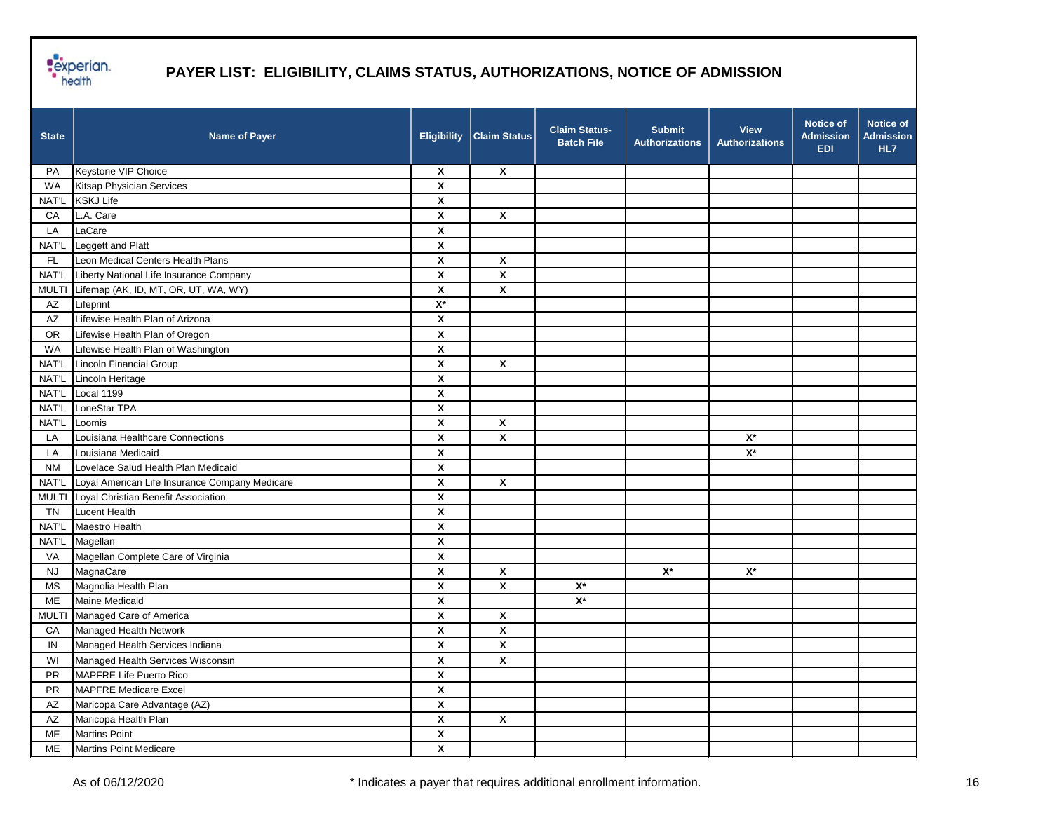

| <b>State</b>           | <b>Name of Payer</b>                           | <b>Eligibility</b>        | <b>Claim Status</b>       | <b>Claim Status-</b><br><b>Batch File</b> | <b>Submit</b><br><b>Authorizations</b> | <b>View</b><br><b>Authorizations</b> | <b>Notice of</b><br><b>Admission</b><br><b>EDI</b> | Notice of<br><b>Admission</b><br>HL7 |
|------------------------|------------------------------------------------|---------------------------|---------------------------|-------------------------------------------|----------------------------------------|--------------------------------------|----------------------------------------------------|--------------------------------------|
| PA                     | Keystone VIP Choice                            | $\boldsymbol{\mathsf{x}}$ | $\boldsymbol{\mathsf{x}}$ |                                           |                                        |                                      |                                                    |                                      |
| <b>WA</b>              | <b>Kitsap Physician Services</b>               | X                         |                           |                                           |                                        |                                      |                                                    |                                      |
| NAT'L                  | <b>KSKJ Life</b>                               | $\pmb{\mathsf{X}}$        |                           |                                           |                                        |                                      |                                                    |                                      |
| CA                     | L.A. Care                                      | $\pmb{\mathsf{x}}$        | $\boldsymbol{\mathsf{x}}$ |                                           |                                        |                                      |                                                    |                                      |
| LA                     | LaCare                                         | X                         |                           |                                           |                                        |                                      |                                                    |                                      |
| NAT'L                  | Leggett and Platt                              | X                         |                           |                                           |                                        |                                      |                                                    |                                      |
| FL.                    | Leon Medical Centers Health Plans              | $\pmb{\mathsf{x}}$        | X                         |                                           |                                        |                                      |                                                    |                                      |
| NAT'L                  | Liberty National Life Insurance Company        | $\pmb{\chi}$              | X                         |                                           |                                        |                                      |                                                    |                                      |
| <b>MULTI</b>           | Lifemap (AK, ID, MT, OR, UT, WA, WY)           | $\pmb{\chi}$              | X                         |                                           |                                        |                                      |                                                    |                                      |
| AZ                     | Lifeprint                                      | $\mathsf{X}^\star$        |                           |                                           |                                        |                                      |                                                    |                                      |
| AZ                     | Lifewise Health Plan of Arizona                | $\boldsymbol{\mathsf{x}}$ |                           |                                           |                                        |                                      |                                                    |                                      |
| <b>OR</b>              | Lifewise Health Plan of Oregon                 | X                         |                           |                                           |                                        |                                      |                                                    |                                      |
| <b>WA</b>              | Lifewise Health Plan of Washington             | X                         |                           |                                           |                                        |                                      |                                                    |                                      |
| NAT'L                  | Lincoln Financial Group                        | $\pmb{\mathsf{X}}$        | $\pmb{\mathsf{X}}$        |                                           |                                        |                                      |                                                    |                                      |
| NAT'L                  | Lincoln Heritage                               | $\pmb{\mathsf{x}}$        |                           |                                           |                                        |                                      |                                                    |                                      |
| NAT'L                  | Local 1199                                     | X                         |                           |                                           |                                        |                                      |                                                    |                                      |
| NAT'L                  | LoneStar TPA                                   | X                         |                           |                                           |                                        |                                      |                                                    |                                      |
| NAT'L                  | Loomis                                         | X                         | X                         |                                           |                                        |                                      |                                                    |                                      |
| LA                     | Louisiana Healthcare Connections               | X                         | X                         |                                           |                                        | $\mathsf{X}^\star$                   |                                                    |                                      |
| LA                     | Louisiana Medicaid                             | $\pmb{\mathsf{x}}$        |                           |                                           |                                        | $\mathsf{X}^\star$                   |                                                    |                                      |
| NM                     | Lovelace Salud Health Plan Medicaid            | X                         |                           |                                           |                                        |                                      |                                                    |                                      |
| NAT'L                  | Loyal American Life Insurance Company Medicare | $\pmb{\mathsf{X}}$        | X                         |                                           |                                        |                                      |                                                    |                                      |
|                        | MULTI Loyal Christian Benefit Association      | X                         |                           |                                           |                                        |                                      |                                                    |                                      |
| TN                     | Lucent Health                                  | $\boldsymbol{\mathsf{X}}$ |                           |                                           |                                        |                                      |                                                    |                                      |
| NAT'L                  | Maestro Health                                 | $\boldsymbol{\mathsf{x}}$ |                           |                                           |                                        |                                      |                                                    |                                      |
| NAT'L                  | Magellan                                       | $\pmb{\mathsf{X}}$        |                           |                                           |                                        |                                      |                                                    |                                      |
| VA                     | Magellan Complete Care of Virginia             | $\pmb{\mathsf{X}}$        |                           |                                           |                                        |                                      |                                                    |                                      |
| <b>NJ</b>              | MagnaCare                                      | X                         | X                         |                                           | $X^*$                                  | $X^*$                                |                                                    |                                      |
| <b>MS</b>              | Magnolia Health Plan                           | $\boldsymbol{\mathsf{x}}$ | X                         | $\mathsf{X}^\star$                        |                                        |                                      |                                                    |                                      |
| ME                     | Maine Medicaid                                 | $\pmb{\mathsf{x}}$        |                           | $\mathsf{X}^\star$                        |                                        |                                      |                                                    |                                      |
| <b>MULTI</b>           | Managed Care of America                        | $\pmb{\mathsf{x}}$        | X                         |                                           |                                        |                                      |                                                    |                                      |
| CA                     | Managed Health Network                         | $\pmb{\chi}$              | X                         |                                           |                                        |                                      |                                                    |                                      |
| IN                     | Managed Health Services Indiana                | X                         | χ                         |                                           |                                        |                                      |                                                    |                                      |
| WI                     | Managed Health Services Wisconsin              | X                         | X                         |                                           |                                        |                                      |                                                    |                                      |
| PR                     | MAPFRE Life Puerto Rico                        | $\pmb{\mathsf{x}}$        |                           |                                           |                                        |                                      |                                                    |                                      |
| PR                     | <b>MAPFRE Medicare Excel</b>                   | $\pmb{\mathsf{x}}$        |                           |                                           |                                        |                                      |                                                    |                                      |
| $\mathsf{A}\mathsf{Z}$ | Maricopa Care Advantage (AZ)                   | $\pmb{\mathsf{X}}$        |                           |                                           |                                        |                                      |                                                    |                                      |
| $\mathsf{A}\mathsf{Z}$ | Maricopa Health Plan                           | $\pmb{\mathsf{X}}$        | $\pmb{\mathsf{X}}$        |                                           |                                        |                                      |                                                    |                                      |
| ME                     | <b>Martins Point</b>                           | $\pmb{\mathsf{X}}$        |                           |                                           |                                        |                                      |                                                    |                                      |
| ME                     | Martins Point Medicare                         | $\pmb{\mathsf{x}}$        |                           |                                           |                                        |                                      |                                                    |                                      |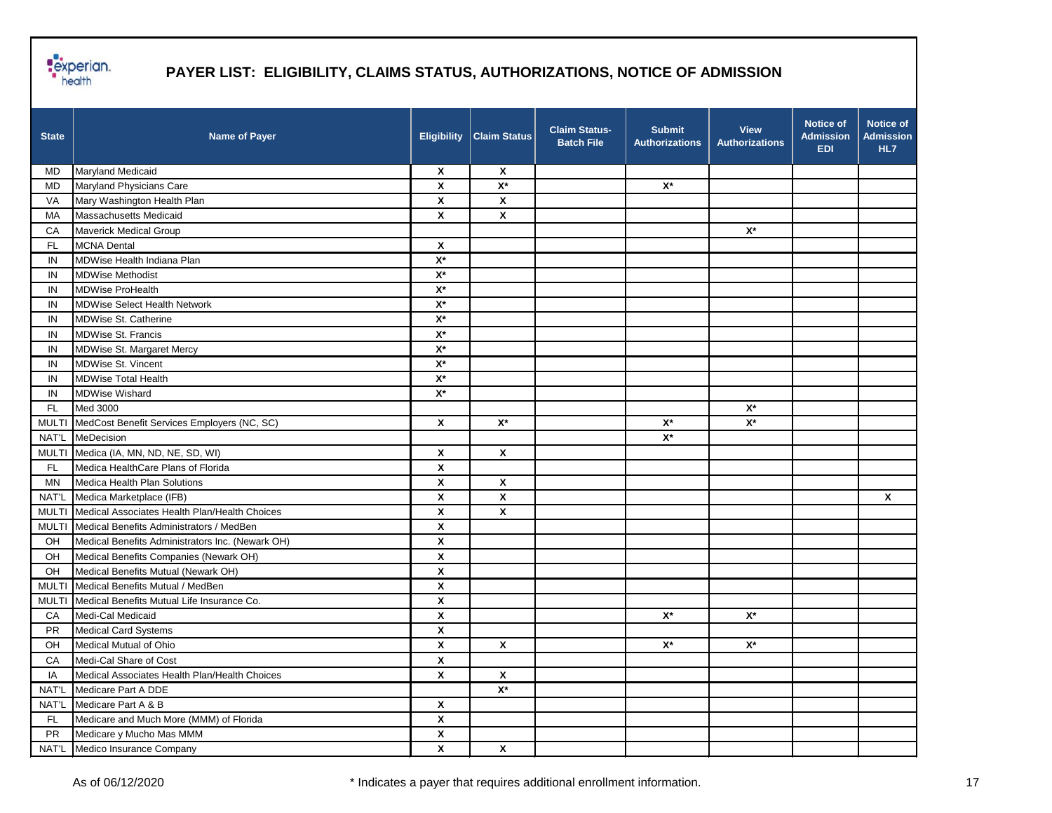

| <b>State</b> | <b>Name of Payer</b>                             | <b>Eligibility</b>        | <b>Claim Status</b>  | <b>Claim Status-</b><br><b>Batch File</b> | <b>Submit</b><br><b>Authorizations</b> | <b>View</b><br><b>Authorizations</b> | <b>Notice of</b><br><b>Admission</b><br><b>EDI</b> | Notice of<br><b>Admission</b><br>HL7 |
|--------------|--------------------------------------------------|---------------------------|----------------------|-------------------------------------------|----------------------------------------|--------------------------------------|----------------------------------------------------|--------------------------------------|
| MD           | <b>Maryland Medicaid</b>                         | X                         | X                    |                                           |                                        |                                      |                                                    |                                      |
| <b>MD</b>    | Maryland Physicians Care                         | X                         | $\mathsf{X}^\star$   |                                           | $\mathsf{X}^\star$                     |                                      |                                                    |                                      |
| VA           | Mary Washington Health Plan                      | X                         | X                    |                                           |                                        |                                      |                                                    |                                      |
| MA           | Massachusetts Medicaid                           | $\pmb{\mathsf{x}}$        | $\pmb{\mathsf{X}}$   |                                           |                                        |                                      |                                                    |                                      |
| CA           | Maverick Medical Group                           |                           |                      |                                           |                                        | $\mathsf{X}^\star$                   |                                                    |                                      |
| <b>FL</b>    | <b>MCNA Dental</b>                               | X                         |                      |                                           |                                        |                                      |                                                    |                                      |
| IN           | MDWise Health Indiana Plan                       | $X^*$                     |                      |                                           |                                        |                                      |                                                    |                                      |
| IN           | <b>MDWise Methodist</b>                          | $X^*$                     |                      |                                           |                                        |                                      |                                                    |                                      |
| IN           | <b>MDWise ProHealth</b>                          | $\mathsf{X}^\star$        |                      |                                           |                                        |                                      |                                                    |                                      |
| IN           | <b>MDWise Select Health Network</b>              | $\mathsf{X}^\star$        |                      |                                           |                                        |                                      |                                                    |                                      |
| IN           | <b>MDWise St. Catherine</b>                      | $\mathsf{X}^\star$        |                      |                                           |                                        |                                      |                                                    |                                      |
| IN           | <b>MDWise St. Francis</b>                        | $X^*$                     |                      |                                           |                                        |                                      |                                                    |                                      |
| IN           | MDWise St. Margaret Mercy                        | $X^*$                     |                      |                                           |                                        |                                      |                                                    |                                      |
| IN           | <b>MDWise St. Vincent</b>                        | $X^*$                     |                      |                                           |                                        |                                      |                                                    |                                      |
| IN           | <b>MDWise Total Health</b>                       | $\mathsf{X}^\star$        |                      |                                           |                                        |                                      |                                                    |                                      |
| IN           | <b>MDWise Wishard</b>                            | $\mathsf{X}^\star$        |                      |                                           |                                        |                                      |                                                    |                                      |
| <b>FL</b>    | Med 3000                                         |                           |                      |                                           |                                        | $\mathsf{X}^\star$                   |                                                    |                                      |
| <b>MULTI</b> | MedCost Benefit Services Employers (NC, SC)      | $\boldsymbol{\mathsf{x}}$ | $\mathsf{X}^{\star}$ |                                           | $\mathsf{X}^\star$                     | $\mathsf{X}^\star$                   |                                                    |                                      |
| NAT'L        | MeDecision                                       |                           |                      |                                           | $\mathsf{X}^\star$                     |                                      |                                                    |                                      |
| <b>MULTI</b> | Medica (IA, MN, ND, NE, SD, WI)                  | X                         | X                    |                                           |                                        |                                      |                                                    |                                      |
| FL.          | Medica HealthCare Plans of Florida               | $\pmb{\mathsf{X}}$        |                      |                                           |                                        |                                      |                                                    |                                      |
| ΜN           | Medica Health Plan Solutions                     | $\pmb{\mathsf{X}}$        | X                    |                                           |                                        |                                      |                                                    |                                      |
| NAT'L        | Medica Marketplace (IFB)                         | X                         | X                    |                                           |                                        |                                      |                                                    | X                                    |
| <b>MULTI</b> | Medical Associates Health Plan/Health Choices    | X                         | X                    |                                           |                                        |                                      |                                                    |                                      |
| <b>MULTI</b> | Medical Benefits Administrators / MedBen         | X                         |                      |                                           |                                        |                                      |                                                    |                                      |
| OH           | Medical Benefits Administrators Inc. (Newark OH) | X                         |                      |                                           |                                        |                                      |                                                    |                                      |
| OH           | Medical Benefits Companies (Newark OH)           | $\pmb{\mathsf{X}}$        |                      |                                           |                                        |                                      |                                                    |                                      |
| OH           | Medical Benefits Mutual (Newark OH)              | X                         |                      |                                           |                                        |                                      |                                                    |                                      |
| <b>MULTI</b> | Medical Benefits Mutual / MedBen                 | $\pmb{\mathsf{X}}$        |                      |                                           |                                        |                                      |                                                    |                                      |
| <b>MULTI</b> | Medical Benefits Mutual Life Insurance Co.       | X                         |                      |                                           |                                        |                                      |                                                    |                                      |
| CA           | Medi-Cal Medicaid                                | X                         |                      |                                           | $\mathsf{X}^\star$                     | $\mathsf{X}^\star$                   |                                                    |                                      |
| <b>PR</b>    | <b>Medical Card Systems</b>                      | $\pmb{\mathsf{X}}$        |                      |                                           |                                        |                                      |                                                    |                                      |
| OH.          | Medical Mutual of Ohio                           | $\boldsymbol{\mathsf{x}}$ | $\pmb{\mathsf{x}}$   |                                           | $\mathsf{X}^\star$                     | $\mathsf{X}^\star$                   |                                                    |                                      |
| CA           | Medi-Cal Share of Cost                           | $\boldsymbol{\mathsf{x}}$ |                      |                                           |                                        |                                      |                                                    |                                      |
| IA           | Medical Associates Health Plan/Health Choices    | X                         | $\pmb{\mathsf{X}}$   |                                           |                                        |                                      |                                                    |                                      |
| NAT'L        | Medicare Part A DDE                              |                           | $X^*$                |                                           |                                        |                                      |                                                    |                                      |
| NAT'L        | Medicare Part A & B                              | X                         |                      |                                           |                                        |                                      |                                                    |                                      |
| FL           | Medicare and Much More (MMM) of Florida          | $\pmb{\mathsf{x}}$        |                      |                                           |                                        |                                      |                                                    |                                      |
| PR           | Medicare y Mucho Mas MMM                         | $\pmb{\mathsf{x}}$        |                      |                                           |                                        |                                      |                                                    |                                      |
| NAT'L        | Medico Insurance Company                         | $\pmb{\mathsf{x}}$        | $\pmb{\mathsf{X}}$   |                                           |                                        |                                      |                                                    |                                      |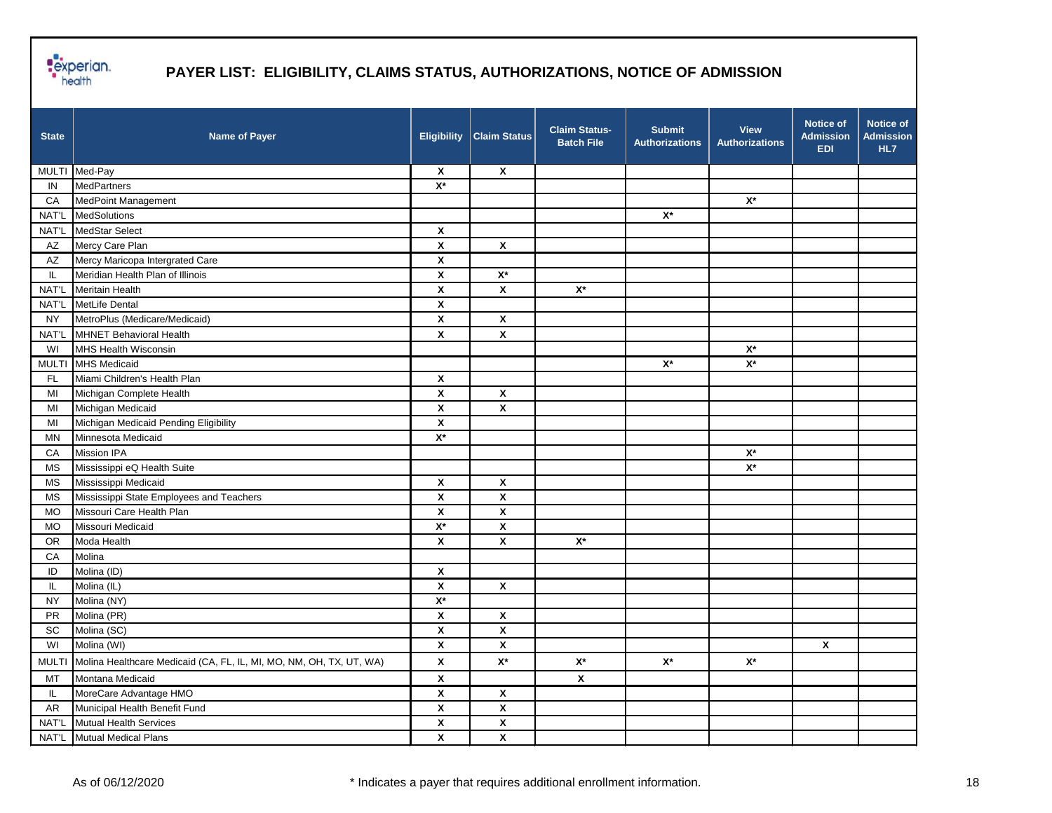

| <b>State</b> | <b>Name of Payer</b>                                                | <b>Eligibility</b>        | <b>Claim Status</b> | <b>Claim Status-</b><br><b>Batch File</b> | <b>Submit</b><br><b>Authorizations</b> | <b>View</b><br><b>Authorizations</b> | <b>Notice of</b><br><b>Admission</b><br><b>EDI</b> | Notice of<br><b>Admission</b><br>HL7 |
|--------------|---------------------------------------------------------------------|---------------------------|---------------------|-------------------------------------------|----------------------------------------|--------------------------------------|----------------------------------------------------|--------------------------------------|
|              | MULTI Med-Pay                                                       | X                         | X                   |                                           |                                        |                                      |                                                    |                                      |
| IN           | MedPartners                                                         | $\mathsf{X}^\star$        |                     |                                           |                                        |                                      |                                                    |                                      |
| CA           | MedPoint Management                                                 |                           |                     |                                           |                                        | $\mathsf{X}^\star$                   |                                                    |                                      |
| NAT'L        | MedSolutions                                                        |                           |                     |                                           | $\mathsf{X}^\star$                     |                                      |                                                    |                                      |
| NAT'L        | MedStar Select                                                      | X                         |                     |                                           |                                        |                                      |                                                    |                                      |
| AZ           | Mercy Care Plan                                                     | $\pmb{\mathsf{x}}$        | X                   |                                           |                                        |                                      |                                                    |                                      |
| AZ           | Mercy Maricopa Intergrated Care                                     | $\pmb{\mathsf{X}}$        |                     |                                           |                                        |                                      |                                                    |                                      |
| IL.          | Meridian Health Plan of Illinois                                    | $\boldsymbol{\mathsf{x}}$ | $\mathbf{X}^{\ast}$ |                                           |                                        |                                      |                                                    |                                      |
| NAT'L        | <b>Meritain Health</b>                                              | $\pmb{\mathsf{X}}$        | $\pmb{\mathsf{x}}$  | $\mathsf{X}^\star$                        |                                        |                                      |                                                    |                                      |
| NAT'L        | MetLife Dental                                                      | X                         |                     |                                           |                                        |                                      |                                                    |                                      |
| <b>NY</b>    | MetroPlus (Medicare/Medicaid)                                       | X                         | X                   |                                           |                                        |                                      |                                                    |                                      |
| NAT'L        | MHNET Behavioral Health                                             | $\pmb{\mathsf{X}}$        | $\pmb{\mathsf{x}}$  |                                           |                                        |                                      |                                                    |                                      |
| WI           | MHS Health Wisconsin                                                |                           |                     |                                           |                                        | $\mathsf{X}^\star$                   |                                                    |                                      |
| <b>MULTI</b> | <b>MHS Medicaid</b>                                                 |                           |                     |                                           | $\mathsf{X}^\star$                     | $\mathsf{X}^\star$                   |                                                    |                                      |
| <b>FL</b>    | Miami Children's Health Plan                                        | $\boldsymbol{\mathsf{x}}$ |                     |                                           |                                        |                                      |                                                    |                                      |
| MI           | Michigan Complete Health                                            | X                         | X                   |                                           |                                        |                                      |                                                    |                                      |
| MI           | Michigan Medicaid                                                   | X                         | X                   |                                           |                                        |                                      |                                                    |                                      |
| MI           | Michigan Medicaid Pending Eligibility                               | $\pmb{\mathsf{x}}$        |                     |                                           |                                        |                                      |                                                    |                                      |
| <b>MN</b>    | Minnesota Medicaid                                                  | $\mathsf{X}^\star$        |                     |                                           |                                        |                                      |                                                    |                                      |
| CA           | <b>Mission IPA</b>                                                  |                           |                     |                                           |                                        | $\mathsf{X}^\star$                   |                                                    |                                      |
| <b>MS</b>    | Mississippi eQ Health Suite                                         |                           |                     |                                           |                                        | $\mathsf{X}^\star$                   |                                                    |                                      |
| MS           | Mississippi Medicaid                                                | X                         | X                   |                                           |                                        |                                      |                                                    |                                      |
| MS           | Mississippi State Employees and Teachers                            | $\pmb{\mathsf{X}}$        | χ                   |                                           |                                        |                                      |                                                    |                                      |
| <b>MO</b>    | Missouri Care Health Plan                                           | $\pmb{\mathsf{X}}$        | $\pmb{\chi}$        |                                           |                                        |                                      |                                                    |                                      |
| MO           | Missouri Medicaid                                                   | $\mathsf{X}^\star$        | X                   |                                           |                                        |                                      |                                                    |                                      |
| OR           | Moda Health                                                         | X                         | X                   | $X^*$                                     |                                        |                                      |                                                    |                                      |
| CA           | Molina                                                              |                           |                     |                                           |                                        |                                      |                                                    |                                      |
| ID           | Molina (ID)                                                         | X                         |                     |                                           |                                        |                                      |                                                    |                                      |
| IL           | Molina (IL)                                                         | $\pmb{\mathsf{X}}$        | X                   |                                           |                                        |                                      |                                                    |                                      |
| <b>NY</b>    | Molina (NY)                                                         | $\mathsf{X}^\star$        |                     |                                           |                                        |                                      |                                                    |                                      |
| <b>PR</b>    | Molina (PR)                                                         | X                         | X                   |                                           |                                        |                                      |                                                    |                                      |
| SC           | Molina (SC)                                                         | $\pmb{\mathsf{X}}$        | $\pmb{\mathsf{x}}$  |                                           |                                        |                                      |                                                    |                                      |
| WI           | Molina (WI)                                                         | X                         | X                   |                                           |                                        |                                      | X                                                  |                                      |
| <b>MULTI</b> | Molina Healthcare Medicaid (CA, FL, IL, MI, MO, NM, OH, TX, UT, WA) | X                         | $\mathsf{X}^\star$  | $\mathsf{X}^\star$                        | $\mathsf{X}^\star$                     | $\mathsf{X}^\star$                   |                                                    |                                      |
| MT           | Montana Medicaid                                                    | $\pmb{\mathsf{X}}$        |                     | $\pmb{\mathsf{X}}$                        |                                        |                                      |                                                    |                                      |
| IL.          | MoreCare Advantage HMO                                              | $\pmb{\mathsf{X}}$        | $\pmb{\mathsf{x}}$  |                                           |                                        |                                      |                                                    |                                      |
| AR           | Municipal Health Benefit Fund                                       | $\pmb{\mathsf{X}}$        | $\pmb{\mathsf{x}}$  |                                           |                                        |                                      |                                                    |                                      |
| NAT'L        | Mutual Health Services                                              | $\pmb{\mathsf{X}}$        | $\pmb{\mathsf{x}}$  |                                           |                                        |                                      |                                                    |                                      |
|              | NAT'L Mutual Medical Plans                                          | X                         | $\pmb{\mathsf{x}}$  |                                           |                                        |                                      |                                                    |                                      |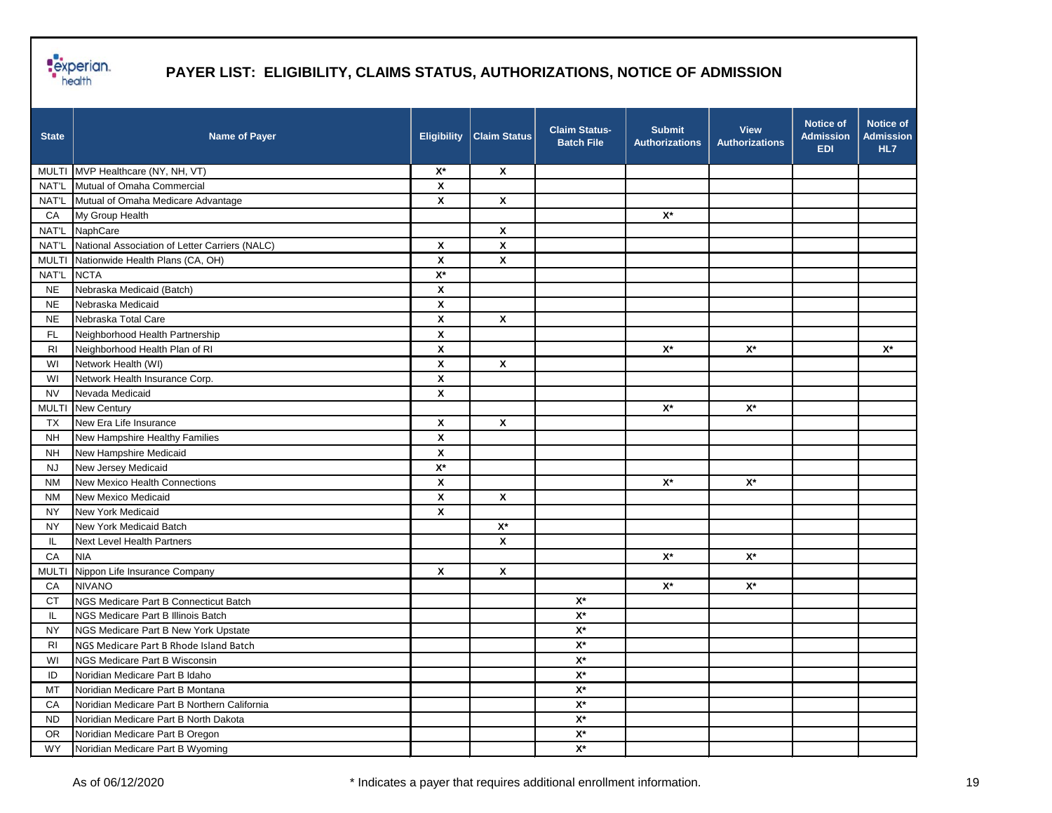

| <b>State</b>   | <b>Name of Payer</b>                                 | <b>Eligibility</b>        | <b>Claim Status</b> | <b>Claim Status-</b><br><b>Batch File</b> | <b>Submit</b><br><b>Authorizations</b> | <b>View</b><br><b>Authorizations</b> | <b>Notice of</b><br><b>Admission</b><br><b>EDI</b> | <b>Notice of</b><br><b>Admission</b><br>HL7 |
|----------------|------------------------------------------------------|---------------------------|---------------------|-------------------------------------------|----------------------------------------|--------------------------------------|----------------------------------------------------|---------------------------------------------|
|                | MULTI MVP Healthcare (NY, NH, VT)                    | $X^*$                     | $\pmb{\mathsf{X}}$  |                                           |                                        |                                      |                                                    |                                             |
|                | NAT'L Mutual of Omaha Commercial                     | $\boldsymbol{\mathsf{x}}$ |                     |                                           |                                        |                                      |                                                    |                                             |
|                | NAT'L Mutual of Omaha Medicare Advantage             | $\boldsymbol{\mathsf{x}}$ | $\pmb{\mathsf{X}}$  |                                           |                                        |                                      |                                                    |                                             |
| CA             | My Group Health                                      |                           |                     |                                           | $\mathsf{X}^\star$                     |                                      |                                                    |                                             |
|                | NAT'L NaphCare                                       |                           | $\mathbf{x}$        |                                           |                                        |                                      |                                                    |                                             |
|                | NAT'L National Association of Letter Carriers (NALC) | X                         | $\pmb{\mathsf{X}}$  |                                           |                                        |                                      |                                                    |                                             |
| <b>MULTI</b>   | Nationwide Health Plans (CA, OH)                     | X                         | $\pmb{\mathsf{X}}$  |                                           |                                        |                                      |                                                    |                                             |
| NAT'L          | <b>NCTA</b>                                          | $\mathsf{X}^\star$        |                     |                                           |                                        |                                      |                                                    |                                             |
| <b>NE</b>      | Nebraska Medicaid (Batch)                            | X                         |                     |                                           |                                        |                                      |                                                    |                                             |
| <b>NE</b>      | Nebraska Medicaid                                    | $\boldsymbol{\mathsf{x}}$ |                     |                                           |                                        |                                      |                                                    |                                             |
| <b>NE</b>      | Nebraska Total Care                                  | $\boldsymbol{\mathsf{x}}$ | $\pmb{\mathsf{X}}$  |                                           |                                        |                                      |                                                    |                                             |
| FL.            | Neighborhood Health Partnership                      | X                         |                     |                                           |                                        |                                      |                                                    |                                             |
| R <sub>l</sub> | Neighborhood Health Plan of RI                       | X                         |                     |                                           | $\mathsf{X}^\star$                     | $\mathsf{X}^\star$                   |                                                    | $X^*$                                       |
| WI             | Network Health (WI)                                  | X                         | $\pmb{\mathsf{X}}$  |                                           |                                        |                                      |                                                    |                                             |
| WI             | Network Health Insurance Corp.                       | $\boldsymbol{\mathsf{x}}$ |                     |                                           |                                        |                                      |                                                    |                                             |
| <b>NV</b>      | Nevada Medicaid                                      | $\pmb{\mathsf{x}}$        |                     |                                           |                                        |                                      |                                                    |                                             |
| <b>MULTI</b>   | New Century                                          |                           |                     |                                           | $\mathsf{X}^\star$                     | $\mathsf{X}^\star$                   |                                                    |                                             |
| <b>TX</b>      | New Era Life Insurance                               | X                         | $\pmb{\mathsf{X}}$  |                                           |                                        |                                      |                                                    |                                             |
| <b>NH</b>      | New Hampshire Healthy Families                       | X                         |                     |                                           |                                        |                                      |                                                    |                                             |
| <b>NH</b>      | New Hampshire Medicaid                               | X                         |                     |                                           |                                        |                                      |                                                    |                                             |
| NJ.            | New Jersey Medicaid                                  | $\mathsf{X}^\star$        |                     |                                           |                                        |                                      |                                                    |                                             |
| <b>NM</b>      | New Mexico Health Connections                        | X                         |                     |                                           | $\mathsf{X}^\star$                     | $\mathsf{X}^\star$                   |                                                    |                                             |
| <b>NM</b>      | New Mexico Medicaid                                  | X                         | $\pmb{\mathsf{X}}$  |                                           |                                        |                                      |                                                    |                                             |
| <b>NY</b>      | New York Medicaid                                    | X                         |                     |                                           |                                        |                                      |                                                    |                                             |
| <b>NY</b>      | New York Medicaid Batch                              |                           | $\mathsf{X}^\star$  |                                           |                                        |                                      |                                                    |                                             |
| IL.            | Next Level Health Partners                           |                           | X                   |                                           |                                        |                                      |                                                    |                                             |
| CA             | <b>NIA</b>                                           |                           |                     |                                           | $\mathsf{X}^\star$                     | $\mathsf{X}^\star$                   |                                                    |                                             |
| <b>MULTI</b>   | Nippon Life Insurance Company                        | X                         | X                   |                                           |                                        |                                      |                                                    |                                             |
| CA             | <b>NIVANO</b>                                        |                           |                     |                                           | $\mathsf{X}^\star$                     | $X^*$                                |                                                    |                                             |
| <b>CT</b>      | NGS Medicare Part B Connecticut Batch                |                           |                     | $\mathsf{X}^\star$                        |                                        |                                      |                                                    |                                             |
| IL.            | <b>NGS Medicare Part B Illinois Batch</b>            |                           |                     | $\mathsf{X}^\star$                        |                                        |                                      |                                                    |                                             |
| <b>NY</b>      | NGS Medicare Part B New York Upstate                 |                           |                     | $\mathsf{X}^\star$                        |                                        |                                      |                                                    |                                             |
| <b>RI</b>      | NGS Medicare Part B Rhode Island Batch               |                           |                     | $\mathbf{X}^{\star}$                      |                                        |                                      |                                                    |                                             |
| WI             | NGS Medicare Part B Wisconsin                        |                           |                     | $\mathsf{X}^\star$                        |                                        |                                      |                                                    |                                             |
| ID             | Noridian Medicare Part B Idaho                       |                           |                     | $\mathbf{X}^{\star}$                      |                                        |                                      |                                                    |                                             |
| MT             | Noridian Medicare Part B Montana                     |                           |                     | $\mathbf{X}^{\star}$                      |                                        |                                      |                                                    |                                             |
| CA             | Noridian Medicare Part B Northern California         |                           |                     | $\mathsf{X}^\star$                        |                                        |                                      |                                                    |                                             |
| <b>ND</b>      | Noridian Medicare Part B North Dakota                |                           |                     | $\mathsf{X}^\star$                        |                                        |                                      |                                                    |                                             |
| <b>OR</b>      | Noridian Medicare Part B Oregon                      |                           |                     | $\mathsf{X}^\star$                        |                                        |                                      |                                                    |                                             |
| <b>WY</b>      | Noridian Medicare Part B Wyoming                     |                           |                     | $\mathsf{X}^\star$                        |                                        |                                      |                                                    |                                             |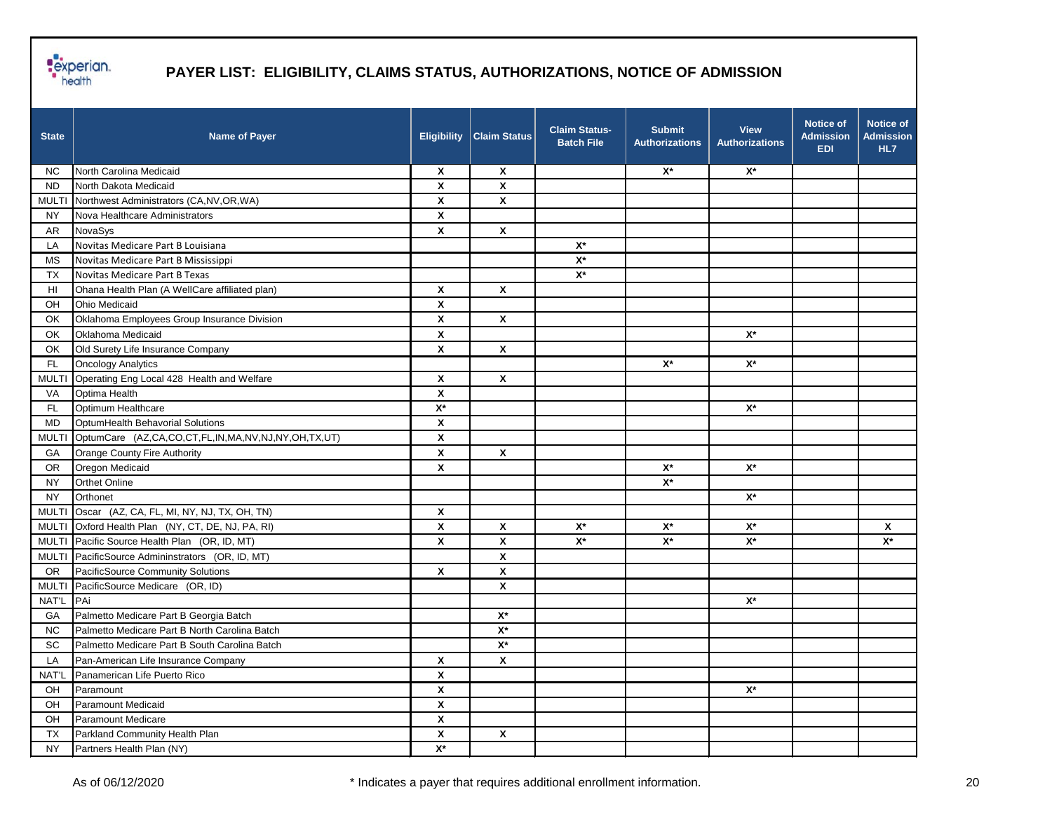

| <b>State</b> | <b>Name of Payer</b>                               |                           | <b>Eligibility   Claim Status</b> | <b>Claim Status-</b><br><b>Batch File</b> | <b>Submit</b><br><b>Authorizations</b> | <b>View</b><br><b>Authorizations</b> | <b>Notice of</b><br><b>Admission</b><br><b>EDI</b> | <b>Notice of</b><br><b>Admission</b><br>HL7 |
|--------------|----------------------------------------------------|---------------------------|-----------------------------------|-------------------------------------------|----------------------------------------|--------------------------------------|----------------------------------------------------|---------------------------------------------|
| NC.          | North Carolina Medicaid                            | $\pmb{\chi}$              | $\boldsymbol{\mathsf{x}}$         |                                           | $X^*$                                  | $\mathsf{X}^\star$                   |                                                    |                                             |
| <b>ND</b>    | North Dakota Medicaid                              | X                         | $\pmb{\mathsf{x}}$                |                                           |                                        |                                      |                                                    |                                             |
| <b>MULTI</b> | Northwest Administrators (CA, NV, OR, WA)          | $\boldsymbol{\mathsf{x}}$ | $\boldsymbol{\mathsf{x}}$         |                                           |                                        |                                      |                                                    |                                             |
| <b>NY</b>    | Nova Healthcare Administrators                     | X                         |                                   |                                           |                                        |                                      |                                                    |                                             |
| <b>AR</b>    | NovaSys                                            | $\boldsymbol{\mathsf{x}}$ | $\pmb{\mathsf{X}}$                |                                           |                                        |                                      |                                                    |                                             |
| LA           | Novitas Medicare Part B Louisiana                  |                           |                                   | $\mathsf{X}^\star$                        |                                        |                                      |                                                    |                                             |
| <b>MS</b>    | Novitas Medicare Part B Mississippi                |                           |                                   | $X^*$                                     |                                        |                                      |                                                    |                                             |
| TX           | Novitas Medicare Part B Texas                      |                           |                                   | $X^*$                                     |                                        |                                      |                                                    |                                             |
| HI           | Ohana Health Plan (A WellCare affiliated plan)     | $\boldsymbol{\mathsf{x}}$ | X                                 |                                           |                                        |                                      |                                                    |                                             |
| OH           | <b>Ohio Medicaid</b>                               | $\pmb{\chi}$              |                                   |                                           |                                        |                                      |                                                    |                                             |
| OK           | Oklahoma Employees Group Insurance Division        | X                         | $\pmb{\mathsf{X}}$                |                                           |                                        |                                      |                                                    |                                             |
| OK           | Oklahoma Medicaid                                  | $\boldsymbol{\mathsf{X}}$ |                                   |                                           |                                        | $\mathsf{X}^\star$                   |                                                    |                                             |
| OK           | Old Surety Life Insurance Company                  | X                         | $\pmb{\chi}$                      |                                           |                                        |                                      |                                                    |                                             |
| FL.          | <b>Oncology Analytics</b>                          |                           |                                   |                                           | $\mathsf{X}^\star$                     | $X^*$                                |                                                    |                                             |
| <b>MULTI</b> | Operating Eng Local 428 Health and Welfare         | $\boldsymbol{\mathsf{x}}$ | X                                 |                                           |                                        |                                      |                                                    |                                             |
| VA           | Optima Health                                      | X                         |                                   |                                           |                                        |                                      |                                                    |                                             |
| <b>FL</b>    | Optimum Healthcare                                 | $\mathsf{X}^\star$        |                                   |                                           |                                        | $\mathsf{X}^\star$                   |                                                    |                                             |
| <b>MD</b>    | OptumHealth Behavorial Solutions                   | $\pmb{\mathsf{X}}$        |                                   |                                           |                                        |                                      |                                                    |                                             |
| <b>MULTI</b> | OptumCare (AZ,CA,CO,CT,FL,IN,MA,NV,NJ,NY,OH,TX,UT) | $\pmb{\mathsf{X}}$        |                                   |                                           |                                        |                                      |                                                    |                                             |
| GA           | Orange County Fire Authority                       | $\boldsymbol{\mathsf{x}}$ | $\mathbf{x}$                      |                                           |                                        |                                      |                                                    |                                             |
| OR.          | Oregon Medicaid                                    | X                         |                                   |                                           | $X^*$                                  | $\mathsf{X}^\star$                   |                                                    |                                             |
| <b>NY</b>    | Orthet Online                                      |                           |                                   |                                           | $\mathsf{X}^\star$                     |                                      |                                                    |                                             |
| <b>NY</b>    | Orthonet                                           |                           |                                   |                                           |                                        | $\mathbf{X}^{\star}$                 |                                                    |                                             |
| <b>MULTI</b> | Oscar (AZ, CA, FL, MI, NY, NJ, TX, OH, TN)         | $\boldsymbol{\mathsf{X}}$ |                                   |                                           |                                        |                                      |                                                    |                                             |
| <b>MULTI</b> | Oxford Health Plan (NY, CT, DE, NJ, PA, RI)        | $\boldsymbol{\mathsf{x}}$ | $\pmb{\mathsf{X}}$                | $\mathsf{X}^\star$                        | $X^*$                                  | $\mathsf{X}^\star$                   |                                                    | X                                           |
|              | MULTI Pacific Source Health Plan (OR, ID, MT)      | X                         | X                                 | $\mathsf{X}^\star$                        | $\mathsf{X}^\star$                     | $\mathbf{X}^{\star}$                 |                                                    | $\mathsf{X}^\star$                          |
| <b>MULTI</b> | PacificSource Admininstrators (OR, ID, MT)         |                           | X                                 |                                           |                                        |                                      |                                                    |                                             |
| <b>OR</b>    | PacificSource Community Solutions                  | X                         | $\pmb{\mathsf{x}}$                |                                           |                                        |                                      |                                                    |                                             |
| <b>MULTI</b> | PacificSource Medicare (OR, ID)                    |                           | $\boldsymbol{\mathsf{x}}$         |                                           |                                        |                                      |                                                    |                                             |
| NAT'L        | PAi                                                |                           |                                   |                                           |                                        | $X^*$                                |                                                    |                                             |
| GA           | Palmetto Medicare Part B Georgia Batch             |                           | $\mathbf{X}^{\star}$              |                                           |                                        |                                      |                                                    |                                             |
| NC.          | Palmetto Medicare Part B North Carolina Batch      |                           | $\mathsf{X}^\star$                |                                           |                                        |                                      |                                                    |                                             |
| <b>SC</b>    | Palmetto Medicare Part B South Carolina Batch      |                           | $\mathsf{X}^\star$                |                                           |                                        |                                      |                                                    |                                             |
| LA           | Pan-American Life Insurance Company                | $\pmb{\chi}$              | $\pmb{\mathsf{X}}$                |                                           |                                        |                                      |                                                    |                                             |
| NAT'L        | Panamerican Life Puerto Rico                       | $\pmb{\mathsf{X}}$        |                                   |                                           |                                        |                                      |                                                    |                                             |
| OH           | Paramount                                          | $\pmb{\chi}$              |                                   |                                           |                                        | $\mathsf{X}^\star$                   |                                                    |                                             |
| OH           | Paramount Medicaid                                 | $\pmb{\chi}$              |                                   |                                           |                                        |                                      |                                                    |                                             |
| OH           | Paramount Medicare                                 | $\pmb{\mathsf{X}}$        |                                   |                                           |                                        |                                      |                                                    |                                             |
| <b>TX</b>    | Parkland Community Health Plan                     | $\pmb{\mathsf{X}}$        | $\pmb{\mathsf{X}}$                |                                           |                                        |                                      |                                                    |                                             |
| <b>NY</b>    | Partners Health Plan (NY)                          | $\mathbf{X}^{\star}$      |                                   |                                           |                                        |                                      |                                                    |                                             |
|              |                                                    |                           |                                   |                                           |                                        |                                      |                                                    |                                             |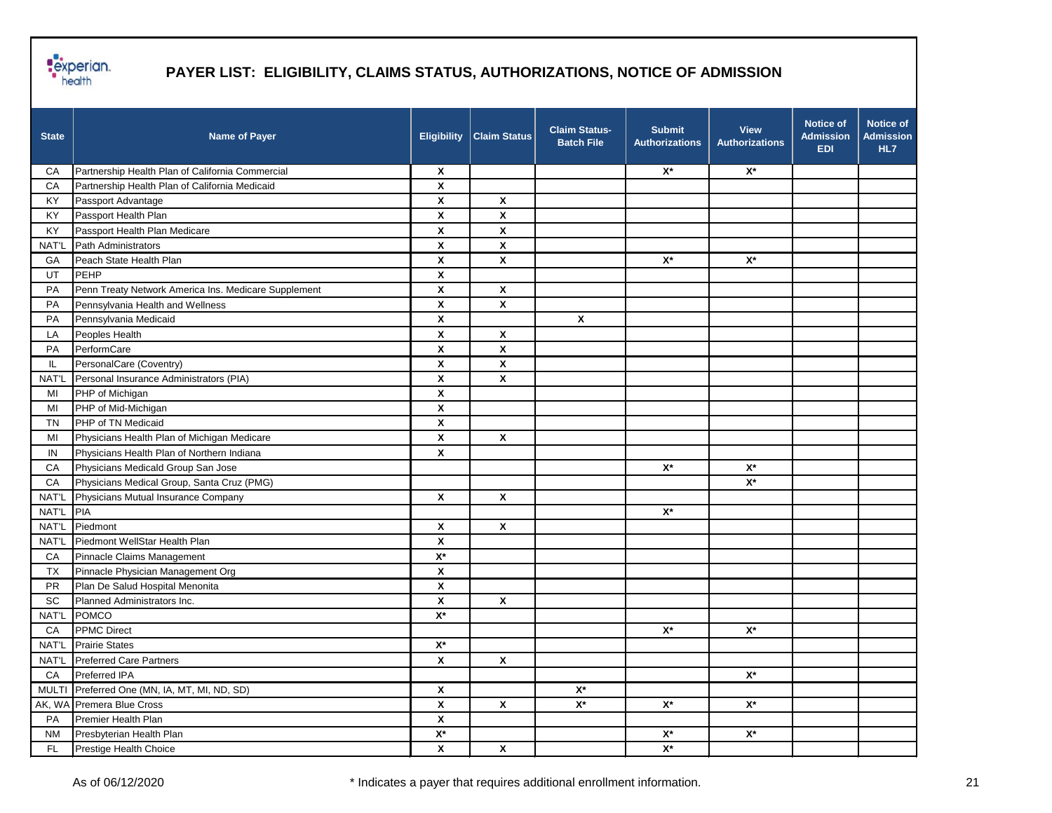

| <b>State</b> | <b>Name of Payer</b>                                 | <b>Eligibility</b>        | <b>Claim Status</b>       | <b>Claim Status-</b><br><b>Batch File</b> | <b>Submit</b><br><b>Authorizations</b> | <b>View</b><br><b>Authorizations</b> | <b>Notice of</b><br><b>Admission</b><br><b>EDI</b> | <b>Notice of</b><br><b>Admission</b><br>HL7 |
|--------------|------------------------------------------------------|---------------------------|---------------------------|-------------------------------------------|----------------------------------------|--------------------------------------|----------------------------------------------------|---------------------------------------------|
| CA           | Partnership Health Plan of California Commercial     | $\boldsymbol{\mathsf{x}}$ |                           |                                           | $\mathsf{X}^\star$                     | $\mathsf{X}^\star$                   |                                                    |                                             |
| CA           | Partnership Health Plan of California Medicaid       | $\boldsymbol{\mathsf{x}}$ |                           |                                           |                                        |                                      |                                                    |                                             |
| KY           | Passport Advantage                                   | $\boldsymbol{\mathsf{x}}$ | $\boldsymbol{\mathsf{x}}$ |                                           |                                        |                                      |                                                    |                                             |
| KY           | Passport Health Plan                                 | $\boldsymbol{\mathsf{x}}$ | $\boldsymbol{\mathsf{x}}$ |                                           |                                        |                                      |                                                    |                                             |
| KY           | Passport Health Plan Medicare                        | $\boldsymbol{\mathsf{x}}$ | $\boldsymbol{\mathsf{x}}$ |                                           |                                        |                                      |                                                    |                                             |
| NAT'L        | Path Administrators                                  | $\pmb{\chi}$              | $\pmb{\chi}$              |                                           |                                        |                                      |                                                    |                                             |
| GA           | Peach State Health Plan                              | $\boldsymbol{\mathsf{x}}$ | $\pmb{\mathsf{X}}$        |                                           | $X^*$                                  | $X^*$                                |                                                    |                                             |
| UT           | PEHP                                                 | $\boldsymbol{\mathsf{x}}$ |                           |                                           |                                        |                                      |                                                    |                                             |
| PA           | Penn Treaty Network America Ins. Medicare Supplement | $\boldsymbol{\mathsf{x}}$ | $\pmb{\mathsf{X}}$        |                                           |                                        |                                      |                                                    |                                             |
| PA           | Pennsylvania Health and Wellness                     | $\boldsymbol{\mathsf{x}}$ | X                         |                                           |                                        |                                      |                                                    |                                             |
| PA           | Pennsylvania Medicaid                                | $\boldsymbol{\mathsf{x}}$ |                           | $\pmb{\chi}$                              |                                        |                                      |                                                    |                                             |
| LA           | Peoples Health                                       | X                         | $\boldsymbol{\mathsf{x}}$ |                                           |                                        |                                      |                                                    |                                             |
| PA           | PerformCare                                          | X                         | X                         |                                           |                                        |                                      |                                                    |                                             |
| IL.          | PersonalCare (Coventry)                              | $\boldsymbol{\mathsf{x}}$ | X                         |                                           |                                        |                                      |                                                    |                                             |
| NAT'L        | Personal Insurance Administrators (PIA)              | $\boldsymbol{\mathsf{x}}$ | $\pmb{\mathsf{X}}$        |                                           |                                        |                                      |                                                    |                                             |
| MI           | PHP of Michigan                                      | $\boldsymbol{\mathsf{x}}$ |                           |                                           |                                        |                                      |                                                    |                                             |
| MI           | PHP of Mid-Michigan                                  | $\boldsymbol{\mathsf{x}}$ |                           |                                           |                                        |                                      |                                                    |                                             |
| <b>TN</b>    | PHP of TN Medicaid                                   | $\pmb{\mathsf{X}}$        |                           |                                           |                                        |                                      |                                                    |                                             |
| MI           | Physicians Health Plan of Michigan Medicare          | X                         | $\boldsymbol{\mathsf{x}}$ |                                           |                                        |                                      |                                                    |                                             |
| IN           | Physicians Health Plan of Northern Indiana           | $\boldsymbol{\mathsf{x}}$ |                           |                                           |                                        |                                      |                                                    |                                             |
| CA           | Physicians Medicald Group San Jose                   |                           |                           |                                           | $\mathsf{X}^\star$                     | $X^*$                                |                                                    |                                             |
| CA           | Physicians Medical Group, Santa Cruz (PMG)           |                           |                           |                                           |                                        | $X^*$                                |                                                    |                                             |
| NAT'L        | Physicians Mutual Insurance Company                  | $\boldsymbol{\mathsf{x}}$ | $\boldsymbol{\mathsf{x}}$ |                                           |                                        |                                      |                                                    |                                             |
| NAT'L        | PIA                                                  |                           |                           |                                           | $\mathsf{X}^\star$                     |                                      |                                                    |                                             |
| NAT'L        | Piedmont                                             | $\boldsymbol{\mathsf{x}}$ | $\overline{\mathbf{x}}$   |                                           |                                        |                                      |                                                    |                                             |
| NAT'L        | Piedmont WellStar Health Plan                        | $\boldsymbol{\mathsf{x}}$ |                           |                                           |                                        |                                      |                                                    |                                             |
| CA           | Pinnacle Claims Management                           | $\mathsf{X}^\star$        |                           |                                           |                                        |                                      |                                                    |                                             |
| <b>TX</b>    | Pinnacle Physician Management Org                    | $\pmb{\mathsf{x}}$        |                           |                                           |                                        |                                      |                                                    |                                             |
| <b>PR</b>    | Plan De Salud Hospital Menonita                      | $\boldsymbol{\mathsf{x}}$ |                           |                                           |                                        |                                      |                                                    |                                             |
| SC           | Planned Administrators Inc.                          | X                         | $\boldsymbol{\mathsf{x}}$ |                                           |                                        |                                      |                                                    |                                             |
| NAT'L        | POMCO                                                | $\mathsf{X}^\star$        |                           |                                           |                                        |                                      |                                                    |                                             |
| CA           | <b>PPMC Direct</b>                                   |                           |                           |                                           | $\mathsf{X}^\star$                     | $X^*$                                |                                                    |                                             |
|              | NAT'L Prairie States                                 | $\mathsf{X}^\star$        |                           |                                           |                                        |                                      |                                                    |                                             |
| NAT'L        | <b>Preferred Care Partners</b>                       | $\pmb{\chi}$              | $\pmb{\mathsf{X}}$        |                                           |                                        |                                      |                                                    |                                             |
| CA           | Preferred IPA                                        |                           |                           |                                           |                                        | $\mathsf{X}^\star$                   |                                                    |                                             |
| <b>MULTI</b> | Preferred One (MN, IA, MT, MI, ND, SD)               | $\pmb{\chi}$              |                           | $\mathsf{X}^\star$                        |                                        |                                      |                                                    |                                             |
|              | AK, WA Premera Blue Cross                            | $\pmb{\chi}$              | $\pmb{\mathsf{X}}$        | $\mathsf{X}^\star$                        | $\mathsf{X}^{\star}$                   | $\mathsf{X}^\star$                   |                                                    |                                             |
| PA           | Premier Health Plan                                  | $\pmb{\mathsf{X}}$        |                           |                                           |                                        |                                      |                                                    |                                             |
| <b>NM</b>    | Presbyterian Health Plan                             | $\mathbf{X}^{\star}$      |                           |                                           | $\mathbf{X}^{\star}$                   | $X^*$                                |                                                    |                                             |
| FL.          | Prestige Health Choice                               | $\pmb{\mathsf{X}}$        | $\pmb{\mathsf{X}}$        |                                           | $\mathbf{X}^{\star}$                   |                                      |                                                    |                                             |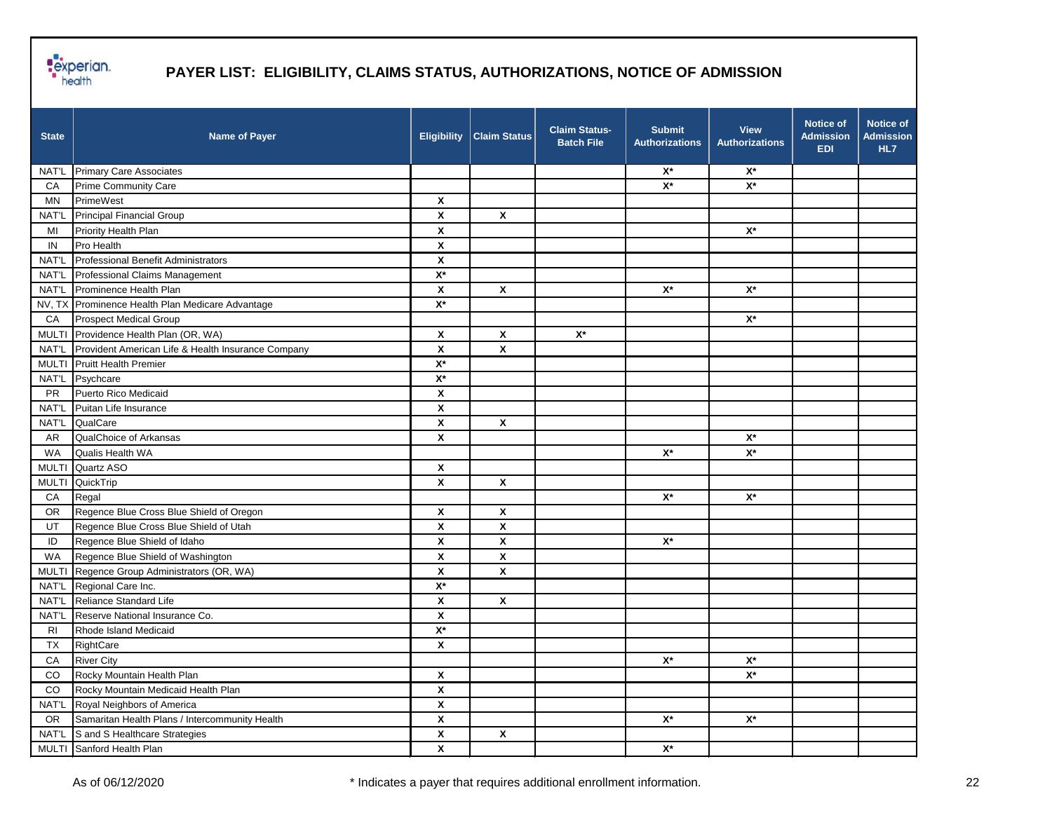

| <b>State</b>   | <b>Name of Payer</b>                               | <b>Eligibility</b>        | <b>Claim Status</b> | <b>Claim Status-</b><br><b>Batch File</b> | <b>Submit</b><br><b>Authorizations</b> | <b>View</b><br><b>Authorizations</b> | <b>Notice of</b><br><b>Admission</b><br><b>EDI</b> | <b>Notice of</b><br><b>Admission</b><br>HL7 |
|----------------|----------------------------------------------------|---------------------------|---------------------|-------------------------------------------|----------------------------------------|--------------------------------------|----------------------------------------------------|---------------------------------------------|
| NAT'L          | <b>Primary Care Associates</b>                     |                           |                     |                                           | $\mathsf{X}^\star$                     | $X^*$                                |                                                    |                                             |
| CA             | Prime Community Care                               |                           |                     |                                           | $\mathsf{X}^\star$                     | $\mathsf{X}^\star$                   |                                                    |                                             |
| ΜN             | PrimeWest                                          | $\pmb{\mathsf{x}}$        |                     |                                           |                                        |                                      |                                                    |                                             |
| NAT'L          | <b>Principal Financial Group</b>                   | X                         | X                   |                                           |                                        |                                      |                                                    |                                             |
| MI             | Priority Health Plan                               | $\pmb{\mathsf{X}}$        |                     |                                           |                                        | $\mathsf{X}^\star$                   |                                                    |                                             |
| IN             | Pro Health                                         | X                         |                     |                                           |                                        |                                      |                                                    |                                             |
| NAT'L          | Professional Benefit Administrators                | X                         |                     |                                           |                                        |                                      |                                                    |                                             |
|                | NAT'L Professional Claims Management               | $\overline{X^*}$          |                     |                                           |                                        |                                      |                                                    |                                             |
| <b>NAT'L</b>   | Prominence Health Plan                             | $\pmb{\mathsf{X}}$        | X                   |                                           | $\mathsf{X}^\star$                     | $X^*$                                |                                                    |                                             |
|                | NV, TX Prominence Health Plan Medicare Advantage   | $X^*$                     |                     |                                           |                                        |                                      |                                                    |                                             |
| CA             | <b>Prospect Medical Group</b>                      |                           |                     |                                           |                                        | $X^*$                                |                                                    |                                             |
|                | MULTI Providence Health Plan (OR, WA)              | X                         | X                   | $\mathsf{X}^\star$                        |                                        |                                      |                                                    |                                             |
| NAT'L          | Provident American Life & Health Insurance Company | X                         | X                   |                                           |                                        |                                      |                                                    |                                             |
|                | MULTI Pruitt Health Premier                        | $\mathsf{X}^\star$        |                     |                                           |                                        |                                      |                                                    |                                             |
|                | NAT'L Psychcare                                    | $\mathsf{X}^\star$        |                     |                                           |                                        |                                      |                                                    |                                             |
| <b>PR</b>      | Puerto Rico Medicaid                               | X                         |                     |                                           |                                        |                                      |                                                    |                                             |
| NAT'L          | Puitan Life Insurance                              | X                         |                     |                                           |                                        |                                      |                                                    |                                             |
| NAT'L          | QualCare                                           | X                         | X                   |                                           |                                        |                                      |                                                    |                                             |
| AR             | QualChoice of Arkansas                             | X                         |                     |                                           |                                        | $X^*$                                |                                                    |                                             |
| WA             | Qualis Health WA                                   |                           |                     |                                           | $\mathsf{X}^\star$                     | $\mathsf{X}^\star$                   |                                                    |                                             |
| <b>MULTI</b>   | Quartz ASO                                         | $\boldsymbol{\mathsf{x}}$ |                     |                                           |                                        |                                      |                                                    |                                             |
| <b>MULTI</b>   | QuickTrip                                          | X                         | X                   |                                           |                                        |                                      |                                                    |                                             |
| CA             | Regal                                              |                           |                     |                                           | $\mathsf{X}^\star$                     | $X^*$                                |                                                    |                                             |
| <b>OR</b>      | Regence Blue Cross Blue Shield of Oregon           | X                         | X                   |                                           |                                        |                                      |                                                    |                                             |
| UT             | Regence Blue Cross Blue Shield of Utah             | $\pmb{\mathsf{x}}$        | $\mathsf{x}$        |                                           |                                        |                                      |                                                    |                                             |
| ID             | Regence Blue Shield of Idaho                       | $\pmb{\mathsf{X}}$        | X                   |                                           | $\mathsf{X}^\star$                     |                                      |                                                    |                                             |
| WA             | Regence Blue Shield of Washington                  | X                         | X                   |                                           |                                        |                                      |                                                    |                                             |
|                | MULTI Regence Group Administrators (OR, WA)        | X                         | X                   |                                           |                                        |                                      |                                                    |                                             |
|                | NAT'L Regional Care Inc.                           | $X^*$                     |                     |                                           |                                        |                                      |                                                    |                                             |
| NAT'L          | Reliance Standard Life                             | X                         | X                   |                                           |                                        |                                      |                                                    |                                             |
| NAT'L          | Reserve National Insurance Co.                     | $\boldsymbol{\mathsf{X}}$ |                     |                                           |                                        |                                      |                                                    |                                             |
| R <sub>1</sub> | Rhode Island Medicaid                              | $X^*$                     |                     |                                           |                                        |                                      |                                                    |                                             |
| TX             | RightCare                                          | X                         |                     |                                           |                                        |                                      |                                                    |                                             |
| CA             | <b>River City</b>                                  |                           |                     |                                           | $\mathsf{X}^\star$                     | $\mathsf{X}^\star$                   |                                                    |                                             |
| $_{\rm CO}$    | Rocky Mountain Health Plan                         | $\pmb{\mathsf{x}}$        |                     |                                           |                                        | $\mathbf{X}^{\star}$                 |                                                    |                                             |
| $_{\rm CO}$    | Rocky Mountain Medicaid Health Plan                | $\pmb{\mathsf{x}}$        |                     |                                           |                                        |                                      |                                                    |                                             |
| NAT'L          | Royal Neighbors of America                         | $\pmb{\mathsf{X}}$        |                     |                                           |                                        |                                      |                                                    |                                             |
| <b>OR</b>      | Samaritan Health Plans / Intercommunity Health     | $\pmb{\mathsf{X}}$        |                     |                                           | $\mathsf{X}^\star$                     | $\mathbf{X}^{\star}$                 |                                                    |                                             |
| NAT'L          | S and S Healthcare Strategies                      | $\pmb{\mathsf{X}}$        | $\pmb{\mathsf{X}}$  |                                           |                                        |                                      |                                                    |                                             |
|                | MULTI Sanford Health Plan                          | X                         |                     |                                           | $\mathsf{X}^\star$                     |                                      |                                                    |                                             |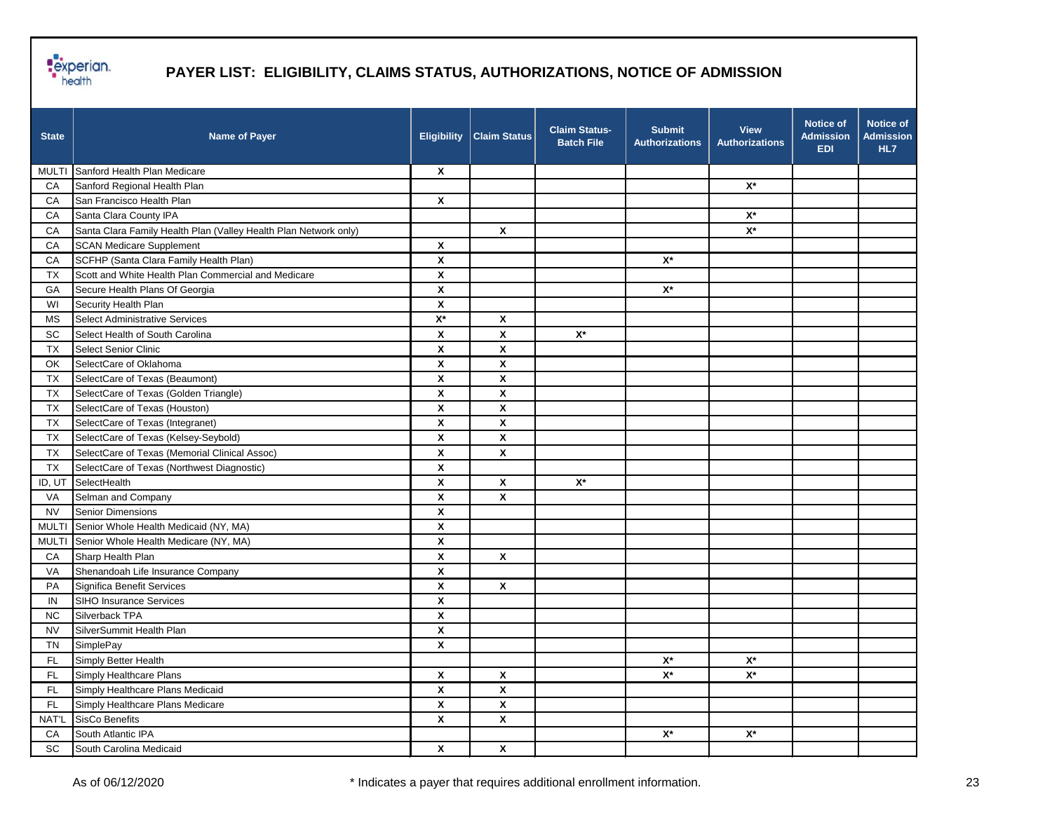

| <b>State</b> | <b>Name of Payer</b>                                             | <b>Eligibility</b>        | <b>Claim Status</b>       | <b>Claim Status-</b><br><b>Batch File</b> | <b>Submit</b><br><b>Authorizations</b> | <b>View</b><br><b>Authorizations</b> | <b>Notice of</b><br><b>Admission</b><br><b>EDI</b> | <b>Notice of</b><br><b>Admission</b><br>HL7 |
|--------------|------------------------------------------------------------------|---------------------------|---------------------------|-------------------------------------------|----------------------------------------|--------------------------------------|----------------------------------------------------|---------------------------------------------|
|              | MULTI Sanford Health Plan Medicare                               | $\mathbf{x}$              |                           |                                           |                                        |                                      |                                                    |                                             |
| CA           | Sanford Regional Health Plan                                     |                           |                           |                                           |                                        | $X^*$                                |                                                    |                                             |
| CA           | San Francisco Health Plan                                        | $\boldsymbol{\mathsf{x}}$ |                           |                                           |                                        |                                      |                                                    |                                             |
| CA           | Santa Clara County IPA                                           |                           |                           |                                           |                                        | $\mathsf{X}^\star$                   |                                                    |                                             |
| CA           | Santa Clara Family Health Plan (Valley Health Plan Network only) |                           | $\boldsymbol{\mathsf{x}}$ |                                           |                                        | $X^*$                                |                                                    |                                             |
| CA           | <b>SCAN Medicare Supplement</b>                                  | $\boldsymbol{\mathsf{x}}$ |                           |                                           |                                        |                                      |                                                    |                                             |
| CA           | SCFHP (Santa Clara Family Health Plan)                           | $\boldsymbol{\mathsf{x}}$ |                           |                                           | $X^*$                                  |                                      |                                                    |                                             |
| <b>TX</b>    | Scott and White Health Plan Commercial and Medicare              | $\boldsymbol{\mathsf{x}}$ |                           |                                           |                                        |                                      |                                                    |                                             |
| GA           | Secure Health Plans Of Georgia                                   | $\boldsymbol{\mathsf{x}}$ |                           |                                           | $\mathsf{X}^\star$                     |                                      |                                                    |                                             |
| WI           | Security Health Plan                                             | $\boldsymbol{\mathsf{x}}$ |                           |                                           |                                        |                                      |                                                    |                                             |
| МS           | Select Administrative Services                                   | $\mathsf{X}^\star$        | X                         |                                           |                                        |                                      |                                                    |                                             |
| SC           | Select Health of South Carolina                                  | $\boldsymbol{\mathsf{x}}$ | X                         | $\mathsf{X}^\star$                        |                                        |                                      |                                                    |                                             |
| <b>TX</b>    | Select Senior Clinic                                             | $\boldsymbol{\mathsf{x}}$ | $\boldsymbol{\mathsf{x}}$ |                                           |                                        |                                      |                                                    |                                             |
| OK           | SelectCare of Oklahoma                                           | X                         | X                         |                                           |                                        |                                      |                                                    |                                             |
| <b>TX</b>    | SelectCare of Texas (Beaumont)                                   | $\boldsymbol{\mathsf{x}}$ | $\pmb{\mathsf{X}}$        |                                           |                                        |                                      |                                                    |                                             |
| TX           | SelectCare of Texas (Golden Triangle)                            | $\pmb{\chi}$              | $\pmb{\mathsf{x}}$        |                                           |                                        |                                      |                                                    |                                             |
| <b>TX</b>    | SelectCare of Texas (Houston)                                    | $\boldsymbol{\mathsf{x}}$ | $\pmb{\mathsf{X}}$        |                                           |                                        |                                      |                                                    |                                             |
| <b>TX</b>    | SelectCare of Texas (Integranet)                                 | $\boldsymbol{\mathsf{x}}$ | $\pmb{\mathsf{X}}$        |                                           |                                        |                                      |                                                    |                                             |
| <b>TX</b>    | SelectCare of Texas (Kelsey-Seybold)                             | $\boldsymbol{\mathsf{x}}$ | X                         |                                           |                                        |                                      |                                                    |                                             |
| <b>TX</b>    | SelectCare of Texas (Memorial Clinical Assoc)                    | $\boldsymbol{\mathsf{x}}$ | X                         |                                           |                                        |                                      |                                                    |                                             |
| <b>TX</b>    | SelectCare of Texas (Northwest Diagnostic)                       | $\boldsymbol{\mathsf{x}}$ |                           |                                           |                                        |                                      |                                                    |                                             |
| ID, UT       | SelectHealth                                                     | $\boldsymbol{\mathsf{x}}$ | $\pmb{\mathsf{X}}$        | $\mathsf{X}^\star$                        |                                        |                                      |                                                    |                                             |
| VA           | Selman and Company                                               | $\boldsymbol{\mathsf{x}}$ | X                         |                                           |                                        |                                      |                                                    |                                             |
| <b>NV</b>    | Senior Dimensions                                                | $\boldsymbol{\mathsf{x}}$ |                           |                                           |                                        |                                      |                                                    |                                             |
| <b>MULTI</b> | Senior Whole Health Medicaid (NY, MA)                            | $\boldsymbol{\mathsf{x}}$ |                           |                                           |                                        |                                      |                                                    |                                             |
| <b>MULTI</b> | Senior Whole Health Medicare (NY, MA)                            | $\boldsymbol{\mathsf{x}}$ |                           |                                           |                                        |                                      |                                                    |                                             |
| CA           | Sharp Health Plan                                                | $\pmb{\chi}$              | $\boldsymbol{\mathsf{x}}$ |                                           |                                        |                                      |                                                    |                                             |
| VA           | Shenandoah Life Insurance Company                                | $\boldsymbol{\mathsf{x}}$ |                           |                                           |                                        |                                      |                                                    |                                             |
| PA           | Significa Benefit Services                                       | $\boldsymbol{\mathsf{x}}$ | X                         |                                           |                                        |                                      |                                                    |                                             |
| IN           | SIHO Insurance Services                                          | $\boldsymbol{\mathsf{x}}$ |                           |                                           |                                        |                                      |                                                    |                                             |
| <b>NC</b>    | Silverback TPA                                                   | $\boldsymbol{\mathsf{x}}$ |                           |                                           |                                        |                                      |                                                    |                                             |
| <b>NV</b>    | SilverSummit Health Plan                                         | $\boldsymbol{\mathsf{x}}$ |                           |                                           |                                        |                                      |                                                    |                                             |
| <b>TN</b>    | SimplePay                                                        | $\mathbf{x}$              |                           |                                           |                                        |                                      |                                                    |                                             |
| FL.          | Simply Better Health                                             |                           |                           |                                           | $\mathsf{X}^\star$                     | $\mathsf{X}^\star$                   |                                                    |                                             |
| FL.          | Simply Healthcare Plans                                          | $\boldsymbol{x}$          | $\pmb{\chi}$              |                                           | $\mathsf{X}^\star$                     | $\mathsf{X}^\star$                   |                                                    |                                             |
| FL.          | Simply Healthcare Plans Medicaid                                 | $\pmb{\mathsf{X}}$        | $\pmb{\mathsf{X}}$        |                                           |                                        |                                      |                                                    |                                             |
| FL.          | Simply Healthcare Plans Medicare                                 | $\pmb{\mathsf{x}}$        | $\pmb{\mathsf{X}}$        |                                           |                                        |                                      |                                                    |                                             |
| NAT'L        | <b>SisCo Benefits</b>                                            | $\pmb{\mathsf{X}}$        | $\pmb{\mathsf{X}}$        |                                           |                                        |                                      |                                                    |                                             |
| CA           | South Atlantic IPA                                               |                           |                           |                                           | $\mathbf{X}^{\star}$                   | $\mathsf{X}^\star$                   |                                                    |                                             |
| SC           | South Carolina Medicaid                                          | $\pmb{\mathsf{X}}$        | $\pmb{\mathsf{X}}$        |                                           |                                        |                                      |                                                    |                                             |
|              |                                                                  |                           |                           |                                           |                                        |                                      |                                                    |                                             |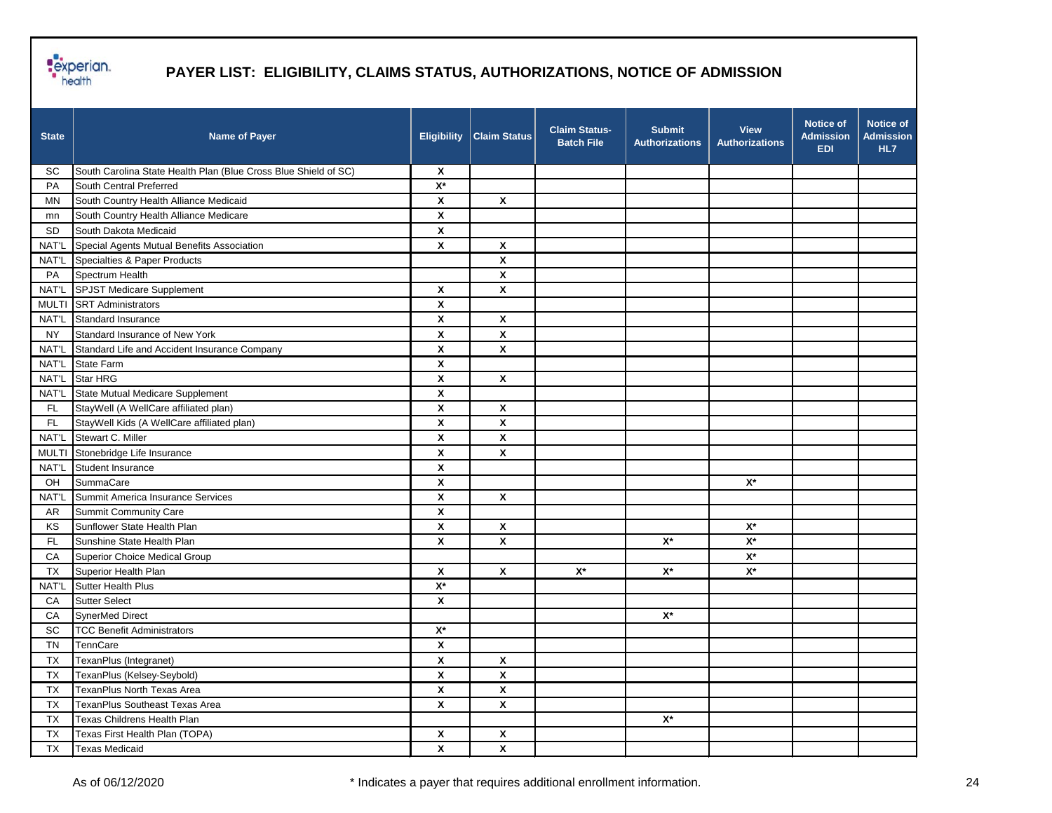

| <b>State</b> | <b>Name of Payer</b>                                            | <b>Eligibility</b>        | <b>Claim Status</b>       | <b>Claim Status-</b><br><b>Batch File</b> | <b>Submit</b><br><b>Authorizations</b> | <b>View</b><br><b>Authorizations</b> | <b>Notice of</b><br><b>Admission</b><br><b>EDI</b> | <b>Notice of</b><br><b>Admission</b><br>HL7 |
|--------------|-----------------------------------------------------------------|---------------------------|---------------------------|-------------------------------------------|----------------------------------------|--------------------------------------|----------------------------------------------------|---------------------------------------------|
| SC           | South Carolina State Health Plan (Blue Cross Blue Shield of SC) | X                         |                           |                                           |                                        |                                      |                                                    |                                             |
| PA           | South Central Preferred                                         | $\mathbf{X}^{\star}$      |                           |                                           |                                        |                                      |                                                    |                                             |
| <b>MN</b>    | South Country Health Alliance Medicaid                          | X                         | X                         |                                           |                                        |                                      |                                                    |                                             |
| mn           | South Country Health Alliance Medicare                          | $\pmb{\mathsf{x}}$        |                           |                                           |                                        |                                      |                                                    |                                             |
| <b>SD</b>    | South Dakota Medicaid                                           | X                         |                           |                                           |                                        |                                      |                                                    |                                             |
| NAT'L        | Special Agents Mutual Benefits Association                      | $\pmb{\mathsf{x}}$        | $\boldsymbol{\mathsf{x}}$ |                                           |                                        |                                      |                                                    |                                             |
| NAT'L        | Specialties & Paper Products                                    |                           | $\pmb{\mathsf{x}}$        |                                           |                                        |                                      |                                                    |                                             |
| PA           | Spectrum Health                                                 |                           | $\pmb{\mathsf{x}}$        |                                           |                                        |                                      |                                                    |                                             |
| NAT'L        | <b>SPJST Medicare Supplement</b>                                | X                         | X                         |                                           |                                        |                                      |                                                    |                                             |
| <b>MULTI</b> | <b>SRT Administrators</b>                                       | $\boldsymbol{\mathsf{x}}$ |                           |                                           |                                        |                                      |                                                    |                                             |
| NAT'L        | Standard Insurance                                              | $\boldsymbol{\mathsf{x}}$ | $\pmb{\mathsf{X}}$        |                                           |                                        |                                      |                                                    |                                             |
| <b>NY</b>    | Standard Insurance of New York                                  | X                         | X                         |                                           |                                        |                                      |                                                    |                                             |
| NAT'L        | Standard Life and Accident Insurance Company                    | $\pmb{\mathsf{x}}$        | $\pmb{\mathsf{x}}$        |                                           |                                        |                                      |                                                    |                                             |
| NAT'L        | State Farm                                                      | X                         |                           |                                           |                                        |                                      |                                                    |                                             |
| NAT'L        | Star HRG                                                        | $\pmb{\mathsf{x}}$        | X                         |                                           |                                        |                                      |                                                    |                                             |
| NAT'L        | State Mutual Medicare Supplement                                | X                         |                           |                                           |                                        |                                      |                                                    |                                             |
| FL           | StayWell (A WellCare affiliated plan)                           | X                         | X                         |                                           |                                        |                                      |                                                    |                                             |
| FL.          | StayWell Kids (A WellCare affiliated plan)                      | $\boldsymbol{\mathsf{x}}$ | $\mathbf{x}$              |                                           |                                        |                                      |                                                    |                                             |
| NAT'L        | Stewart C. Miller                                               | $\boldsymbol{\mathsf{x}}$ | X                         |                                           |                                        |                                      |                                                    |                                             |
| <b>MULTI</b> | Stonebridge Life Insurance                                      | X                         | X                         |                                           |                                        |                                      |                                                    |                                             |
| NAT'L        | Student Insurance                                               | X                         |                           |                                           |                                        |                                      |                                                    |                                             |
| OH           | SummaCare                                                       | X                         |                           |                                           |                                        | $X^*$                                |                                                    |                                             |
| NAT'L        | Summit America Insurance Services                               | X                         | X                         |                                           |                                        |                                      |                                                    |                                             |
| AR           | Summit Community Care                                           | $\pmb{\mathsf{x}}$        |                           |                                           |                                        |                                      |                                                    |                                             |
| KS           | Sunflower State Health Plan                                     | $\pmb{\mathsf{x}}$        | X                         |                                           |                                        | $\mathsf{X}^\star$                   |                                                    |                                             |
| FL.          | Sunshine State Health Plan                                      | $\boldsymbol{\mathsf{x}}$ | $\pmb{\mathsf{x}}$        |                                           | $X^*$                                  | $\mathsf{X}^\star$                   |                                                    |                                             |
| CA           | Superior Choice Medical Group                                   |                           |                           |                                           |                                        | $\mathsf{X}^\star$                   |                                                    |                                             |
| <b>TX</b>    | Superior Health Plan                                            | $\boldsymbol{\mathsf{x}}$ | $\pmb{\mathsf{X}}$        | $\mathsf{X}^\star$                        | $\mathsf{X}^\star$                     | $\mathsf{X}^\star$                   |                                                    |                                             |
| NAT'L        | Sutter Health Plus                                              | $\mathsf{X}^\star$        |                           |                                           |                                        |                                      |                                                    |                                             |
| CA           | <b>Sutter Select</b>                                            | X                         |                           |                                           |                                        |                                      |                                                    |                                             |
| CA           | SynerMed Direct                                                 |                           |                           |                                           | $X^*$                                  |                                      |                                                    |                                             |
| SC           | <b>TCC Benefit Administrators</b>                               | $\mathsf{X}^\star$        |                           |                                           |                                        |                                      |                                                    |                                             |
| <b>TN</b>    | TennCare                                                        | X                         |                           |                                           |                                        |                                      |                                                    |                                             |
| <b>TX</b>    | TexanPlus (Integranet)                                          | X                         | $\boldsymbol{\mathsf{x}}$ |                                           |                                        |                                      |                                                    |                                             |
| <b>TX</b>    | TexanPlus (Kelsey-Seybold)                                      | $\pmb{\mathsf{x}}$        | $\pmb{\mathsf{x}}$        |                                           |                                        |                                      |                                                    |                                             |
| <b>TX</b>    | TexanPlus North Texas Area                                      | $\pmb{\mathsf{X}}$        | $\pmb{\mathsf{X}}$        |                                           |                                        |                                      |                                                    |                                             |
| <b>TX</b>    | TexanPlus Southeast Texas Area                                  | $\pmb{\mathsf{X}}$        | $\pmb{\mathsf{X}}$        |                                           |                                        |                                      |                                                    |                                             |
| <b>TX</b>    | Texas Childrens Health Plan                                     |                           |                           |                                           | $\mathsf{X}^\star$                     |                                      |                                                    |                                             |
| TX           | Texas First Health Plan (TOPA)                                  | X                         | $\pmb{\mathsf{X}}$        |                                           |                                        |                                      |                                                    |                                             |
| <b>TX</b>    | Texas Medicaid                                                  | $\pmb{\mathsf{x}}$        | $\boldsymbol{\mathsf{X}}$ |                                           |                                        |                                      |                                                    |                                             |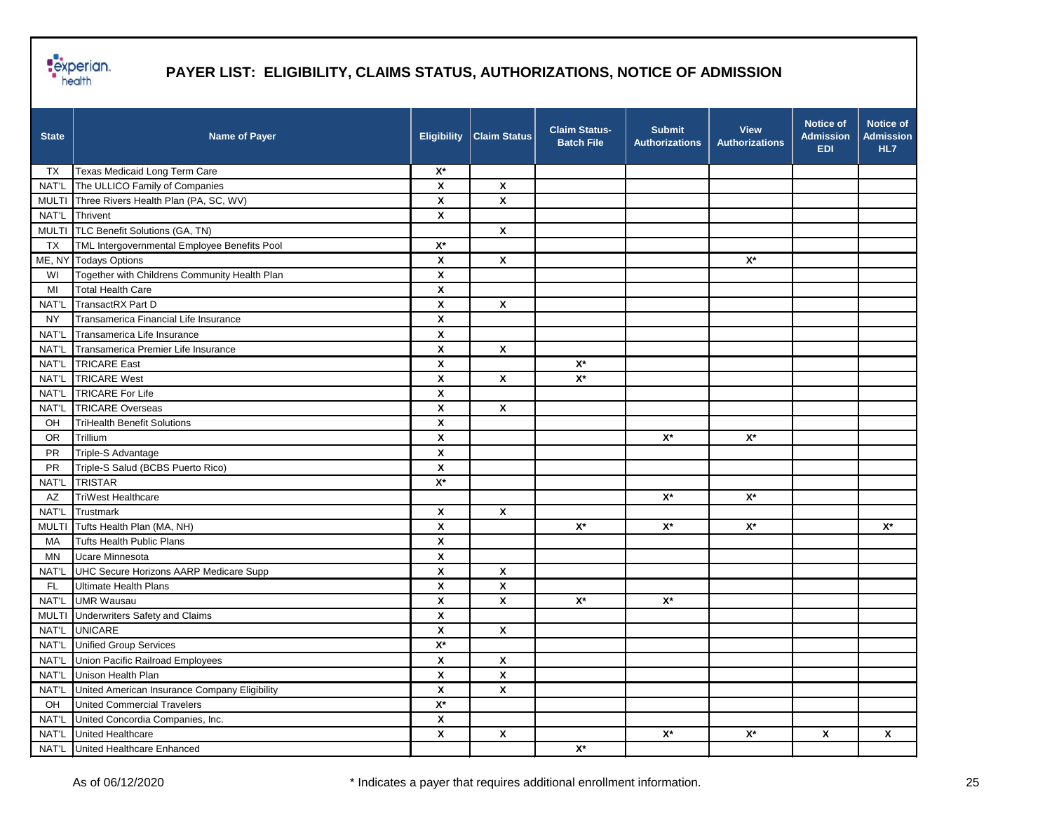

| <b>State</b> | <b>Name of Payer</b>                          | <b>Eligibility</b>        | <b>Claim Status</b> | <b>Claim Status-</b><br><b>Batch File</b> | <b>Submit</b><br><b>Authorizations</b> | <b>View</b><br><b>Authorizations</b> | <b>Notice of</b><br><b>Admission</b><br><b>EDI</b> | Notice of<br><b>Admission</b><br>HL7 |
|--------------|-----------------------------------------------|---------------------------|---------------------|-------------------------------------------|----------------------------------------|--------------------------------------|----------------------------------------------------|--------------------------------------|
| TX.          | Texas Medicaid Long Term Care                 | $X^*$                     |                     |                                           |                                        |                                      |                                                    |                                      |
| NAT'L        | The ULLICO Family of Companies                | X                         | X                   |                                           |                                        |                                      |                                                    |                                      |
| <b>MULTI</b> | Three Rivers Health Plan (PA, SC, WV)         | X                         | X                   |                                           |                                        |                                      |                                                    |                                      |
| NAT'L        | Thrivent                                      | $\pmb{\mathsf{x}}$        |                     |                                           |                                        |                                      |                                                    |                                      |
| <b>MULTI</b> | TLC Benefit Solutions (GA, TN)                |                           | $\pmb{\chi}$        |                                           |                                        |                                      |                                                    |                                      |
| TX           | TML Intergovernmental Employee Benefits Pool  | $X^*$                     |                     |                                           |                                        |                                      |                                                    |                                      |
| ME, NY       | <b>Todays Options</b>                         | X                         | X                   |                                           |                                        | $X^*$                                |                                                    |                                      |
| WI           | Together with Childrens Community Health Plan | $\boldsymbol{\mathsf{x}}$ |                     |                                           |                                        |                                      |                                                    |                                      |
| MI           | <b>Total Health Care</b>                      | X                         |                     |                                           |                                        |                                      |                                                    |                                      |
| NAT'L        | TransactRX Part D                             | $\pmb{\chi}$              | $\pmb{\mathsf{X}}$  |                                           |                                        |                                      |                                                    |                                      |
| <b>NY</b>    | Transamerica Financial Life Insurance         | $\boldsymbol{\mathsf{x}}$ |                     |                                           |                                        |                                      |                                                    |                                      |
| NAT'L        | Transamerica Life Insurance                   | $\boldsymbol{\mathsf{x}}$ |                     |                                           |                                        |                                      |                                                    |                                      |
| NAT'L        | Transamerica Premier Life Insurance           | X                         | X                   |                                           |                                        |                                      |                                                    |                                      |
| NAT'L        | <b>TRICARE East</b>                           | X                         |                     | $\mathsf{X}^\star$                        |                                        |                                      |                                                    |                                      |
| NAT'L        | <b>TRICARE West</b>                           | X                         | X                   | $\mathsf{X}^\star$                        |                                        |                                      |                                                    |                                      |
| NAT'L        | <b>TRICARE For Life</b>                       | $\pmb{\mathsf{X}}$        |                     |                                           |                                        |                                      |                                                    |                                      |
| NAT'L        | <b>TRICARE Overseas</b>                       | X                         | X                   |                                           |                                        |                                      |                                                    |                                      |
| OH           | <b>TriHealth Benefit Solutions</b>            | X                         |                     |                                           |                                        |                                      |                                                    |                                      |
| <b>OR</b>    | Trillium                                      | X                         |                     |                                           | $\mathsf{X}^\star$                     | $X^*$                                |                                                    |                                      |
| PR           | Triple-S Advantage                            | X                         |                     |                                           |                                        |                                      |                                                    |                                      |
| PR           | Triple-S Salud (BCBS Puerto Rico)             | $\pmb{\mathsf{X}}$        |                     |                                           |                                        |                                      |                                                    |                                      |
| NAT'L        | <b>TRISTAR</b>                                | $X^*$                     |                     |                                           |                                        |                                      |                                                    |                                      |
| AZ           | <b>TriWest Healthcare</b>                     |                           |                     |                                           | $X^*$                                  | $X^*$                                |                                                    |                                      |
| NAT'L        | Trustmark                                     | X                         | X                   |                                           |                                        |                                      |                                                    |                                      |
| <b>MULTI</b> | Tufts Health Plan (MA, NH)                    | X                         |                     | $X^*$                                     | $\mathsf{X}^\star$                     | $\mathsf{X}^\star$                   |                                                    | $X^*$                                |
| MA           | <b>Tufts Health Public Plans</b>              | X                         |                     |                                           |                                        |                                      |                                                    |                                      |
| MN           | <b>Ucare Minnesota</b>                        | $\pmb{\mathsf{X}}$        |                     |                                           |                                        |                                      |                                                    |                                      |
| NAT'L        | UHC Secure Horizons AARP Medicare Supp        | X                         | X                   |                                           |                                        |                                      |                                                    |                                      |
| FL.          | Ultimate Health Plans                         | $\pmb{\mathsf{X}}$        | X                   |                                           |                                        |                                      |                                                    |                                      |
| NAT'L        | <b>UMR Wausau</b>                             | X                         | X                   | $\mathsf{X}^\star$                        | $\mathsf{X}^\star$                     |                                      |                                                    |                                      |
| <b>MULTI</b> | <b>Underwriters Safety and Claims</b>         | X                         |                     |                                           |                                        |                                      |                                                    |                                      |
| NAT'L        | <b>UNICARE</b>                                | $\pmb{\mathsf{X}}$        | X                   |                                           |                                        |                                      |                                                    |                                      |
|              | NAT'L Unified Group Services                  | $\mathsf{X}^\star$        |                     |                                           |                                        |                                      |                                                    |                                      |
| NAT'L        | Union Pacific Railroad Employees              | X                         | X                   |                                           |                                        |                                      |                                                    |                                      |
| NAT'L        | Unison Health Plan                            | X                         | X                   |                                           |                                        |                                      |                                                    |                                      |
| NAT'L        | United American Insurance Company Eligibility | X                         | $\pmb{\mathsf{X}}$  |                                           |                                        |                                      |                                                    |                                      |
| OH           | <b>United Commercial Travelers</b>            | $\mathsf{X}^\star$        |                     |                                           |                                        |                                      |                                                    |                                      |
| NAT'L        | United Concordia Companies, Inc.              | $\pmb{\mathsf{x}}$        |                     |                                           |                                        |                                      |                                                    |                                      |
| NAT'L        | United Healthcare                             | $\pmb{\mathsf{x}}$        | $\pmb{\mathsf{X}}$  |                                           | $\mathbf{X}^{\star}$                   | $\mathsf{X}^\star$                   | $\pmb{\mathsf{X}}$                                 | $\pmb{\mathsf{X}}$                   |
|              | NAT'L United Healthcare Enhanced              |                           |                     | $\mathsf{X}^\star$                        |                                        |                                      |                                                    |                                      |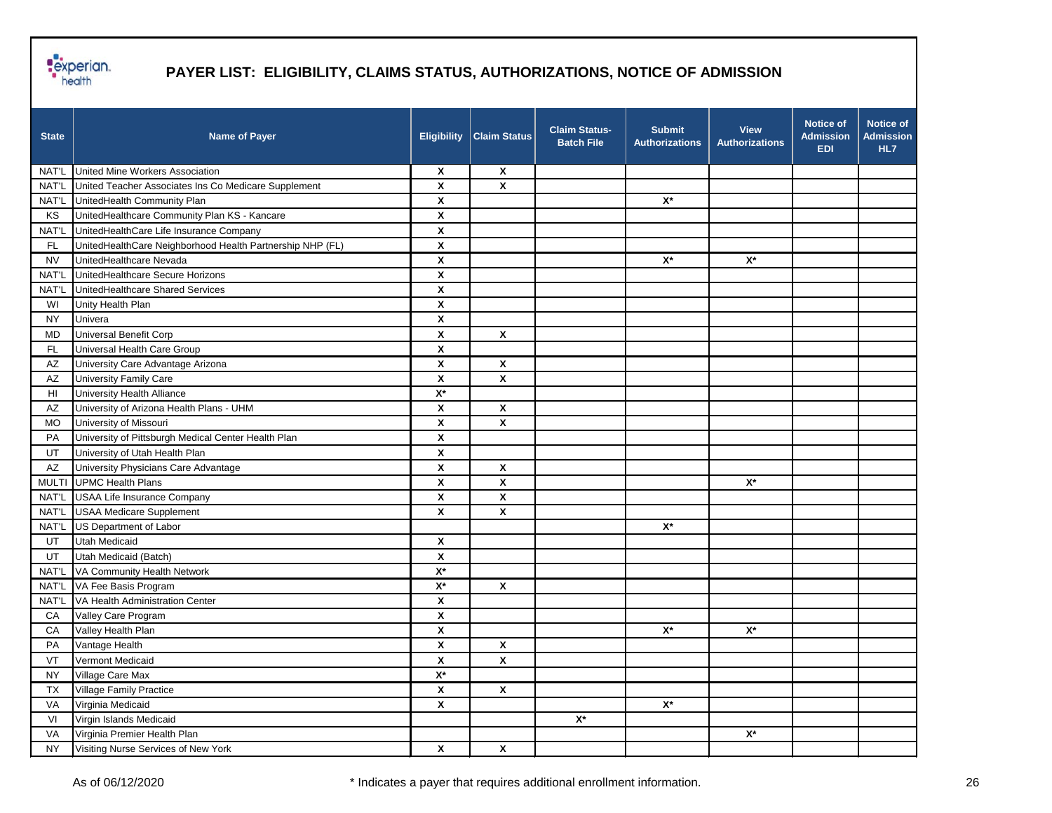

| <b>State</b> | <b>Name of Payer</b>                                      | <b>Eligibility</b>        | <b>Claim Status</b>     | <b>Claim Status-</b><br><b>Batch File</b> | <b>Submit</b><br><b>Authorizations</b> | <b>View</b><br><b>Authorizations</b> | <b>Notice of</b><br><b>Admission</b><br><b>EDI</b> | <b>Notice of</b><br><b>Admission</b><br>HL7 |
|--------------|-----------------------------------------------------------|---------------------------|-------------------------|-------------------------------------------|----------------------------------------|--------------------------------------|----------------------------------------------------|---------------------------------------------|
| NAT'L        | United Mine Workers Association                           | $\boldsymbol{\mathsf{x}}$ | $\mathsf{x}$            |                                           |                                        |                                      |                                                    |                                             |
| NAT'L        | United Teacher Associates Ins Co Medicare Supplement      | X                         | X                       |                                           |                                        |                                      |                                                    |                                             |
| NAT'L        | UnitedHealth Community Plan                               | $\pmb{\mathsf{X}}$        |                         |                                           | $\mathsf{X}^\star$                     |                                      |                                                    |                                             |
| KS           | UnitedHealthcare Community Plan KS - Kancare              | $\pmb{\mathsf{x}}$        |                         |                                           |                                        |                                      |                                                    |                                             |
| NAT'L        | UnitedHealthCare Life Insurance Company                   | X                         |                         |                                           |                                        |                                      |                                                    |                                             |
| <b>FL</b>    | UnitedHealthCare Neighborhood Health Partnership NHP (FL) | $\pmb{\mathsf{x}}$        |                         |                                           |                                        |                                      |                                                    |                                             |
| <b>NV</b>    | UnitedHealthcare Nevada                                   | X                         |                         |                                           | $\mathsf{X}^\star$                     | $\mathsf{X}^\star$                   |                                                    |                                             |
| <b>NAT'L</b> | UnitedHealthcare Secure Horizons                          | $\pmb{\mathsf{x}}$        |                         |                                           |                                        |                                      |                                                    |                                             |
| NAT'L        | UnitedHealthcare Shared Services                          | $\pmb{\mathsf{x}}$        |                         |                                           |                                        |                                      |                                                    |                                             |
| WI           | Unity Health Plan                                         | X                         |                         |                                           |                                        |                                      |                                                    |                                             |
| <b>NY</b>    | Univera                                                   | X                         |                         |                                           |                                        |                                      |                                                    |                                             |
| <b>MD</b>    | Universal Benefit Corp                                    | X                         | X                       |                                           |                                        |                                      |                                                    |                                             |
| <b>FL</b>    | Universal Health Care Group                               | X                         |                         |                                           |                                        |                                      |                                                    |                                             |
| AZ           | University Care Advantage Arizona                         | $\pmb{\mathsf{X}}$        | $\pmb{\mathsf{x}}$      |                                           |                                        |                                      |                                                    |                                             |
| AZ           | University Family Care                                    | $\boldsymbol{x}$          | X                       |                                           |                                        |                                      |                                                    |                                             |
| HI           | University Health Alliance                                | $\mathsf{X}^\star$        |                         |                                           |                                        |                                      |                                                    |                                             |
| AZ           | University of Arizona Health Plans - UHM                  | X                         | $\pmb{\mathsf{x}}$      |                                           |                                        |                                      |                                                    |                                             |
| <b>MO</b>    | University of Missouri                                    | X                         | X                       |                                           |                                        |                                      |                                                    |                                             |
| PA           | University of Pittsburgh Medical Center Health Plan       | X                         |                         |                                           |                                        |                                      |                                                    |                                             |
| UT           | University of Utah Health Plan                            | $\pmb{\mathsf{x}}$        |                         |                                           |                                        |                                      |                                                    |                                             |
| AZ           | University Physicians Care Advantage                      | X                         | $\pmb{\mathsf{x}}$      |                                           |                                        |                                      |                                                    |                                             |
|              | MULTI UPMC Health Plans                                   | X                         | $\pmb{\mathsf{x}}$      |                                           |                                        | $\mathsf{X}^\star$                   |                                                    |                                             |
| NAT'L        | <b>USAA Life Insurance Company</b>                        | X                         | X                       |                                           |                                        |                                      |                                                    |                                             |
| NAT'L        | <b>USAA Medicare Supplement</b>                           | X                         | X                       |                                           |                                        |                                      |                                                    |                                             |
| NAT'L        | US Department of Labor                                    |                           |                         |                                           | $\mathsf{X}^\star$                     |                                      |                                                    |                                             |
| UT           | <b>Utah Medicaid</b>                                      | $\pmb{\mathsf{x}}$        |                         |                                           |                                        |                                      |                                                    |                                             |
| UT           | Utah Medicaid (Batch)                                     | X                         |                         |                                           |                                        |                                      |                                                    |                                             |
| NAT'L        | VA Community Health Network                               | $X^*$                     |                         |                                           |                                        |                                      |                                                    |                                             |
| NAT'L        | VA Fee Basis Program                                      | $X^*$                     | X                       |                                           |                                        |                                      |                                                    |                                             |
| NAT'L        | VA Health Administration Center                           | X                         |                         |                                           |                                        |                                      |                                                    |                                             |
| CA           | Valley Care Program                                       | $\pmb{\mathsf{x}}$        |                         |                                           |                                        |                                      |                                                    |                                             |
| CA           | Valley Health Plan                                        | $\pmb{\mathsf{x}}$        |                         |                                           | $\mathsf{X}^\star$                     | $\mathsf{X}^\star$                   |                                                    |                                             |
| PA           | Vantage Health                                            | X                         | X                       |                                           |                                        |                                      |                                                    |                                             |
| VT           | Vermont Medicaid                                          | X                         | X                       |                                           |                                        |                                      |                                                    |                                             |
| <b>NY</b>    | Village Care Max                                          | $\mathsf{X}^\star$        |                         |                                           |                                        |                                      |                                                    |                                             |
| <b>TX</b>    | Village Family Practice                                   | $\pmb{\mathsf{x}}$        | $\overline{\mathbf{x}}$ |                                           |                                        |                                      |                                                    |                                             |
| VA           | Virginia Medicaid                                         | $\pmb{\mathsf{x}}$        |                         |                                           | $\mathsf{X}^\star$                     |                                      |                                                    |                                             |
| VI           | Virgin Islands Medicaid                                   |                           |                         | $\mathsf{X}^\star$                        |                                        |                                      |                                                    |                                             |
| VA           | Virginia Premier Health Plan                              |                           |                         |                                           |                                        | $\mathsf{X}^\star$                   |                                                    |                                             |
| <b>NY</b>    | Visiting Nurse Services of New York                       | $\pmb{\mathsf{X}}$        | $\pmb{\mathsf{X}}$      |                                           |                                        |                                      |                                                    |                                             |